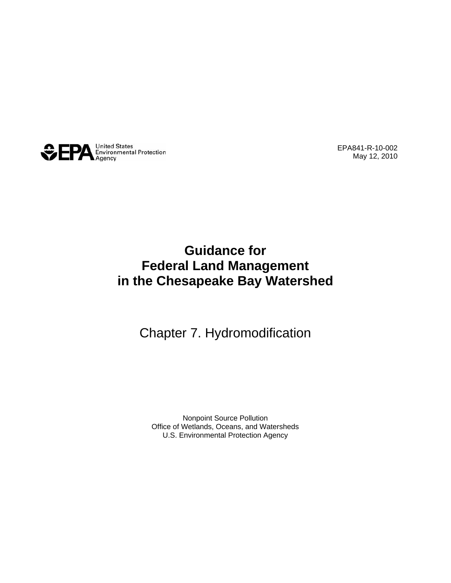

EPA841-R-10-002 May 12, 2010

## **Guidance for Federal Land Management in the Chesapeake Bay Watershed**

### Chapter 7. Hydromodification

Nonpoint Source Pollution Office of Wetlands, Oceans, and Watersheds U.S. Environmental Protection Agency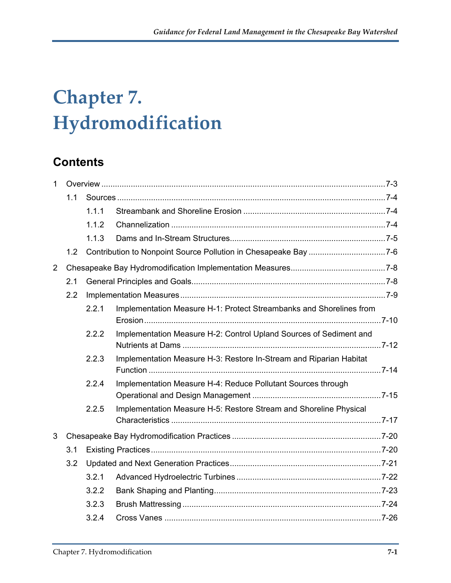# **Chapter 7. Hydromodification**

## **Contents**

| $\mathbf{1}$   |     |       |                                                                     |  |  |  |
|----------------|-----|-------|---------------------------------------------------------------------|--|--|--|
|                | 1.1 |       |                                                                     |  |  |  |
|                |     | 1.1.1 |                                                                     |  |  |  |
|                |     | 1.1.2 |                                                                     |  |  |  |
|                |     | 1.1.3 |                                                                     |  |  |  |
|                | 1.2 |       |                                                                     |  |  |  |
| $\overline{2}$ |     |       |                                                                     |  |  |  |
|                | 2.1 |       |                                                                     |  |  |  |
|                | 2.2 |       |                                                                     |  |  |  |
|                |     | 2.2.1 | Implementation Measure H-1: Protect Streambanks and Shorelines from |  |  |  |
|                |     | 2.2.2 | Implementation Measure H-2: Control Upland Sources of Sediment and  |  |  |  |
|                |     | 2.2.3 | Implementation Measure H-3: Restore In-Stream and Riparian Habitat  |  |  |  |
|                |     | 2.2.4 | Implementation Measure H-4: Reduce Pollutant Sources through        |  |  |  |
|                |     | 2.2.5 | Implementation Measure H-5: Restore Stream and Shoreline Physical   |  |  |  |
| 3              |     |       |                                                                     |  |  |  |
|                | 3.1 |       |                                                                     |  |  |  |
|                | 3.2 |       |                                                                     |  |  |  |
|                |     | 3.2.1 |                                                                     |  |  |  |
|                |     | 3.2.2 |                                                                     |  |  |  |
|                |     | 3.2.3 |                                                                     |  |  |  |
|                |     | 3.2.4 |                                                                     |  |  |  |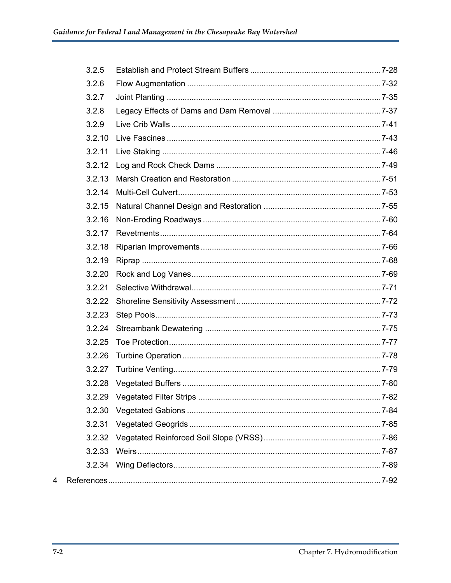|   | 3.2.5  |  |
|---|--------|--|
|   | 3.2.6  |  |
|   | 3.2.7  |  |
|   | 3.2.8  |  |
|   | 3.2.9  |  |
|   | 3.2.10 |  |
|   | 3.2.11 |  |
|   | 3.2.12 |  |
|   | 3.2.13 |  |
|   | 3.2.14 |  |
|   | 3.2.15 |  |
|   | 3.2.16 |  |
|   | 3.2.17 |  |
|   | 3.2.18 |  |
|   | 3.2.19 |  |
|   | 3.2.20 |  |
|   | 3.2.21 |  |
|   | 3.2.22 |  |
|   | 3.2.23 |  |
|   | 3.2.24 |  |
|   | 3.2.25 |  |
|   | 3.2.26 |  |
|   | 3.2.27 |  |
|   | 3.2.28 |  |
|   |        |  |
|   | 3.2.30 |  |
|   | 3.2.31 |  |
|   | 3.2.32 |  |
|   | 3.2.33 |  |
|   | 3.2.34 |  |
| 4 |        |  |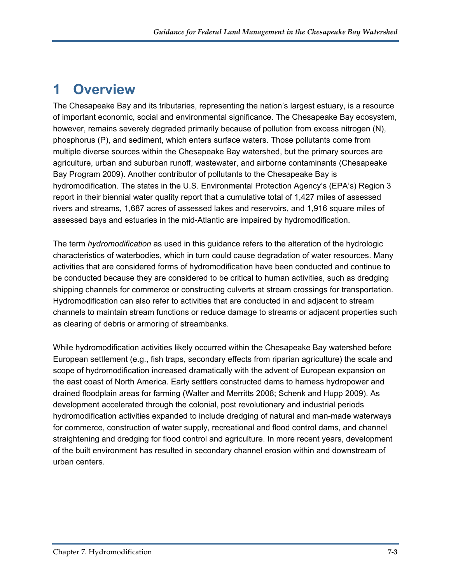## <span id="page-3-0"></span>**1 Overview**

The Chesapeake Bay and its tributaries, representing the nation's largest estuary, is a resource of important economic, social and environmental significance. The Chesapeake Bay ecosystem, however, remains severely degraded primarily because of pollution from excess nitrogen (N), phosphorus (P), and sediment, which enters surface waters. Those pollutants come from multiple diverse sources within the Chesapeake Bay watershed, but the primary sources are agriculture, urban and suburban runoff, wastewater, and airborne contaminants (Chesapeake Bay Program 2009). Another contributor of pollutants to the Chesapeake Bay is hydromodification. The states in the U.S. Environmental Protection Agency's (EPA's) Region 3 report in their biennial water quality report that a cumulative total of 1,427 miles of assessed rivers and streams, 1,687 acres of assessed lakes and reservoirs, and 1,916 square miles of assessed bays and estuaries in the mid-Atlantic are impaired by hydromodification.

The term *hydromodification* as used in this guidance refers to the alteration of the hydrologic characteristics of waterbodies, which in turn could cause degradation of water resources. Many activities that are considered forms of hydromodification have been conducted and continue to be conducted because they are considered to be critical to human activities, such as dredging shipping channels for commerce or constructing culverts at stream crossings for transportation. Hydromodification can also refer to activities that are conducted in and adjacent to stream channels to maintain stream functions or reduce damage to streams or adjacent properties such as clearing of debris or armoring of streambanks.

While hydromodification activities likely occurred within the Chesapeake Bay watershed before European settlement (e.g., fish traps, secondary effects from riparian agriculture) the scale and scope of hydromodification increased dramatically with the advent of European expansion on the east coast of North America. Early settlers constructed dams to harness hydropower and drained floodplain areas for farming (Walter and Merritts 2008; Schenk and Hupp 2009). As development accelerated through the colonial, post revolutionary and industrial periods hydromodification activities expanded to include dredging of natural and man-made waterways for commerce, construction of water supply, recreational and flood control dams, and channel straightening and dredging for flood control and agriculture. In more recent years, development of the built environment has resulted in secondary channel erosion within and downstream of urban centers.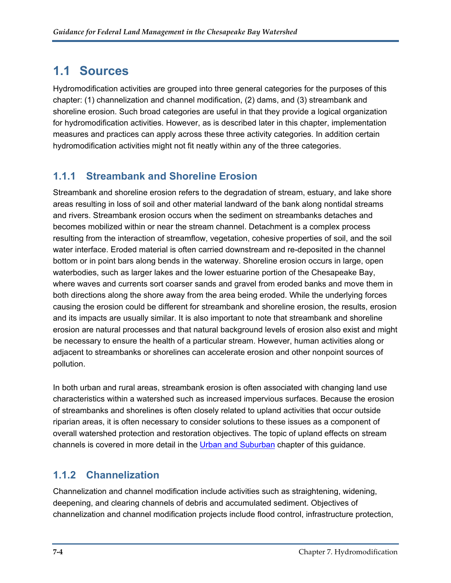## <span id="page-4-0"></span>**1.1 Sources**

Hydromodification activities are grouped into three general categories for the purposes of this chapter: (1) channelization and channel modification, (2) dams, and (3) streambank and shoreline erosion. Such broad categories are useful in that they provide a logical organization for hydromodification activities. However, as is described later in this chapter, implementation measures and practices can apply across these three activity categories. In addition certain hydromodification activities might not fit neatly within any of the three categories.

#### <span id="page-4-1"></span>**1.1.1 Streambank and Shoreline Erosion**

Streambank and shoreline erosion refers to the degradation of stream, estuary, and lake shore areas resulting in loss of soil and other material landward of the bank along nontidal streams and rivers. Streambank erosion occurs when the sediment on streambanks detaches and becomes mobilized within or near the stream channel. Detachment is a complex process resulting from the interaction of streamflow, vegetation, cohesive properties of soil, and the soil water interface. Eroded material is often carried downstream and re-deposited in the channel bottom or in point bars along bends in the waterway. Shoreline erosion occurs in large, open waterbodies, such as larger lakes and the lower estuarine portion of the Chesapeake Bay, where waves and currents sort coarser sands and gravel from eroded banks and move them in both directions along the shore away from the area being eroded. While the underlying forces causing the erosion could be different for streambank and shoreline erosion, the results, erosion and its impacts are usually similar. It is also important to note that streambank and shoreline erosion are natural processes and that natural background levels of erosion also exist and might be necessary to ensure the health of a particular stream. However, human activities along or adjacent to streambanks or shorelines can accelerate erosion and other nonpoint sources of pollution.

In both urban and rural areas, streambank erosion is often associated with changing land use characteristics within a watershed such as increased impervious surfaces. Because the erosion of streambanks and shorelines is often closely related to upland activities that occur outside riparian areas, it is often necessary to consider solutions to these issues as a component of overall watershed protection and restoration objectives. The topic of upland effects on stream channels is covered in more detail in the [Urban and Suburban](http://www.epa.gov/owow/nps/chesbay502/pdf/chesbay_chap03.pdf) chapter of this guidance.

### <span id="page-4-2"></span>**1.1.2 Channelization**

Channelization and channel modification include activities such as straightening, widening, deepening, and clearing channels of debris and accumulated sediment. Objectives of channelization and channel modification projects include flood control, infrastructure protection,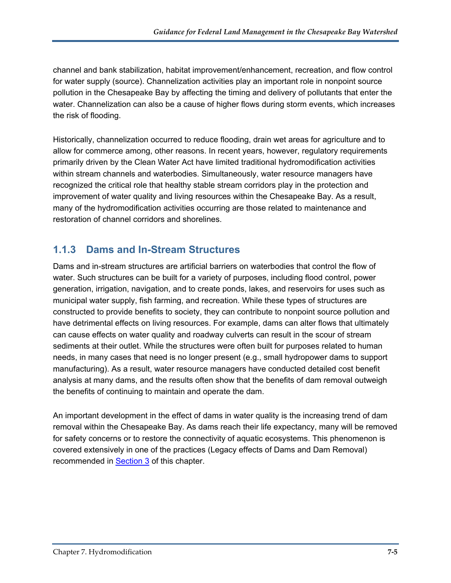channel and bank stabilization, habitat improvement/enhancement, recreation, and flow control for water supply (source). Channelization activities play an important role in nonpoint source pollution in the Chesapeake Bay by affecting the timing and delivery of pollutants that enter the water. Channelization can also be a cause of higher flows during storm events, which increases the risk of flooding.

Historically, channelization occurred to reduce flooding, drain wet areas for agriculture and to allow for commerce among, other reasons. In recent years, however, regulatory requirements primarily driven by the Clean Water Act have limited traditional hydromodification activities within stream channels and waterbodies. Simultaneously, water resource managers have recognized the critical role that healthy stable stream corridors play in the protection and improvement of water quality and living resources within the Chesapeake Bay. As a result, many of the hydromodification activities occurring are those related to maintenance and restoration of channel corridors and shorelines.

#### <span id="page-5-0"></span>**1.1.3 Dams and In-Stream Structures**

Dams and in-stream structures are artificial barriers on waterbodies that control the flow of water. Such structures can be built for a variety of purposes, including flood control, power generation, irrigation, navigation, and to create ponds, lakes, and reservoirs for uses such as municipal water supply, fish farming, and recreation. While these types of structures are constructed to provide benefits to society, they can contribute to nonpoint source pollution and have detrimental effects on living resources. For example, dams can alter flows that ultimately can cause effects on water quality and roadway culverts can result in the scour of stream sediments at their outlet. While the structures were often built for purposes related to human needs, in many cases that need is no longer present (e.g., small hydropower dams to support manufacturing). As a result, water resource managers have conducted detailed cost benefit analysis at many dams, and the results often show that the benefits of dam removal outweigh the benefits of continuing to maintain and operate the dam.

An important development in the effect of dams in water quality is the increasing trend of dam removal within the Chesapeake Bay. As dams reach their life expectancy, many will be removed for safety concerns or to restore the connectivity of aquatic ecosystems. This phenomenon is covered extensively in one of the practices (Legacy effects of Dams and Dam Removal) recommended in [Section 3](#page-20-0) of this chapter.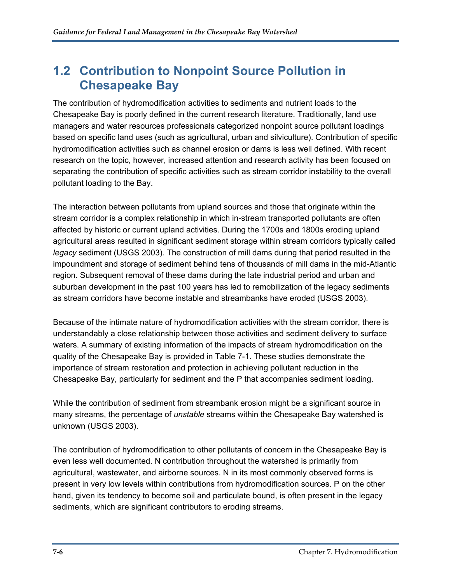### <span id="page-6-0"></span>**1.2 Contribution to Nonpoint Source Pollution in Chesapeake Bay**

The contribution of hydromodification activities to sediments and nutrient loads to the Chesapeake Bay is poorly defined in the current research literature. Traditionally, land use managers and water resources professionals categorized nonpoint source pollutant loadings based on specific land uses (such as agricultural, urban and silviculture). Contribution of specific hydromodification activities such as channel erosion or dams is less well defined. With recent research on the topic, however, increased attention and research activity has been focused on separating the contribution of specific activities such as stream corridor instability to the overall pollutant loading to the Bay.

The interaction between pollutants from upland sources and those that originate within the stream corridor is a complex relationship in which in-stream transported pollutants are often affected by historic or current upland activities. During the 1700s and 1800s eroding upland agricultural areas resulted in significant sediment storage within stream corridors typically called *legacy* sediment (USGS 2003). The construction of mill dams during that period resulted in the impoundment and storage of sediment behind tens of thousands of mill dams in the mid-Atlantic region. Subsequent removal of these dams during the late industrial period and urban and suburban development in the past 100 years has led to remobilization of the legacy sediments as stream corridors have become instable and streambanks have eroded (USGS 2003).

Because of the intimate nature of hydromodification activities with the stream corridor, there is understandably a close relationship between those activities and sediment delivery to surface waters. A summary of existing information of the impacts of stream hydromodification on the quality of the Chesapeake Bay is provided in Table 7-1. These studies demonstrate the importance of stream restoration and protection in achieving pollutant reduction in the Chesapeake Bay, particularly for sediment and the P that accompanies sediment loading.

While the contribution of sediment from streambank erosion might be a significant source in many streams, the percentage of *unstable* streams within the Chesapeake Bay watershed is unknown (USGS 2003).

The contribution of hydromodification to other pollutants of concern in the Chesapeake Bay is even less well documented. N contribution throughout the watershed is primarily from agricultural, wastewater, and airborne sources. N in its most commonly observed forms is present in very low levels within contributions from hydromodification sources. P on the other hand, given its tendency to become soil and particulate bound, is often present in the legacy sediments, which are significant contributors to eroding streams.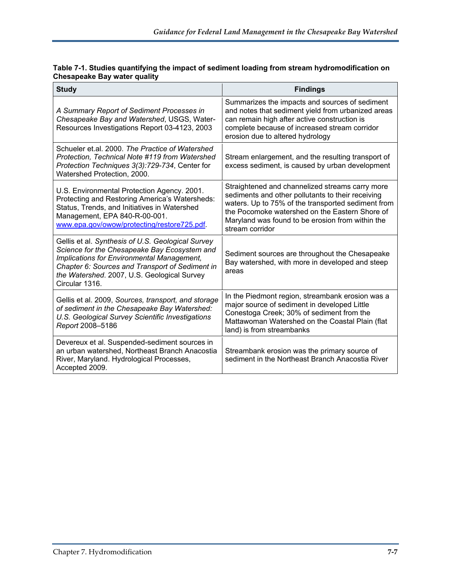| Table 7-1. Studies quantifying the impact of sediment loading from stream hydromodification on |
|------------------------------------------------------------------------------------------------|
| <b>Chesapeake Bay water quality</b>                                                            |

| <b>Study</b>                                                                                                                                                                                                                                                        | <b>Findings</b>                                                                                                                                                                                                                                                                     |
|---------------------------------------------------------------------------------------------------------------------------------------------------------------------------------------------------------------------------------------------------------------------|-------------------------------------------------------------------------------------------------------------------------------------------------------------------------------------------------------------------------------------------------------------------------------------|
| A Summary Report of Sediment Processes in<br>Chesapeake Bay and Watershed, USGS, Water-<br>Resources Investigations Report 03-4123, 2003                                                                                                                            | Summarizes the impacts and sources of sediment<br>and notes that sediment yield from urbanized areas<br>can remain high after active construction is<br>complete because of increased stream corridor<br>erosion due to altered hydrology                                           |
| Schueler et al. 2000. The Practice of Watershed<br>Protection, Technical Note #119 from Watershed<br>Protection Techniques 3(3):729-734, Center for<br>Watershed Protection, 2000.                                                                                  | Stream enlargement, and the resulting transport of<br>excess sediment, is caused by urban development                                                                                                                                                                               |
| U.S. Environmental Protection Agency. 2001.<br>Protecting and Restoring America's Watersheds:<br>Status, Trends, and Initiatives in Watershed<br>Management, EPA 840-R-00-001.<br>www.epa.gov/owow/protecting/restore725.pdf.                                       | Straightened and channelized streams carry more<br>sediments and other pollutants to their receiving<br>waters. Up to 75% of the transported sediment from<br>the Pocomoke watershed on the Eastern Shore of<br>Maryland was found to be erosion from within the<br>stream corridor |
| Gellis et al. Synthesis of U.S. Geological Survey<br>Science for the Chesapeake Bay Ecosystem and<br>Implications for Environmental Management,<br>Chapter 6: Sources and Transport of Sediment in<br>the Watershed. 2007, U.S. Geological Survey<br>Circular 1316. | Sediment sources are throughout the Chesapeake<br>Bay watershed, with more in developed and steep<br>areas                                                                                                                                                                          |
| Gellis et al. 2009, Sources, transport, and storage<br>of sediment in the Chesapeake Bay Watershed:<br>U.S. Geological Survey Scientific Investigations<br>Report 2008-5186                                                                                         | In the Piedmont region, streambank erosion was a<br>major source of sediment in developed Little<br>Conestoga Creek; 30% of sediment from the<br>Mattawoman Watershed on the Coastal Plain (flat<br>land) is from streambanks                                                       |
| Devereux et al. Suspended-sediment sources in<br>an urban watershed, Northeast Branch Anacostia<br>River, Maryland. Hydrological Processes,<br>Accepted 2009.                                                                                                       | Streambank erosion was the primary source of<br>sediment in the Northeast Branch Anacostia River                                                                                                                                                                                    |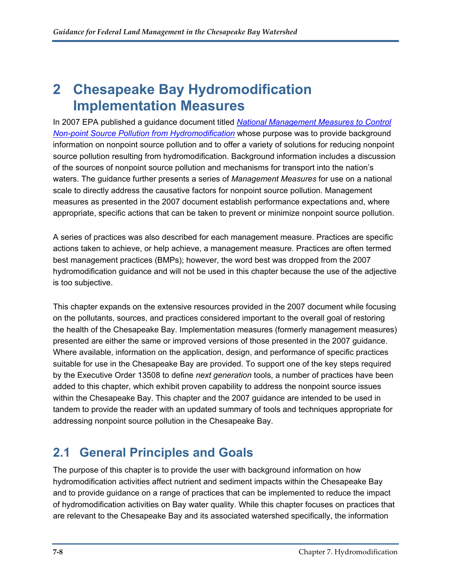## <span id="page-8-0"></span>**2 Chesapeake Bay Hydromodification Implementation Measures**

In 2007 EPA published a guidance document titled *[National Management Measures to Control](http://www.epa.gov/owow/nps/hydromod/index.htm)  [Non-point Source Pollution from Hydromodification](http://www.epa.gov/owow/nps/hydromod/index.htm)* whose purpose was to provide background information on nonpoint source pollution and to offer a variety of solutions for reducing nonpoint source pollution resulting from hydromodification. Background information includes a discussion of the sources of nonpoint source pollution and mechanisms for transport into the nation's waters. The guidance further presents a series of *Management Measures* for use on a national scale to directly address the causative factors for nonpoint source pollution. Management measures as presented in the 2007 document establish performance expectations and, where appropriate, specific actions that can be taken to prevent or minimize nonpoint source pollution.

A series of practices was also described for each management measure. Practices are specific actions taken to achieve, or help achieve, a management measure. Practices are often termed best management practices (BMPs); however, the word best was dropped from the 2007 hydromodification guidance and will not be used in this chapter because the use of the adjective is too subjective.

This chapter expands on the extensive resources provided in the 2007 document while focusing on the pollutants, sources, and practices considered important to the overall goal of restoring the health of the Chesapeake Bay. Implementation measures (formerly management measures) presented are either the same or improved versions of those presented in the 2007 guidance. Where available, information on the application, design, and performance of specific practices suitable for use in the Chesapeake Bay are provided. To support one of the key steps required by the Executive Order 13508 to define *next generation* tools, a number of practices have been added to this chapter, which exhibit proven capability to address the nonpoint source issues within the Chesapeake Bay. This chapter and the 2007 guidance are intended to be used in tandem to provide the reader with an updated summary of tools and techniques appropriate for addressing nonpoint source pollution in the Chesapeake Bay.

## <span id="page-8-1"></span>**2.1 General Principles and Goals**

The purpose of this chapter is to provide the user with background information on how hydromodification activities affect nutrient and sediment impacts within the Chesapeake Bay and to provide guidance on a range of practices that can be implemented to reduce the impact of hydromodification activities on Bay water quality. While this chapter focuses on practices that are relevant to the Chesapeake Bay and its associated watershed specifically, the information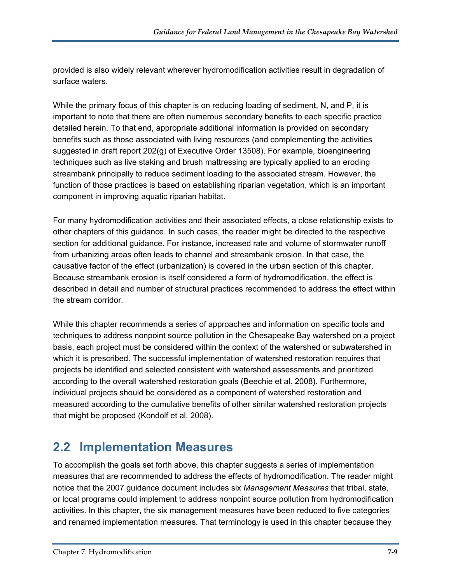provided is also widely relevant wherever hydromodification activities result in degradation of surface waters.

While the primary focus of this chapter is on reducing loading of sediment, N, and P, it is important to note that there are often numerous secondary benefits to each specific practice detailed herein. To that end, appropriate additional information is provided on secondary benefits such as those associated with living resources (and complementing the activities suggested in draft report 202(g) of Executive Order 13508). For example, bioengineering techniques such as live staking and brush mattressing are typically applied to an eroding streambank principally to reduce sediment loading to the associated stream. However, the function of those practices is based on establishing riparian vegetation, which is an important component in improving aquatic riparian habitat.

For many hydromodification activities and their associated effects, a close relationship exists to other chapters of this guidance. In such cases, the reader might be directed to the respective section for additional guidance. For instance, increased rate and volume of stormwater runoff from urbanizing areas often leads to channel and streambank erosion. In that case, the causative factor of the effect (urbanization) is covered in the urban section of this chapter. Because streambank erosion is itself considered a form of hydromodification, the effect is described in detail and number of structural practices recommended to address the effect within the stream corridor.

While this chapter recommends a series of approaches and information on specific tools and techniques to address nonpoint source pollution in the Chesapeake Bay watershed on a project basis, each project must be considered within the context of the watershed or subwatershed in which it is prescribed. The successful implementation of watershed restoration requires that projects be identified and selected consistent with watershed assessments and prioritized according to the overall watershed restoration goals (Beechie et al. 2008). Furthermore, individual projects should be considered as a component of watershed restoration and measured according to the cumulative benefits of other similar watershed restoration projects that might be proposed (Kondolf et al. 2008).

## <span id="page-9-0"></span>**2.2 Implementation Measures**

To accomplish the goals set forth above, this chapter suggests a series of implementation measures that are recommended to address the effects of hydromodification. The reader might notice that the 2007 guidance document includes six *Management Measures* that tribal, state, or local programs could implement to address nonpoint source pollution from hydromodification activities. In this chapter, the six management measures have been reduced to five categories and renamed implementation measures. That terminology is used in this chapter because they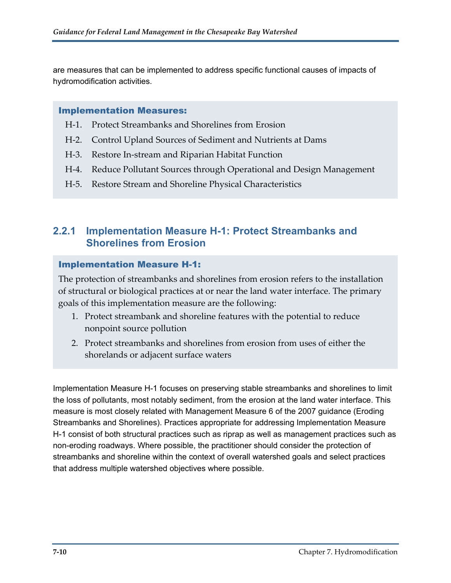are measures that can be implemented to address specific functional causes of impacts of hydromodification activities.

#### Implementation Measures:

- H‐1. Protect Streambanks and Shorelines from Erosion
- H-2. Control Upland Sources of Sediment and Nutrients at Dams
- H-3. Restore In-stream and Riparian Habitat Function
- H-4. Reduce Pollutant Sources through Operational and Design Management
- H-5. Restore Stream and Shoreline Physical Characteristics

#### <span id="page-10-0"></span>**2.2.1 Implementation Measure H-1: Protect Streambanks and Shorelines from Erosion**

#### Implementation Measure H-1:

The protection of streambanks and shorelines from erosion refers to the installation of structural or biological practices at or near the land water interface. The primary goals of this implementation measure are the following:

- 1. Protect streambank and shoreline features with the potential to reduce nonpoint source pollution
- 2. Protect streambanks and shorelines from erosion from uses of either the shorelands or adjacent surface waters

Implementation Measure H-1 focuses on preserving stable streambanks and shorelines to limit the loss of pollutants, most notably sediment, from the erosion at the land water interface. This measure is most closely related with Management Measure 6 of the 2007 guidance (Eroding Streambanks and Shorelines). Practices appropriate for addressing Implementation Measure H-1 consist of both structural practices such as riprap as well as management practices such as non-eroding roadways. Where possible, the practitioner should consider the protection of streambanks and shoreline within the context of overall watershed goals and select practices that address multiple watershed objectives where possible.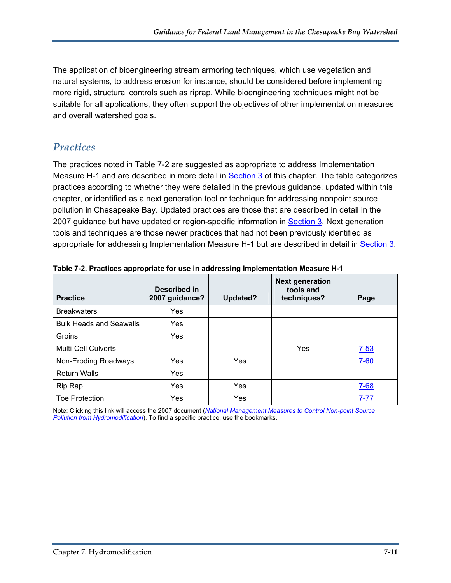The application of bioengineering stream armoring techniques, which use vegetation and natural systems, to address erosion for instance, should be considered before implementing more rigid, structural controls such as riprap. While bioengineering techniques might not be suitable for all applications, they often support the objectives of other implementation measures and overall watershed goals.

#### *Practices*

The practices noted in Table 7-2 are suggested as appropriate to address Implementation Measure H-1 and are described in more detail in [Section 3](#page-20-0) of this chapter. The table categorizes practices according to whether they were detailed in the previous guidance, updated within this chapter, or identified as a next generation tool or technique for addressing nonpoint source pollution in Chesapeake Bay. Updated practices are those that are described in detail in the 2007 guidance but have updated or region-specific information in [Section 3](#page-20-0). Next generation tools and techniques are those newer practices that had not been previously identified as appropriate for addressing Implementation Measure H-1 but are described in detail in [Section 3.](#page-20-0)

| <b>Practice</b>                | Described in<br>2007 guidance? | Updated? | <b>Next generation</b><br>tools and<br>techniques? | Page     |
|--------------------------------|--------------------------------|----------|----------------------------------------------------|----------|
| <b>Breakwaters</b>             | Yes                            |          |                                                    |          |
| <b>Bulk Heads and Seawalls</b> | <b>Yes</b>                     |          |                                                    |          |
| Groins                         | Yes                            |          |                                                    |          |
| <b>Multi-Cell Culverts</b>     |                                |          | Yes                                                | $7 - 53$ |
| Non-Eroding Roadways           | <b>Yes</b>                     | Yes      |                                                    | $7 - 60$ |
| <b>Return Walls</b>            | Yes                            |          |                                                    |          |
| Rip Rap                        | Yes                            | Yes      |                                                    | $7 - 68$ |
| <b>Toe Protection</b>          | Yes                            | Yes      |                                                    | $7 - 77$ |

**Table 7-2. Practices appropriate for use in addressing Implementation Measure H-1** 

Note: Clicking this link will access the 2007 document (*[National Management Measures to Control Non-point Source](http://www.epa.gov/owow/nps/hydromod/pdf/Chapter_7_Practices_web.pdf)  [Pollution from Hydromodification](http://www.epa.gov/owow/nps/hydromod/pdf/Chapter_7_Practices_web.pdf)*). To find a specific practice, use the bookmarks.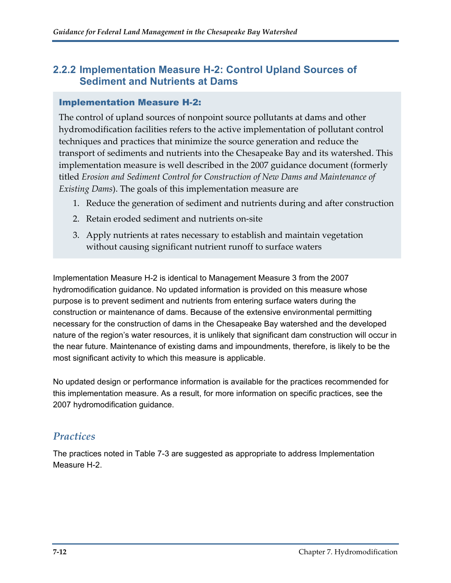#### <span id="page-12-0"></span>**2.2.2 Implementation Measure H-2: Control Upland Sources of Sediment and Nutrients at Dams**

#### Implementation Measure H-2:

The control of upland sources of nonpoint source pollutants at dams and other hydromodification facilities refers to the active implementation of pollutant control techniques and practices that minimize the source generation and reduce the transport of sediments and nutrients into the Chesapeake Bay and its watershed. This implementation measure is well described in the 2007 guidance document (formerly titled *Erosion and Sediment Control for Construction of New Dams and Maintenance of Existing Dams*). The goals of this implementation measure are

- 1. Reduce the generation of sediment and nutrients during and after construction
- 2. Retain eroded sediment and nutrients on‐site
- 3. Apply nutrients at rates necessary to establish and maintain vegetation without causing significant nutrient runoff to surface waters

Implementation Measure H-2 is identical to Management Measure 3 from the 2007 hydromodification guidance. No updated information is provided on this measure whose purpose is to prevent sediment and nutrients from entering surface waters during the construction or maintenance of dams. Because of the extensive environmental permitting necessary for the construction of dams in the Chesapeake Bay watershed and the developed nature of the region's water resources, it is unlikely that significant dam construction will occur in the near future. Maintenance of existing dams and impoundments, therefore, is likely to be the most significant activity to which this measure is applicable.

No updated design or performance information is available for the practices recommended for this implementation measure. As a result, for more information on specific practices, see the 2007 hydromodification guidance.

#### *Practices*

The practices noted in Table 7-3 are suggested as appropriate to address Implementation Measure H-2.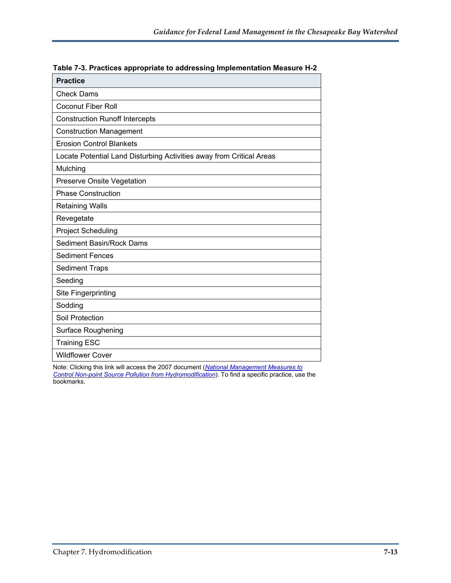| <b>Practice</b>                                                      |
|----------------------------------------------------------------------|
| <b>Check Dams</b>                                                    |
| <b>Coconut Fiber Roll</b>                                            |
| <b>Construction Runoff Intercepts</b>                                |
| <b>Construction Management</b>                                       |
| <b>Erosion Control Blankets</b>                                      |
| Locate Potential Land Disturbing Activities away from Critical Areas |
| Mulching                                                             |
| <b>Preserve Onsite Vegetation</b>                                    |
| <b>Phase Construction</b>                                            |
| <b>Retaining Walls</b>                                               |
| Revegetate                                                           |
| <b>Project Scheduling</b>                                            |
| <b>Sediment Basin/Rock Dams</b>                                      |
| <b>Sediment Fences</b>                                               |
| <b>Sediment Traps</b>                                                |
| Seeding                                                              |
| Site Fingerprinting                                                  |
| Sodding                                                              |
| Soil Protection                                                      |
| Surface Roughening                                                   |
| <b>Training ESC</b>                                                  |
| <b>Wildflower Cover</b>                                              |

|  |  |  | Table 7-3. Practices appropriate to addressing Implementation Measure H-2 |  |
|--|--|--|---------------------------------------------------------------------------|--|
|  |  |  |                                                                           |  |

Note: Clicking this link will access the 2007 document (*[National Management Measures to](http://www.epa.gov/owow/nps/hydromod/pdf/Chapter_7_Practices_web.pdf)  [Control Non-point Source Pollution from Hydromodification](http://www.epa.gov/owow/nps/hydromod/pdf/Chapter_7_Practices_web.pdf)*). To find a specific practice, use the bookmarks.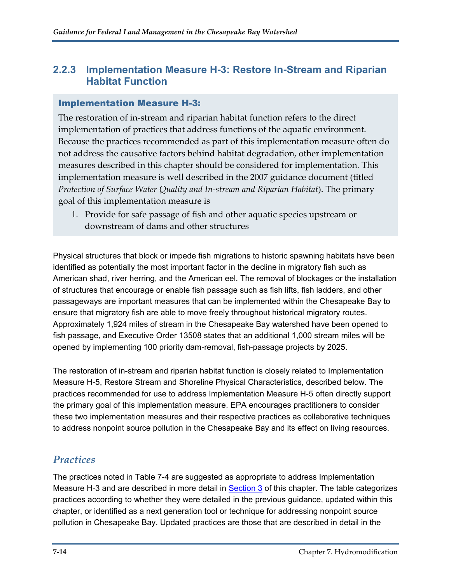#### <span id="page-14-0"></span>**2.2.3 Implementation Measure H-3: Restore In-Stream and Riparian Habitat Function**

#### Implementation Measure H-3:

The restoration of in-stream and riparian habitat function refers to the direct implementation of practices that address functions of the aquatic environment. Because the practices recommended as part of this implementation measure often do not address the causative factors behind habitat degradation, other implementation measures described in this chapter should be considered for implementation. This implementation measure is well described in the 2007 guidance document (titled *Protection of Surface Water Quality and In‐stream and Riparian Habitat*). The primary goal of this implementation measure is

1. Provide for safe passage of fish and other aquatic species upstream or downstream of dams and other structures

Physical structures that block or impede fish migrations to historic spawning habitats have been identified as potentially the most important factor in the decline in migratory fish such as American shad, river herring, and the American eel. The removal of blockages or the installation of structures that encourage or enable fish passage such as fish lifts, fish ladders, and other passageways are important measures that can be implemented within the Chesapeake Bay to ensure that migratory fish are able to move freely throughout historical migratory routes. Approximately 1,924 miles of stream in the Chesapeake Bay watershed have been opened to fish passage, and Executive Order 13508 states that an additional 1,000 stream miles will be opened by implementing 100 priority dam-removal, fish-passage projects by 2025.

The restoration of in-stream and riparian habitat function is closely related to Implementation Measure H-5, Restore Stream and Shoreline Physical Characteristics, described below. The practices recommended for use to address Implementation Measure H-5 often directly support the primary goal of this implementation measure. EPA encourages practitioners to consider these two implementation measures and their respective practices as collaborative techniques to address nonpoint source pollution in the Chesapeake Bay and its effect on living resources.

#### *Practices*

The practices noted in Table 7-4 are suggested as appropriate to address Implementation Measure H-3 and are described in more detail in [Section 3](#page-20-0) of this chapter. The table categorizes practices according to whether they were detailed in the previous guidance, updated within this chapter, or identified as a next generation tool or technique for addressing nonpoint source pollution in Chesapeake Bay. Updated practices are those that are described in detail in the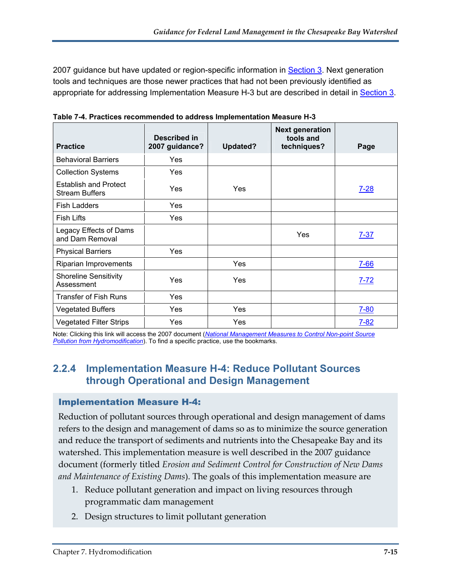2007 guidance but have updated or region-specific information in **Section 3**. Next generation tools and techniques are those newer practices that had not been previously identified as appropriate for addressing Implementation Measure H-3 but are described in detail in [Section 3.](#page-20-0)

| <b>Practice</b>                                       | Described in<br>2007 guidance? | Updated?   | <b>Next generation</b><br>tools and<br>techniques? | Page     |
|-------------------------------------------------------|--------------------------------|------------|----------------------------------------------------|----------|
| <b>Behavioral Barriers</b>                            | Yes                            |            |                                                    |          |
| <b>Collection Systems</b>                             | Yes                            |            |                                                    |          |
| <b>Establish and Protect</b><br><b>Stream Buffers</b> | Yes                            | Yes        |                                                    | $7 - 28$ |
| <b>Fish Ladders</b>                                   | Yes                            |            |                                                    |          |
| <b>Fish Lifts</b>                                     | Yes                            |            |                                                    |          |
| Legacy Effects of Dams<br>and Dam Removal             |                                |            | Yes                                                | $7 - 37$ |
| <b>Physical Barriers</b>                              | Yes                            |            |                                                    |          |
| Riparian Improvements                                 |                                | Yes        |                                                    | $7 - 66$ |
| <b>Shoreline Sensitivity</b><br>Assessment            | Yes                            | Yes        |                                                    | $7 - 72$ |
| <b>Transfer of Fish Runs</b>                          | Yes                            |            |                                                    |          |
| <b>Vegetated Buffers</b>                              | Yes                            | <b>Yes</b> |                                                    | $7 - 80$ |
| <b>Vegetated Filter Strips</b>                        | Yes                            | Yes        |                                                    | $7 - 82$ |

**Table 7-4. Practices recommended to address Implementation Measure H-3** 

Note: Clicking this link will access the 2007 document (*[National Management Measures to Control Non-point Source](http://www.epa.gov/owow/nps/hydromod/pdf/Chapter_7_Practices_web.pdf)  [Pollution from Hydromodification](http://www.epa.gov/owow/nps/hydromod/pdf/Chapter_7_Practices_web.pdf)*). To find a specific practice, use the bookmarks.

#### <span id="page-15-0"></span>**2.2.4 Implementation Measure H-4: Reduce Pollutant Sources through Operational and Design Management**

#### Implementation Measure H-4:

Reduction of pollutant sources through operational and design management of dams refers to the design and management of dams so as to minimize the source generation and reduce the transport of sediments and nutrients into the Chesapeake Bay and its watershed. This implementation measure is well described in the 2007 guidance document (formerly titled *Erosion and Sediment Control for Construction of New Dams and Maintenance of Existing Dams*). The goals of this implementation measure are

- 1. Reduce pollutant generation and impact on living resources through programmatic dam management
- 2. Design structures to limit pollutant generation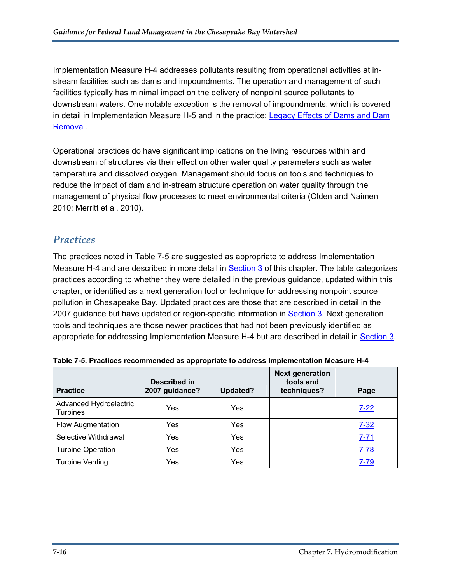Implementation Measure H-4 addresses pollutants resulting from operational activities at instream facilities such as dams and impoundments. The operation and management of such facilities typically has minimal impact on the delivery of nonpoint source pollutants to downstream waters. One notable exception is the removal of impoundments, which is covered in detail in Implementation Measure H-5 and in the practice: Legacy Effects of Dams and Dam [Removal](#page-37-0).

Operational practices do have significant implications on the living resources within and downstream of structures via their effect on other water quality parameters such as water temperature and dissolved oxygen. Management should focus on tools and techniques to reduce the impact of dam and in-stream structure operation on water quality through the management of physical flow processes to meet environmental criteria (Olden and Naimen 2010; Merritt et al. 2010).

#### *Practices*

The practices noted in Table 7-5 are suggested as appropriate to address Implementation Measure H-4 and are described in more detail in [Section 3](#page-20-0) of this chapter. The table categorizes practices according to whether they were detailed in the previous guidance, updated within this chapter, or identified as a next generation tool or technique for addressing nonpoint source pollution in Chesapeake Bay. Updated practices are those that are described in detail in the 2007 guidance but have updated or region-specific information in [Section 3](#page-20-0). Next generation tools and techniques are those newer practices that had not been previously identified as appropriate for addressing Implementation Measure H-4 but are described in detail in [Section 3.](#page-20-0)

| <b>Practice</b>                           | Described in<br>2007 guidance? | Updated? | <b>Next generation</b><br>tools and<br>techniques? | Page     |
|-------------------------------------------|--------------------------------|----------|----------------------------------------------------|----------|
| Advanced Hydroelectric<br><b>Turbines</b> | Yes                            | Yes      |                                                    | $7 - 22$ |
| <b>Flow Augmentation</b>                  | Yes                            | Yes      |                                                    | $7 - 32$ |
| Selective Withdrawal                      | Yes                            | Yes      |                                                    | $7 - 71$ |
| <b>Turbine Operation</b>                  | Yes                            | Yes      |                                                    | $7 - 78$ |
| <b>Turbine Venting</b>                    | Yes                            | Yes      |                                                    | $7 - 79$ |

**Table 7-5. Practices recommended as appropriate to address Implementation Measure H-4**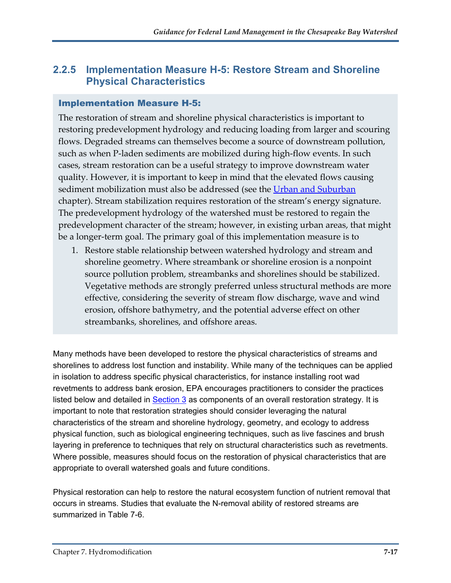#### <span id="page-17-0"></span>**2.2.5 Implementation Measure H-5: Restore Stream and Shoreline Physical Characteristics**

#### Implementation Measure H-5:

The restoration of stream and shoreline physical characteristics is important to restoring predevelopment hydrology and reducing loading from larger and scouring flows. Degraded streams can themselves become a source of downstream pollution, such as when P-laden sediments are mobilized during high-flow events. In such cases, stream restoration can be a useful strategy to improve downstream water quality. However, it is important to keep in mind that the elevated flows causing sediment mobilization must also be addressed (see the Urban and [Suburban](http://www.epa.gov/owow/nps/chesbay502/pdf/chesbay_chap03.pdf) chapter). Stream stabilization requires restoration of the stream's energy signature. The predevelopment hydrology of the watershed must be restored to regain the predevelopment character of the stream; however, in existing urban areas, that might be a longer-term goal. The primary goal of this implementation measure is to

1. Restore stable relationship between watershed hydrology and stream and shoreline geometry. Where streambank or shoreline erosion is a nonpoint source pollution problem, streambanks and shorelines should be stabilized. Vegetative methods are strongly preferred unless structural methods are more effective, considering the severity of stream flow discharge, wave and wind erosion, offshore bathymetry, and the potential adverse effect on other streambanks, shorelines, and offshore areas.

Many methods have been developed to restore the physical characteristics of streams and shorelines to address lost function and instability. While many of the techniques can be applied in isolation to address specific physical characteristics, for instance installing root wad revetments to address bank erosion, EPA encourages practitioners to consider the practices listed below and detailed in **Section 3** as components of an overall restoration strategy. It is important to note that restoration strategies should consider leveraging the natural characteristics of the stream and shoreline hydrology, geometry, and ecology to address physical function, such as biological engineering techniques, such as live fascines and brush layering in preference to techniques that rely on structural characteristics such as revetments. Where possible, measures should focus on the restoration of physical characteristics that are appropriate to overall watershed goals and future conditions.

Physical restoration can help to restore the natural ecosystem function of nutrient removal that occurs in streams. Studies that evaluate the N-removal ability of restored streams are summarized in Table 7-6.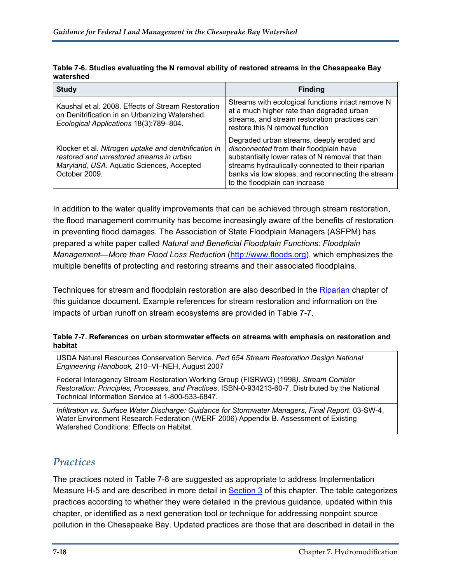| <b>Study</b>                                                                                                                                                    | <b>Finding</b>                                                                                                                                                                                                                                                                       |
|-----------------------------------------------------------------------------------------------------------------------------------------------------------------|--------------------------------------------------------------------------------------------------------------------------------------------------------------------------------------------------------------------------------------------------------------------------------------|
| Kaushal et al. 2008. Effects of Stream Restoration<br>on Denitrification in an Urbanizing Watershed.<br>Ecological Applications 18(3):789-804.                  | Streams with ecological functions intact remove N<br>at a much higher rate than degraded urban<br>streams, and stream restoration practices can<br>restore this N removal function                                                                                                   |
| Klocker et al. Nitrogen uptake and denitrification in<br>restored and unrestored streams in urban<br>Maryland, USA. Aquatic Sciences, Accepted<br>October 2009. | Degraded urban streams, deeply eroded and<br>disconnected from their floodplain have<br>substantially lower rates of N removal that than<br>streams hydraulically connected to their riparian<br>banks via low slopes, and reconnecting the stream<br>to the floodplain can increase |

**Table 7-6. Studies evaluating the N removal ability of restored streams in the Chesapeake Bay watershed** 

In addition to the water quality improvements that can be achieved through stream restoration, the flood management community has become increasingly aware of the benefits of restoration in preventing flood damages. The Association of State Floodplain Managers (ASFPM) has prepared a white paper called *Natural and Beneficial Floodplain Functions: Floodplain Management—More than Flood Loss Reduction* ([http://www.floods.org\)](http://www.floods.org/), which emphasizes the multiple benefits of protecting and restoring streams and their associated floodplains.

Techniques for stream and floodplain restoration are also described in the [Riparian](http://www.epa.gov/owow/nps/chesbay502/pdf/chesbay_chap05.pdf) chapter of this guidance document. Example references for stream restoration and information on the impacts of urban runoff on stream ecosystems are provided in Table 7-7.

#### **Table 7-7. References on urban stormwater effects on streams with emphasis on restoration and habitat**

USDA Natural Resources Conservation Service, *Part 654 Stream Restoration Design National Engineering Handbook,* 210–VI–NEH, August 2007

Federal Interagency Stream Restoration Working Group (FISRWG) (1998*). Stream Corridor Restoration: Principles, Processes, and Practices*, ISBN-0-934213-60-7, Distributed by the National Technical Information Service at 1-800-533-6847.

*Infiltration vs. Surface Water Discharge: Guidance for Stormwater Managers, Final Report*. 03-SW-4, Water Environment Research Federation (WERF 2006) Appendix B. Assessment of Existing Watershed Conditions: Effects on Habitat.

#### *Practices*

The practices noted in Table 7-8 are suggested as appropriate to address Implementation Measure H-5 and are described in more detail in [Section 3](#page-20-0) of this chapter. The table categorizes practices according to whether they were detailed in the previous guidance, updated within this chapter, or identified as a next generation tool or technique for addressing nonpoint source pollution in the Chesapeake Bay. Updated practices are those that are described in detail in the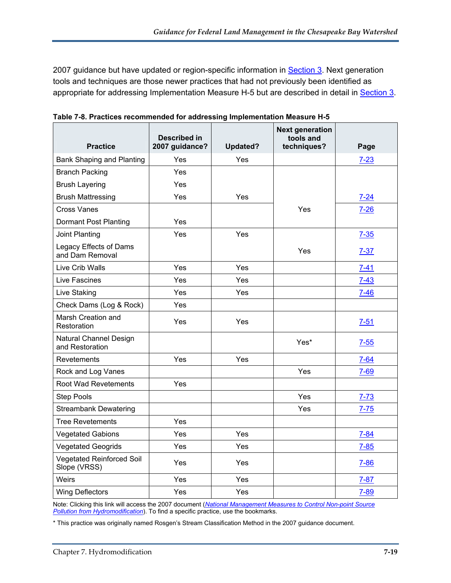2007 guidance but have updated or region-specific information in **Section 3**. Next generation tools and techniques are those newer practices that had not previously been identified as appropriate for addressing Implementation Measure H-5 but are described in detail in [Section 3.](#page-20-0)

| <b>Practice</b>                                  | Described in<br>2007 guidance? | <b>Updated?</b> | <b>Next generation</b><br>tools and<br>techniques? | Page     |
|--------------------------------------------------|--------------------------------|-----------------|----------------------------------------------------|----------|
| Bank Shaping and Planting                        | Yes                            | Yes             |                                                    | $7 - 23$ |
| <b>Branch Packing</b>                            | Yes                            |                 |                                                    |          |
| <b>Brush Layering</b>                            | Yes                            |                 |                                                    |          |
| <b>Brush Mattressing</b>                         | Yes                            | Yes             |                                                    | $7 - 24$ |
| <b>Cross Vanes</b>                               |                                |                 | Yes                                                | $7 - 26$ |
| <b>Dormant Post Planting</b>                     | Yes                            |                 |                                                    |          |
| Joint Planting                                   | Yes                            | Yes             |                                                    | $7 - 35$ |
| Legacy Effects of Dams<br>and Dam Removal        |                                |                 | Yes                                                | $7 - 37$ |
| Live Crib Walls                                  | Yes                            | Yes             |                                                    | $7 - 41$ |
| Live Fascines                                    | Yes                            | Yes             |                                                    | $7 - 43$ |
| Live Staking                                     | Yes                            | Yes             |                                                    | $7 - 46$ |
| Check Dams (Log & Rock)                          | Yes                            |                 |                                                    |          |
| Marsh Creation and<br>Restoration                | Yes                            | Yes             |                                                    | $7 - 51$ |
| Natural Channel Design<br>and Restoration        |                                |                 | Yes*                                               | $7 - 55$ |
| Revetements                                      | Yes                            | Yes             |                                                    | $7 - 64$ |
| Rock and Log Vanes                               |                                |                 | <b>Yes</b>                                         | $7 - 69$ |
| Root Wad Revetements                             | Yes                            |                 |                                                    |          |
| <b>Step Pools</b>                                |                                |                 | Yes                                                | $7 - 73$ |
| <b>Streambank Dewatering</b>                     |                                |                 | Yes                                                | $7 - 75$ |
| <b>Tree Revetements</b>                          | Yes                            |                 |                                                    |          |
| <b>Vegetated Gabions</b>                         | Yes                            | Yes             |                                                    | $7 - 84$ |
| <b>Vegetated Geogrids</b>                        | Yes                            | Yes             |                                                    | $7 - 85$ |
| <b>Vegetated Reinforced Soil</b><br>Slope (VRSS) | Yes                            | Yes             |                                                    | $7 - 86$ |
| Weirs                                            | Yes                            | Yes             |                                                    | $7 - 87$ |
| <b>Wing Deflectors</b>                           | Yes                            | Yes             |                                                    | $7 - 89$ |

**Table 7-8. Practices recommended for addressing Implementation Measure H-5** 

Note: Clicking this link will access the 2007 document (*[National Management Measures to Control Non-point Source](http://www.epa.gov/owow/nps/hydromod/pdf/Chapter_7_Practices_web.pdf)  [Pollution from Hydromodification](http://www.epa.gov/owow/nps/hydromod/pdf/Chapter_7_Practices_web.pdf)*). To find a specific practice, use the bookmarks.

\* This practice was originally named Rosgen's Stream Classification Method in the 2007 guidance document.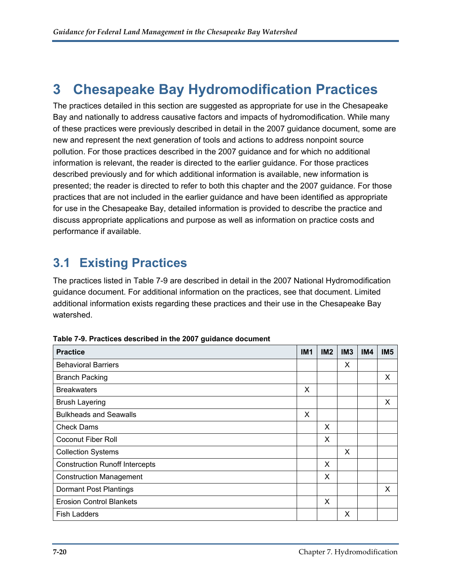## <span id="page-20-0"></span>**3 Chesapeake Bay Hydromodification Practices**

The practices detailed in this section are suggested as appropriate for use in the Chesapeake Bay and nationally to address causative factors and impacts of hydromodification. While many of these practices were previously described in detail in the 2007 guidance document, some are new and represent the next generation of tools and actions to address nonpoint source pollution. For those practices described in the 2007 guidance and for which no additional information is relevant, the reader is directed to the earlier guidance. For those practices described previously and for which additional information is available, new information is presented; the reader is directed to refer to both this chapter and the 2007 guidance. For those practices that are not included in the earlier guidance and have been identified as appropriate for use in the Chesapeake Bay, detailed information is provided to describe the practice and discuss appropriate applications and purpose as well as information on practice costs and performance if available.

## <span id="page-20-1"></span>**3.1 Existing Practices**

The practices listed in Table 7-9 are described in detail in the 2007 National Hydromodification guidance document. For additional information on the practices, see that document. Limited additional information exists regarding these practices and their use in the Chesapeake Bay watershed.

| <b>Practice</b>                       | IM <sub>1</sub> | IM2 | IM <sub>3</sub> | <b>IM4</b> | IM <sub>5</sub> |
|---------------------------------------|-----------------|-----|-----------------|------------|-----------------|
| <b>Behavioral Barriers</b>            |                 |     | X               |            |                 |
| <b>Branch Packing</b>                 |                 |     |                 |            | X               |
| <b>Breakwaters</b>                    | X               |     |                 |            |                 |
| <b>Brush Layering</b>                 |                 |     |                 |            | X               |
| <b>Bulkheads and Seawalls</b>         | X               |     |                 |            |                 |
| <b>Check Dams</b>                     |                 | X   |                 |            |                 |
| <b>Coconut Fiber Roll</b>             |                 | X   |                 |            |                 |
| <b>Collection Systems</b>             |                 |     | X               |            |                 |
| <b>Construction Runoff Intercepts</b> |                 | X   |                 |            |                 |
| <b>Construction Management</b>        |                 | X   |                 |            |                 |
| Dormant Post Plantings                |                 |     |                 |            | X               |
| <b>Erosion Control Blankets</b>       |                 | X   |                 |            |                 |
| <b>Fish Ladders</b>                   |                 |     | X               |            |                 |

**Table 7-9. Practices described in the 2007 guidance document**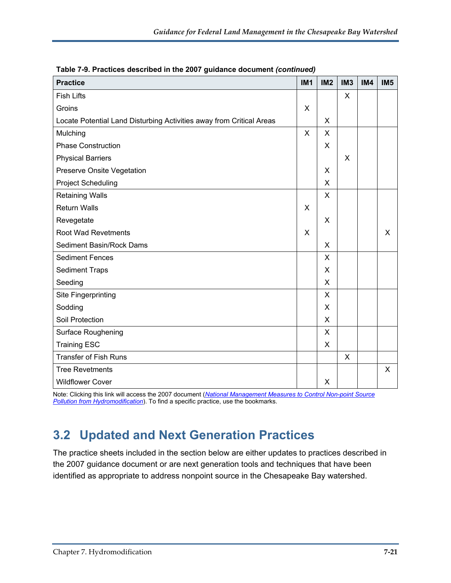| <b>Practice</b>                                                      | IM <sub>1</sub> | IM <sub>2</sub> | IM <sub>3</sub> | IM4 | IM <sub>5</sub> |
|----------------------------------------------------------------------|-----------------|-----------------|-----------------|-----|-----------------|
| <b>Fish Lifts</b>                                                    |                 |                 | X               |     |                 |
| Groins                                                               | X               |                 |                 |     |                 |
| Locate Potential Land Disturbing Activities away from Critical Areas |                 | X               |                 |     |                 |
| Mulching                                                             | X               | X               |                 |     |                 |
| <b>Phase Construction</b>                                            |                 | X               |                 |     |                 |
| <b>Physical Barriers</b>                                             |                 |                 | X               |     |                 |
| Preserve Onsite Vegetation                                           |                 | X               |                 |     |                 |
| <b>Project Scheduling</b>                                            |                 | X               |                 |     |                 |
| <b>Retaining Walls</b>                                               |                 | X               |                 |     |                 |
| <b>Return Walls</b>                                                  | X               |                 |                 |     |                 |
| Revegetate                                                           |                 | $\sf X$         |                 |     |                 |
| <b>Root Wad Revetments</b>                                           | X               |                 |                 |     | X               |
| Sediment Basin/Rock Dams                                             |                 | $\mathsf{X}$    |                 |     |                 |
| <b>Sediment Fences</b>                                               |                 | $\pmb{\times}$  |                 |     |                 |
| <b>Sediment Traps</b>                                                |                 | X               |                 |     |                 |
| Seeding                                                              |                 | X               |                 |     |                 |
| Site Fingerprinting                                                  |                 | X               |                 |     |                 |
| Sodding                                                              |                 | X               |                 |     |                 |
| Soil Protection                                                      |                 | X               |                 |     |                 |
| Surface Roughening                                                   |                 | X               |                 |     |                 |
| <b>Training ESC</b>                                                  |                 | $\times$        |                 |     |                 |
| <b>Transfer of Fish Runs</b>                                         |                 |                 | X               |     |                 |
| <b>Tree Revetments</b>                                               |                 |                 |                 |     | $\times$        |
| <b>Wildflower Cover</b>                                              |                 | X               |                 |     |                 |

**Table 7-9. Practices described in the 2007 guidance document** *(continued)*

Note: Clicking this link will access the 2007 document (*[National Management Measures to Control Non-point Source](http://www.epa.gov/owow/nps/hydromod/pdf/Chapter_7_Practices_web.pdf)  [Pollution from Hydromodification](http://www.epa.gov/owow/nps/hydromod/pdf/Chapter_7_Practices_web.pdf)*). To find a specific practice, use the bookmarks.

### <span id="page-21-0"></span>**3.2 Updated and Next Generation Practices**

The practice sheets included in the section below are either updates to practices described in the 2007 guidance document or are next generation tools and techniques that have been identified as appropriate to address nonpoint source in the Chesapeake Bay watershed.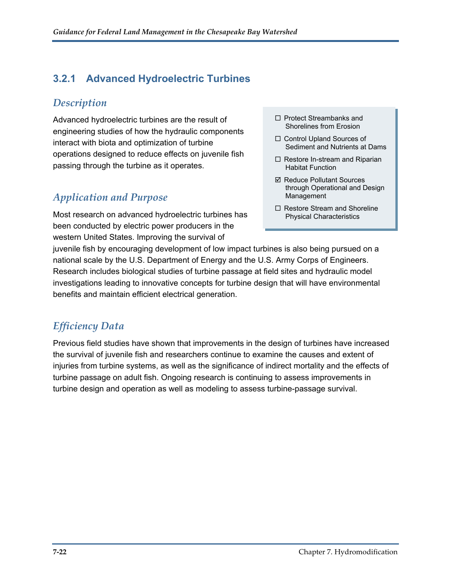### <span id="page-22-0"></span>**3.2.1 Advanced Hydroelectric Turbines**

#### *Description*

Advanced hydroelectric turbines are the result of engineering studies of how the hydraulic components interact with biota and optimization of turbine operations designed to reduce effects on juvenile fish passing through the turbine as it operates.

### *Application and Purpose*

Most research on advanced hydroelectric turbines has been conducted by electric power producers in the western United States. Improving the survival of

- □ Protect Streambanks and Shorelines from Erosion
- □ Control Upland Sources of Sediment and Nutrients at Dams
- $\Box$  Restore In-stream and Riparian Habitat Function
- **Ø Reduce Pollutant Sources** through Operational and Design Management
- $\Box$  Restore Stream and Shoreline Physical Characteristics

juvenile fish by encouraging development of low impact turbines is also being pursued on a national scale by the U.S. Department of Energy and the U.S. Army Corps of Engineers. Research includes biological studies of turbine passage at field sites and hydraulic model investigations leading to innovative concepts for turbine design that will have environmental benefits and maintain efficient electrical generation.

### *Efficiency Data*

Previous field studies have shown that improvements in the design of turbines have increased the survival of juvenile fish and researchers continue to examine the causes and extent of injuries from turbine systems, as well as the significance of indirect mortality and the effects of turbine passage on adult fish. Ongoing research is continuing to assess improvements in turbine design and operation as well as modeling to assess turbine-passage survival.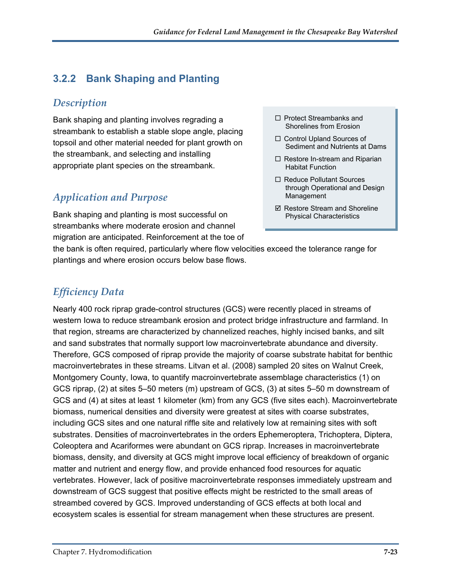### <span id="page-23-0"></span>**3.2.2 Bank Shaping and Planting**

#### *Description*

Bank shaping and planting involves regrading a streambank to establish a stable slope angle, placing topsoil and other material needed for plant growth on the streambank, and selecting and installing appropriate plant species on the streambank.

### *Application and Purpose*

Bank shaping and planting is most successful on streambanks where moderate erosion and channel migration are anticipated. Reinforcement at the toe of

- $\Box$  Protect Streambanks and Shorelines from Erosion
- □ Control Upland Sources of Sediment and Nutrients at Dams
- $\Box$  Restore In-stream and Riparian Habitat Function
- □ Reduce Pollutant Sources through Operational and Design Management
- $\boxtimes$  Restore Stream and Shoreline Physical Characteristics

the bank is often required, particularly where flow velocities exceed the tolerance range for plantings and where erosion occurs below base flows.

### *Efficiency Data*

Nearly 400 rock riprap grade-control structures (GCS) were recently placed in streams of western Iowa to reduce streambank erosion and protect bridge infrastructure and farmland. In that region, streams are characterized by channelized reaches, highly incised banks, and silt and sand substrates that normally support low macroinvertebrate abundance and diversity. Therefore, GCS composed of riprap provide the majority of coarse substrate habitat for benthic macroinvertebrates in these streams. Litvan et al. (2008) sampled 20 sites on Walnut Creek, Montgomery County, Iowa, to quantify macroinvertebrate assemblage characteristics (1) on GCS riprap, (2) at sites 5–50 meters (m) upstream of GCS, (3) at sites 5–50 m downstream of GCS and (4) at sites at least 1 kilometer (km) from any GCS (five sites each). Macroinvertebrate biomass, numerical densities and diversity were greatest at sites with coarse substrates, including GCS sites and one natural riffle site and relatively low at remaining sites with soft substrates. Densities of macroinvertebrates in the orders Ephemeroptera, Trichoptera, Diptera, Coleoptera and Acariformes were abundant on GCS riprap. Increases in macroinvertebrate biomass, density, and diversity at GCS might improve local efficiency of breakdown of organic matter and nutrient and energy flow, and provide enhanced food resources for aquatic vertebrates. However, lack of positive macroinvertebrate responses immediately upstream and downstream of GCS suggest that positive effects might be restricted to the small areas of streambed covered by GCS. Improved understanding of GCS effects at both local and ecosystem scales is essential for stream management when these structures are present.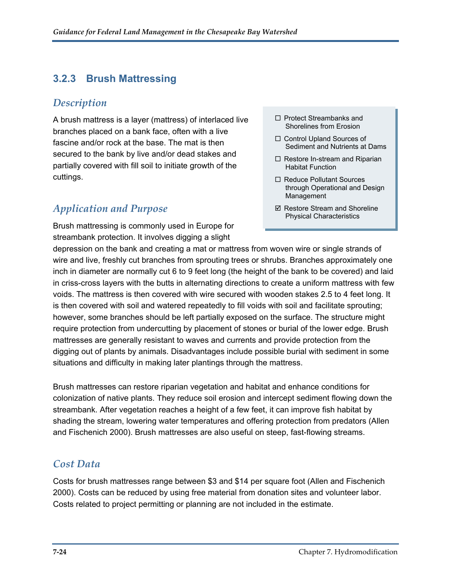#### <span id="page-24-0"></span>**3.2.3 Brush Mattressing**

#### *Description*

A brush mattress is a layer (mattress) of interlaced live branches placed on a bank face, often with a live fascine and/or rock at the base. The mat is then secured to the bank by live and/or dead stakes and partially covered with fill soil to initiate growth of the cuttings.

#### *Application and Purpose*

Brush mattressing is commonly used in Europe for streambank protection. It involves digging a slight

- $\Box$  Protect Streambanks and Shorelines from Erosion
- □ Control Upland Sources of Sediment and Nutrients at Dams
- $\Box$  Restore In-stream and Riparian Habitat Function
- □ Reduce Pollutant Sources through Operational and Design Management
- $\boxtimes$  Restore Stream and Shoreline Physical Characteristics

depression on the bank and creating a mat or mattress from woven wire or single strands of wire and live, freshly cut branches from sprouting trees or shrubs. Branches approximately one inch in diameter are normally cut 6 to 9 feet long (the height of the bank to be covered) and laid in criss-cross layers with the butts in alternating directions to create a uniform mattress with few voids. The mattress is then covered with wire secured with wooden stakes 2.5 to 4 feet long. It is then covered with soil and watered repeatedly to fill voids with soil and facilitate sprouting; however, some branches should be left partially exposed on the surface. The structure might require protection from undercutting by placement of stones or burial of the lower edge. Brush mattresses are generally resistant to waves and currents and provide protection from the digging out of plants by animals. Disadvantages include possible burial with sediment in some situations and difficulty in making later plantings through the mattress.

Brush mattresses can restore riparian vegetation and habitat and enhance conditions for colonization of native plants. They reduce soil erosion and intercept sediment flowing down the streambank. After vegetation reaches a height of a few feet, it can improve fish habitat by shading the stream, lowering water temperatures and offering protection from predators (Allen and Fischenich 2000). Brush mattresses are also useful on steep, fast-flowing streams.

#### *Cost Data*

Costs for brush mattresses range between \$3 and \$14 per square foot (Allen and Fischenich 2000). Costs can be reduced by using free material from donation sites and volunteer labor. Costs related to project permitting or planning are not included in the estimate.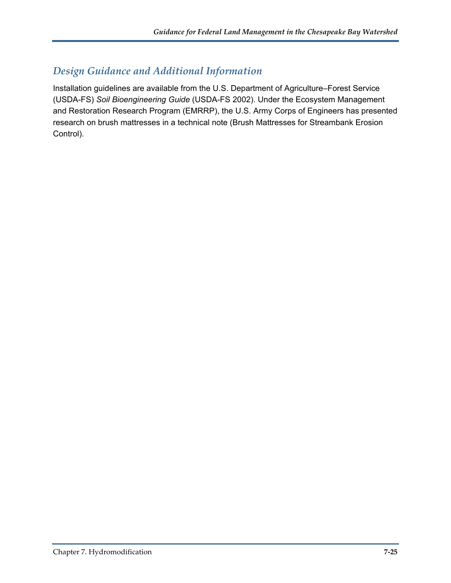#### *Design Guidance and Additional Information*

Installation guidelines are available from the U.S. Department of Agriculture–Forest Service (USDA-FS) *Soil Bioengineering Guide* (USDA-FS 2002). Under the Ecosystem Management and Restoration Research Program (EMRRP), the U.S. Army Corps of Engineers has presented research on brush mattresses in a technical note (Brush Mattresses for Streambank Erosion Control).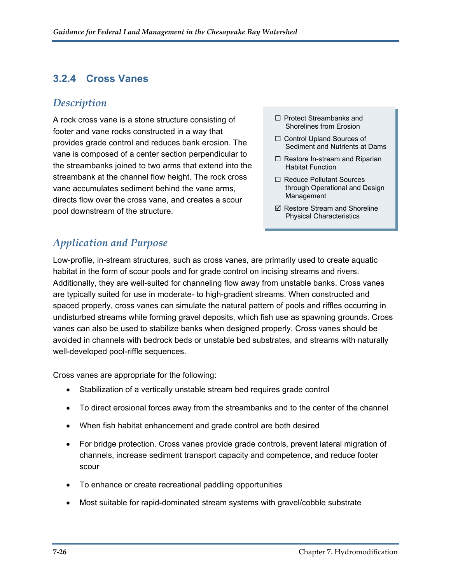### <span id="page-26-0"></span>**3.2.4 Cross Vanes**

#### *Description*

A rock cross vane is a stone structure consisting of  $\Box$  Protect Streambanks and  $\Box$  Shorelines from Erosion footer and vane rocks constructed in a way that provides grade control and reduces bank erosion. The vane is composed of a center section perpendicular to the streambanks joined to two arms that extend into the streambank at the channel flow height. The rock cross vane accumulates sediment behind the vane arms, directs flow over the cross vane, and creates a scour pool downstream of the structure.

- $\Box$  Protect Streambanks and
- □ Control Upland Sources of Sediment and Nutrients at Dams
- $\Box$  Restore In-stream and Riparian Habitat Function
- □ Reduce Pollutant Sources through Operational and Design Management
- $\boxtimes$  Restore Stream and Shoreline Physical Characteristics

### *Application and Purpose*

Low-profile, in-stream structures, such as cross vanes, are primarily used to create aquatic habitat in the form of scour pools and for grade control on incising streams and rivers. Additionally, they are well-suited for channeling flow away from unstable banks. Cross vanes are typically suited for use in moderate- to high-gradient streams. When constructed and spaced properly, cross vanes can simulate the natural pattern of pools and riffles occurring in undisturbed streams while forming gravel deposits, which fish use as spawning grounds. Cross vanes can also be used to stabilize banks when designed properly. Cross vanes should be avoided in channels with bedrock beds or unstable bed substrates, and streams with naturally well-developed pool-riffle sequences.

Cross vanes are appropriate for the following:

- Stabilization of a vertically unstable stream bed requires grade control
- To direct erosional forces away from the streambanks and to the center of the channel
- When fish habitat enhancement and grade control are both desired
- For bridge protection. Cross vanes provide grade controls, prevent lateral migration of channels, increase sediment transport capacity and competence, and reduce footer scour
- To enhance or create recreational paddling opportunities
- Most suitable for rapid-dominated stream systems with gravel/cobble substrate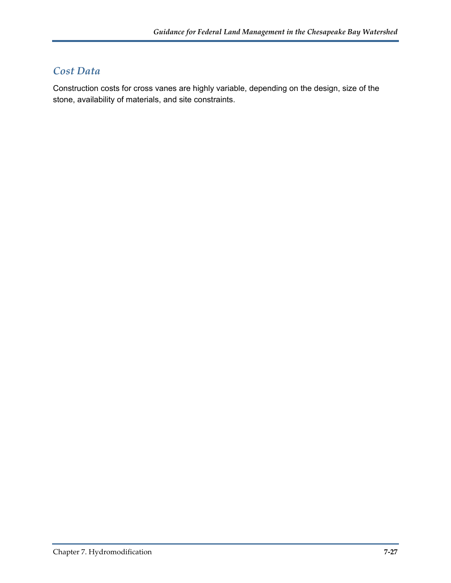#### *Cost Data*

Construction costs for cross vanes are highly variable, depending on the design, size of the stone, availability of materials, and site constraints.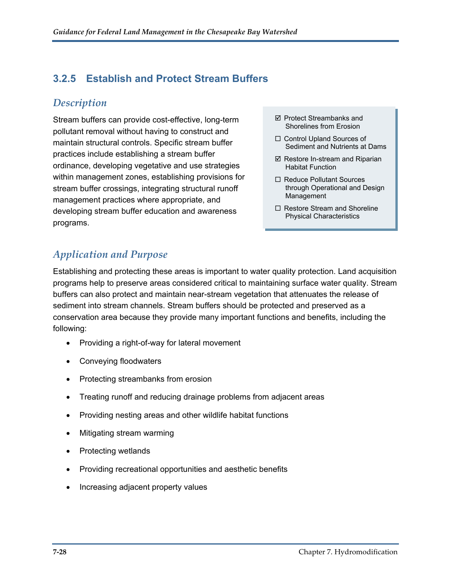#### <span id="page-28-0"></span>**3.2.5 Establish and Protect Stream Buffers**

#### *Description*

Stream buffers can provide cost-effective, long-term  $\Box$  Protect Streambanks and pollutant removal without having to construct and maintain structural controls. Specific stream buffer practices include establishing a stream buffer ordinance, developing vegetative and use strategies within management zones, establishing provisions for stream buffer crossings, integrating structural runoff management practices where appropriate, and developing stream buffer education and awareness programs.

- $\boxtimes$  Protect Streambanks and
- □ Control Upland Sources of Sediment and Nutrients at Dams
- $\boxtimes$  Restore In-stream and Riparian Habitat Function
- □ Reduce Pollutant Sources through Operational and Design Management
- $\Box$  Restore Stream and Shoreline Physical Characteristics

### *Application and Purpose*

Establishing and protecting these areas is important to water quality protection. Land acquisition programs help to preserve areas considered critical to maintaining surface water quality. Stream buffers can also protect and maintain near-stream vegetation that attenuates the release of sediment into stream channels. Stream buffers should be protected and preserved as a conservation area because they provide many important functions and benefits, including the following:

- Providing a right-of-way for lateral movement
- Conveying floodwaters
- Protecting streambanks from erosion
- Treating runoff and reducing drainage problems from adjacent areas
- Providing nesting areas and other wildlife habitat functions
- Mitigating stream warming
- Protecting wetlands
- Providing recreational opportunities and aesthetic benefits
- Increasing adjacent property values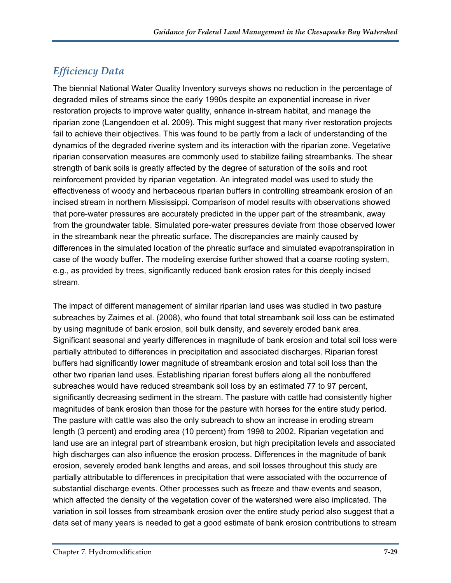### *Efficiency Data*

The biennial National Water Quality Inventory surveys shows no reduction in the percentage of degraded miles of streams since the early 1990s despite an exponential increase in river restoration projects to improve water quality, enhance in-stream habitat, and manage the riparian zone (Langendoen et al. 2009). This might suggest that many river restoration projects fail to achieve their objectives. This was found to be partly from a lack of understanding of the dynamics of the degraded riverine system and its interaction with the riparian zone. Vegetative riparian conservation measures are commonly used to stabilize failing streambanks. The shear strength of bank soils is greatly affected by the degree of saturation of the soils and root reinforcement provided by riparian vegetation. An integrated model was used to study the effectiveness of woody and herbaceous riparian buffers in controlling streambank erosion of an incised stream in northern Mississippi. Comparison of model results with observations showed that pore-water pressures are accurately predicted in the upper part of the streambank, away from the groundwater table. Simulated pore-water pressures deviate from those observed lower in the streambank near the phreatic surface. The discrepancies are mainly caused by differences in the simulated location of the phreatic surface and simulated evapotranspiration in case of the woody buffer. The modeling exercise further showed that a coarse rooting system, e.g., as provided by trees, significantly reduced bank erosion rates for this deeply incised stream.

The impact of different management of similar riparian land uses was studied in two pasture subreaches by Zaimes et al. (2008), who found that total streambank soil loss can be estimated by using magnitude of bank erosion, soil bulk density, and severely eroded bank area. Significant seasonal and yearly differences in magnitude of bank erosion and total soil loss were partially attributed to differences in precipitation and associated discharges. Riparian forest buffers had significantly lower magnitude of streambank erosion and total soil loss than the other two riparian land uses. Establishing riparian forest buffers along all the nonbuffered subreaches would have reduced streambank soil loss by an estimated 77 to 97 percent, significantly decreasing sediment in the stream. The pasture with cattle had consistently higher magnitudes of bank erosion than those for the pasture with horses for the entire study period. The pasture with cattle was also the only subreach to show an increase in eroding stream length (3 percent) and eroding area (10 percent) from 1998 to 2002. Riparian vegetation and land use are an integral part of streambank erosion, but high precipitation levels and associated high discharges can also influence the erosion process. Differences in the magnitude of bank erosion, severely eroded bank lengths and areas, and soil losses throughout this study are partially attributable to differences in precipitation that were associated with the occurrence of substantial discharge events. Other processes such as freeze and thaw events and season, which affected the density of the vegetation cover of the watershed were also implicated. The variation in soil losses from streambank erosion over the entire study period also suggest that a data set of many years is needed to get a good estimate of bank erosion contributions to stream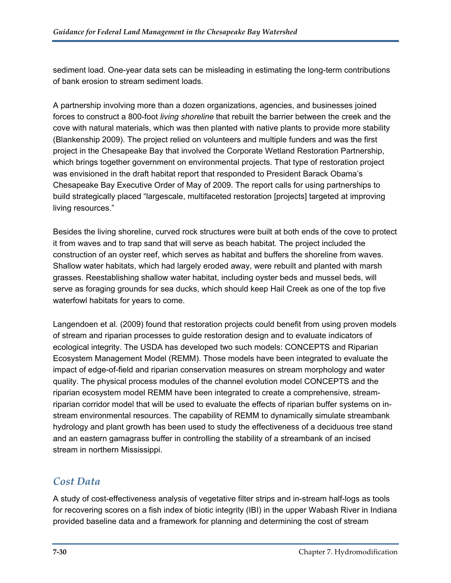sediment load. One-year data sets can be misleading in estimating the long-term contributions of bank erosion to stream sediment loads.

A partnership involving more than a dozen organizations, agencies, and businesses joined forces to construct a 800-foot *living shoreline* that rebuilt the barrier between the creek and the cove with natural materials, which was then planted with native plants to provide more stability (Blankenship 2009). The project relied on volunteers and multiple funders and was the first project in the Chesapeake Bay that involved the Corporate Wetland Restoration Partnership, which brings together government on environmental projects. That type of restoration project was envisioned in the draft habitat report that responded to President Barack Obama's Chesapeake Bay Executive Order of May of 2009. The report calls for using partnerships to build strategically placed "largescale, multifaceted restoration [projects] targeted at improving living resources."

Besides the living shoreline, curved rock structures were built at both ends of the cove to protect it from waves and to trap sand that will serve as beach habitat. The project included the construction of an oyster reef, which serves as habitat and buffers the shoreline from waves. Shallow water habitats, which had largely eroded away, were rebuilt and planted with marsh grasses. Reestablishing shallow water habitat, including oyster beds and mussel beds, will serve as foraging grounds for sea ducks, which should keep Hail Creek as one of the top five waterfowl habitats for years to come.

Langendoen et al. (2009) found that restoration projects could benefit from using proven models of stream and riparian processes to guide restoration design and to evaluate indicators of ecological integrity. The USDA has developed two such models: CONCEPTS and Riparian Ecosystem Management Model (REMM). Those models have been integrated to evaluate the impact of edge-of-field and riparian conservation measures on stream morphology and water quality. The physical process modules of the channel evolution model CONCEPTS and the riparian ecosystem model REMM have been integrated to create a comprehensive, streamriparian corridor model that will be used to evaluate the effects of riparian buffer systems on instream environmental resources. The capability of REMM to dynamically simulate streambank hydrology and plant growth has been used to study the effectiveness of a deciduous tree stand and an eastern gamagrass buffer in controlling the stability of a streambank of an incised stream in northern Mississippi.

#### *Cost Data*

A study of cost-effectiveness analysis of vegetative filter strips and in-stream half-logs as tools for recovering scores on a fish index of biotic integrity (IBI) in the upper Wabash River in Indiana provided baseline data and a framework for planning and determining the cost of stream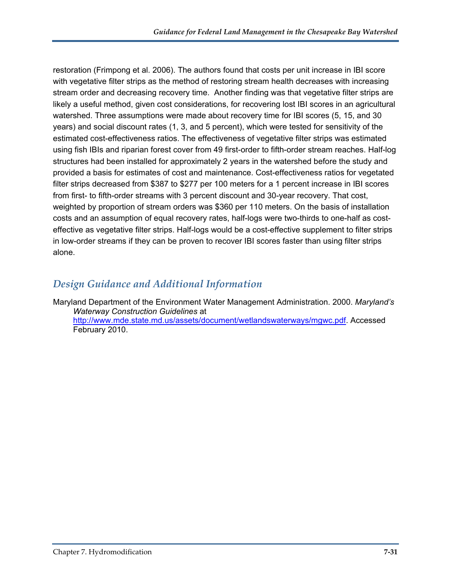restoration (Frimpong et al. 2006). The authors found that costs per unit increase in IBI score with vegetative filter strips as the method of restoring stream health decreases with increasing stream order and decreasing recovery time. Another finding was that vegetative filter strips are likely a useful method, given cost considerations, for recovering lost IBI scores in an agricultural watershed. Three assumptions were made about recovery time for IBI scores (5, 15, and 30 years) and social discount rates (1, 3, and 5 percent), which were tested for sensitivity of the estimated cost-effectiveness ratios. The effectiveness of vegetative filter strips was estimated using fish IBIs and riparian forest cover from 49 first-order to fifth-order stream reaches. Half-log structures had been installed for approximately 2 years in the watershed before the study and provided a basis for estimates of cost and maintenance. Cost-effectiveness ratios for vegetated filter strips decreased from \$387 to \$277 per 100 meters for a 1 percent increase in IBI scores from first- to fifth-order streams with 3 percent discount and 30-year recovery. That cost, weighted by proportion of stream orders was \$360 per 110 meters. On the basis of installation costs and an assumption of equal recovery rates, half-logs were two-thirds to one-half as costeffective as vegetative filter strips. Half-logs would be a cost-effective supplement to filter strips in low-order streams if they can be proven to recover IBI scores faster than using filter strips alone.

#### *Design Guidance and Additional Information*

Maryland Department of the Environment Water Management Administration. 2000. *Maryland's Waterway Construction Guidelines* at [http://www.mde.state.md.us/assets/document/wetlandswaterways/mgwc.pdf.](http://www.mde.state.md.us/assets/document/wetlandswaterways/mgwc.pdf) Accessed February 2010.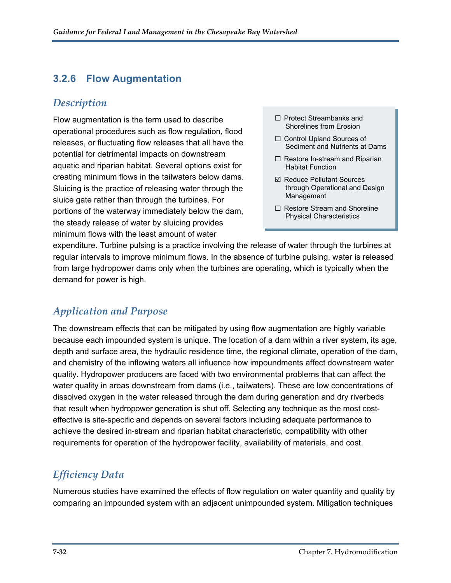#### <span id="page-32-0"></span>**3.2.6 Flow Augmentation**

#### *Description*

Flow augmentation is the term used to describe operational procedures such as flow regulation, flood releases, or fluctuating flow releases that all have the potential for detrimental impacts on downstream aquatic and riparian habitat. Several options exist for creating minimum flows in the tailwaters below dams. Sluicing is the practice of releasing water through the sluice gate rather than through the turbines. For portions of the waterway immediately below the dam, the steady release of water by sluicing provides minimum flows with the least amount of water

- $\Box$  Protect Streambanks and Shorelines from Erosion
- □ Control Upland Sources of Sediment and Nutrients at Dams
- $\Box$  Restore In-stream and Riparian Habitat Function
- **Ø Reduce Pollutant Sources** through Operational and Design Management
- $\Box$  Restore Stream and Shoreline Physical Characteristics

expenditure. Turbine pulsing is a practice involving the release of water through the turbines at regular intervals to improve minimum flows. In the absence of turbine pulsing, water is released from large hydropower dams only when the turbines are operating, which is typically when the demand for power is high.

### *Application and Purpose*

The downstream effects that can be mitigated by using flow augmentation are highly variable because each impounded system is unique. The location of a dam within a river system, its age, depth and surface area, the hydraulic residence time, the regional climate, operation of the dam, and chemistry of the inflowing waters all influence how impoundments affect downstream water quality. Hydropower producers are faced with two environmental problems that can affect the water quality in areas downstream from dams (i.e., tailwaters). These are low concentrations of dissolved oxygen in the water released through the dam during generation and dry riverbeds that result when hydropower generation is shut off. Selecting any technique as the most costeffective is site-specific and depends on several factors including adequate performance to achieve the desired in-stream and riparian habitat characteristic, compatibility with other requirements for operation of the hydropower facility, availability of materials, and cost.

### *Efficiency Data*

Numerous studies have examined the effects of flow regulation on water quantity and quality by comparing an impounded system with an adjacent unimpounded system. Mitigation techniques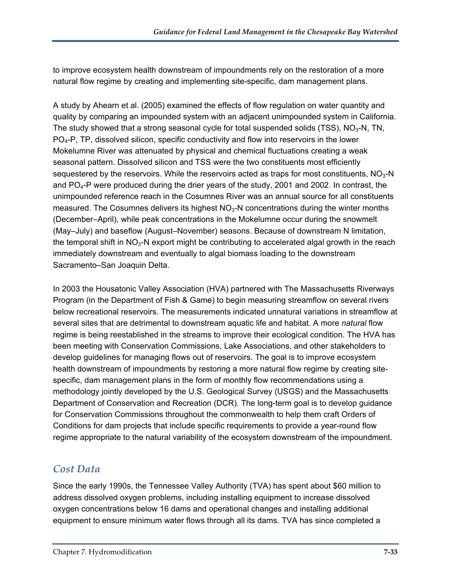to improve ecosystem health downstream of impoundments rely on the restoration of a more natural flow regime by creating and implementing site-specific, dam management plans.

A study by Ahearn et al. (2005) examined the effects of flow regulation on water quantity and quality by comparing an impounded system with an adjacent unimpounded system in California. The study showed that a strong seasonal cycle for total suspended solids (TSS),  $NO<sub>3</sub>-N$ , TN,  $PQ_4-P$ , TP, dissolved silicon, specific conductivity and flow into reservoirs in the lower Mokelumne River was attenuated by physical and chemical fluctuations creating a weak seasonal pattern. Dissolved silicon and TSS were the two constituents most efficiently sequestered by the reservoirs. While the reservoirs acted as traps for most constituents,  $NO<sub>3</sub>-N$ and  $PO_{4}$ -P were produced during the drier years of the study, 2001 and 2002. In contrast, the unimpounded reference reach in the Cosumnes River was an annual source for all constituents measured. The Cosumnes delivers its highest  $NO<sub>3</sub>-N$  concentrations during the winter months (December–April), while peak concentrations in the Mokelumne occur during the snowmelt (May–July) and baseflow (August–November) seasons. Because of downstream N limitation, the temporal shift in  $NO<sub>3</sub>-N$  export might be contributing to accelerated algal growth in the reach immediately downstream and eventually to algal biomass loading to the downstream Sacramento–San Joaquin Delta.

In 2003 the Housatonic Valley Association (HVA) partnered with The Massachusetts Riverways Program (in the Department of Fish & Game) to begin measuring streamflow on several rivers below recreational reservoirs. The measurements indicated unnatural variations in streamflow at several sites that are detrimental to downstream aquatic life and habitat. A more *natural* flow regime is being reestablished in the streams to improve their ecological condition. The HVA has been meeting with Conservation Commissions, Lake Associations, and other stakeholders to develop guidelines for managing flows out of reservoirs. The goal is to improve ecosystem health downstream of impoundments by restoring a more natural flow regime by creating sitespecific, dam management plans in the form of monthly flow recommendations using a methodology jointly developed by the U.S. Geological Survey (USGS) and the Massachusetts Department of Conservation and Recreation (DCR). The long-term goal is to develop guidance for Conservation Commissions throughout the commonwealth to help them craft Orders of Conditions for dam projects that include specific requirements to provide a year-round flow regime appropriate to the natural variability of the ecosystem downstream of the impoundment.

#### *Cost Data*

Since the early 1990s, the Tennessee Valley Authority (TVA) has spent about \$60 million to address dissolved oxygen problems, including installing equipment to increase dissolved oxygen concentrations below 16 dams and operational changes and installing additional equipment to ensure minimum water flows through all its dams. TVA has since completed a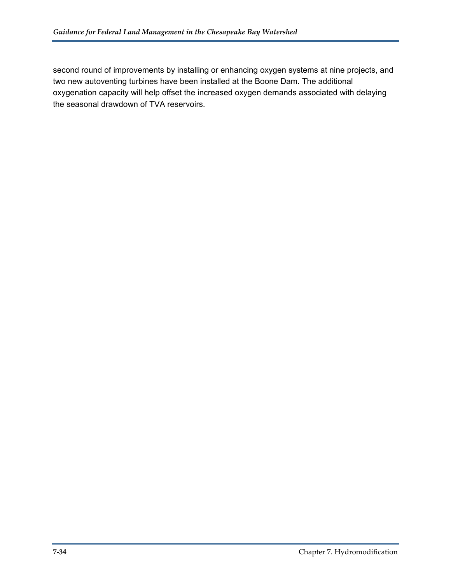second round of improvements by installing or enhancing oxygen systems at nine projects, and two new autoventing turbines have been installed at the Boone Dam. The additional oxygenation capacity will help offset the increased oxygen demands associated with delaying the seasonal drawdown of TVA reservoirs.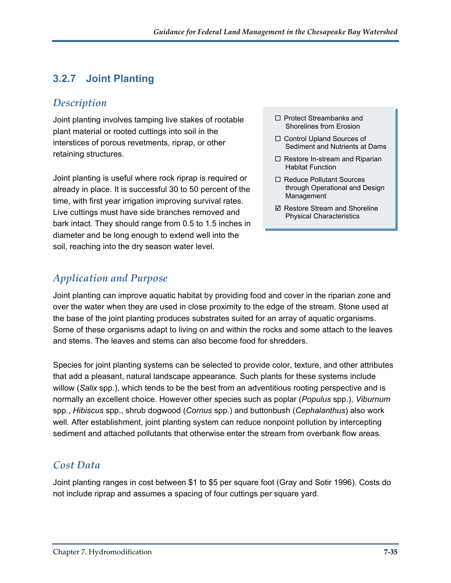### <span id="page-35-0"></span>**3.2.7 Joint Planting**

#### *Description*

Joint planting involves tamping live stakes of rootable  $\square$  Protect Streambanks and plant material or rooted cuttings into soil in the interstices of porous revetments, riprap, or other retaining structures.

Joint planting is useful where rock riprap is required or already in place. It is successful 30 to 50 percent of the time, with first year irrigation improving survival rates. Live cuttings must have side branches removed and bark intact. They should range from 0.5 to 1.5 inches in diameter and be long enough to extend well into the soil, reaching into the dry season water level.

### *Application and Purpose*

- $\Box$  Protect Streambanks and
- □ Control Upland Sources of Sediment and Nutrients at Dams
- $\Box$  Restore In-stream and Riparian Habitat Function
- □ Reduce Pollutant Sources through Operational and Design Management
- $\boxtimes$  Restore Stream and Shoreline Physical Characteristics

Joint planting can improve aquatic habitat by providing food and cover in the riparian zone and over the water when they are used in close proximity to the edge of the stream. Stone used at the base of the joint planting produces substrates suited for an array of aquatic organisms. Some of these organisms adapt to living on and within the rocks and some attach to the leaves and stems. The leaves and stems can also become food for shredders.

Species for joint planting systems can be selected to provide color, texture, and other attributes that add a pleasant, natural landscape appearance. Such plants for these systems include willow (*Salix* spp.), which tends to be the best from an adventitious rooting perspective and is normally an excellent choice. However other species such as poplar (*Populus* spp.), *Viburnum* spp., *Hibiscus* spp., shrub dogwood (*Cornus* spp.) and buttonbush (*Cephalanthus*) also work well. After establishment, joint planting system can reduce nonpoint pollution by intercepting sediment and attached pollutants that otherwise enter the stream from overbank flow areas.

#### *Cost Data*

Joint planting ranges in cost between \$1 to \$5 per square foot (Gray and Sotir 1996). Costs do not include riprap and assumes a spacing of four cuttings per square yard.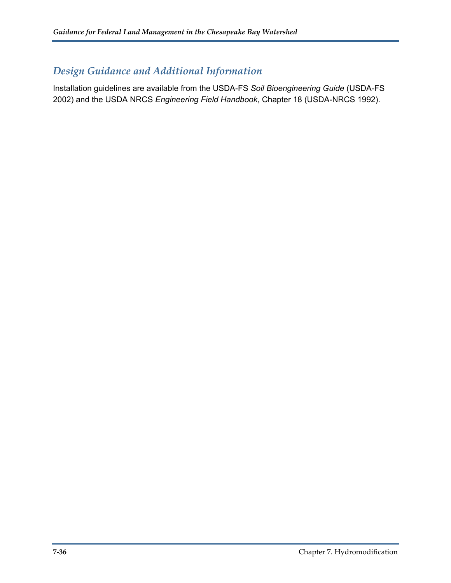# *Design Guidance and Additional Information*

Installation guidelines are available from the USDA-FS *Soil Bioengineering Guide* (USDA-FS 2002) and the USDA NRCS *Engineering Field Handbook*, Chapter 18 (USDA-NRCS 1992).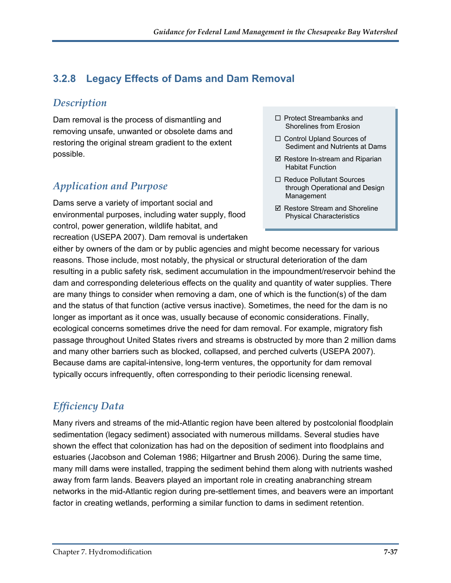# **3.2.8 Legacy Effects of Dams and Dam Removal**

### *Description*

Dam removal is the process of dismantling and removing unsafe, unwanted or obsolete dams and restoring the original stream gradient to the extent possible.

# *Application and Purpose*

Dams serve a variety of important social and environmental purposes, including water supply, flood control, power generation, wildlife habitat, and recreation (USEPA 2007). Dam removal is undertaken

- $\Box$  Protect Streambanks and Shorelines from Erosion
- □ Control Upland Sources of Sediment and Nutrients at Dams
- $\boxtimes$  Restore In-stream and Riparian Habitat Function
- □ Reduce Pollutant Sources through Operational and Design Management
- $\boxtimes$  Restore Stream and Shoreline Physical Characteristics

either by owners of the dam or by public agencies and might become necessary for various reasons. Those include, most notably, the physical or structural deterioration of the dam resulting in a public safety risk, sediment accumulation in the impoundment/reservoir behind the dam and corresponding deleterious effects on the quality and quantity of water supplies. There are many things to consider when removing a dam, one of which is the function(s) of the dam and the status of that function (active versus inactive). Sometimes, the need for the dam is no longer as important as it once was, usually because of economic considerations. Finally, ecological concerns sometimes drive the need for dam removal. For example, migratory fish passage throughout United States rivers and streams is obstructed by more than 2 million dams and many other barriers such as blocked, collapsed, and perched culverts (USEPA 2007). Because dams are capital-intensive, long-term ventures, the opportunity for dam removal typically occurs infrequently, often corresponding to their periodic licensing renewal.

# *Efficiency Data*

Many rivers and streams of the mid-Atlantic region have been altered by postcolonial floodplain sedimentation (legacy sediment) associated with numerous milldams. Several studies have shown the effect that colonization has had on the deposition of sediment into floodplains and estuaries (Jacobson and Coleman 1986; Hilgartner and Brush 2006). During the same time, many mill dams were installed, trapping the sediment behind them along with nutrients washed away from farm lands. Beavers played an important role in creating anabranching stream networks in the mid-Atlantic region during pre-settlement times, and beavers were an important factor in creating wetlands, performing a similar function to dams in sediment retention.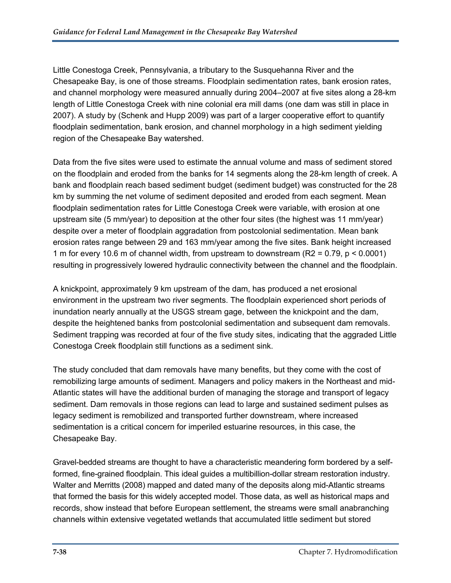Little Conestoga Creek, Pennsylvania, a tributary to the Susquehanna River and the Chesapeake Bay, is one of those streams. Floodplain sedimentation rates, bank erosion rates, and channel morphology were measured annually during 2004–2007 at five sites along a 28-km length of Little Conestoga Creek with nine colonial era mill dams (one dam was still in place in 2007). A study by (Schenk and Hupp 2009) was part of a larger cooperative effort to quantify floodplain sedimentation, bank erosion, and channel morphology in a high sediment yielding region of the Chesapeake Bay watershed.

Data from the five sites were used to estimate the annual volume and mass of sediment stored on the floodplain and eroded from the banks for 14 segments along the 28-km length of creek. A bank and floodplain reach based sediment budget (sediment budget) was constructed for the 28 km by summing the net volume of sediment deposited and eroded from each segment. Mean floodplain sedimentation rates for Little Conestoga Creek were variable, with erosion at one upstream site (5 mm/year) to deposition at the other four sites (the highest was 11 mm/year) despite over a meter of floodplain aggradation from postcolonial sedimentation. Mean bank erosion rates range between 29 and 163 mm/year among the five sites. Bank height increased 1 m for every 10.6 m of channel width, from upstream to downstream (R2 = 0.79, p < 0.0001) resulting in progressively lowered hydraulic connectivity between the channel and the floodplain.

A knickpoint, approximately 9 km upstream of the dam, has produced a net erosional environment in the upstream two river segments. The floodplain experienced short periods of inundation nearly annually at the USGS stream gage, between the knickpoint and the dam, despite the heightened banks from postcolonial sedimentation and subsequent dam removals. Sediment trapping was recorded at four of the five study sites, indicating that the aggraded Little Conestoga Creek floodplain still functions as a sediment sink.

The study concluded that dam removals have many benefits, but they come with the cost of remobilizing large amounts of sediment. Managers and policy makers in the Northeast and mid-Atlantic states will have the additional burden of managing the storage and transport of legacy sediment. Dam removals in those regions can lead to large and sustained sediment pulses as legacy sediment is remobilized and transported further downstream, where increased sedimentation is a critical concern for imperiled estuarine resources, in this case, the Chesapeake Bay.

Gravel-bedded streams are thought to have a characteristic meandering form bordered by a selfformed, fine-grained floodplain. This ideal guides a multibillion-dollar stream restoration industry. Walter and Merritts (2008) mapped and dated many of the deposits along mid-Atlantic streams that formed the basis for this widely accepted model. Those data, as well as historical maps and records, show instead that before European settlement, the streams were small anabranching channels within extensive vegetated wetlands that accumulated little sediment but stored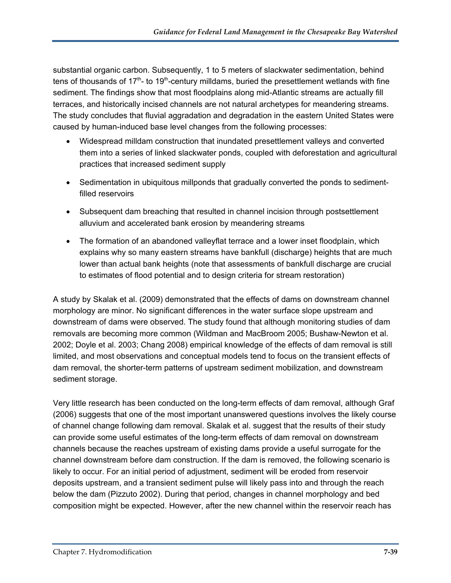substantial organic carbon. Subsequently, 1 to 5 meters of slackwater sedimentation, behind tens of thousands of  $17<sup>th</sup>$ - to  $19<sup>th</sup>$ -century milldams, buried the presettlement wetlands with fine sediment. The findings show that most floodplains along mid-Atlantic streams are actually fill terraces, and historically incised channels are not natural archetypes for meandering streams. The study concludes that fluvial aggradation and degradation in the eastern United States were caused by human-induced base level changes from the following processes:

- Widespread milldam construction that inundated presettlement valleys and converted them into a series of linked slackwater ponds, coupled with deforestation and agricultural practices that increased sediment supply
- Sedimentation in ubiquitous millponds that gradually converted the ponds to sedimentfilled reservoirs
- Subsequent dam breaching that resulted in channel incision through postsettlement alluvium and accelerated bank erosion by meandering streams
- The formation of an abandoned valleyflat terrace and a lower inset floodplain, which explains why so many eastern streams have bankfull (discharge) heights that are much lower than actual bank heights (note that assessments of bankfull discharge are crucial to estimates of flood potential and to design criteria for stream restoration)

A study by Skalak et al. (2009) demonstrated that the effects of dams on downstream channel morphology are minor. No significant differences in the water surface slope upstream and downstream of dams were observed. The study found that although monitoring studies of dam removals are becoming more common (Wildman and MacBroom 2005; Bushaw-Newton et al. 2002; Doyle et al. 2003; Chang 2008) empirical knowledge of the effects of dam removal is still limited, and most observations and conceptual models tend to focus on the transient effects of dam removal, the shorter-term patterns of upstream sediment mobilization, and downstream sediment storage.

Very little research has been conducted on the long-term effects of dam removal, although Graf (2006) suggests that one of the most important unanswered questions involves the likely course of channel change following dam removal. Skalak et al. suggest that the results of their study can provide some useful estimates of the long-term effects of dam removal on downstream channels because the reaches upstream of existing dams provide a useful surrogate for the channel downstream before dam construction. If the dam is removed, the following scenario is likely to occur. For an initial period of adjustment, sediment will be eroded from reservoir deposits upstream, and a transient sediment pulse will likely pass into and through the reach below the dam (Pizzuto 2002). During that period, changes in channel morphology and bed composition might be expected. However, after the new channel within the reservoir reach has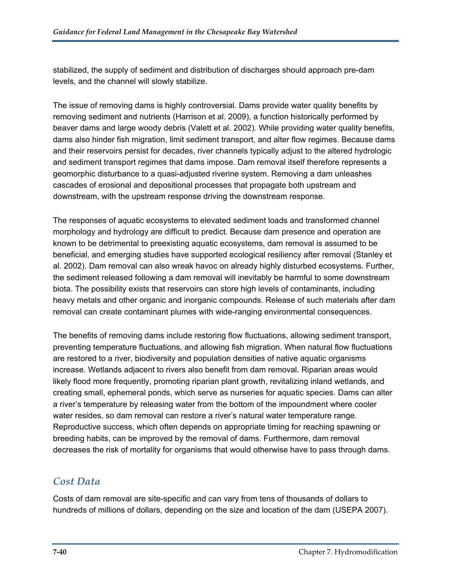stabilized, the supply of sediment and distribution of discharges should approach pre-dam levels, and the channel will slowly stabilize.

The issue of removing dams is highly controversial. Dams provide water quality benefits by removing sediment and nutrients (Harrison et al. 2009), a function historically performed by beaver dams and large woody debris (Valett et al. 2002). While providing water quality benefits, dams also hinder fish migration, limit sediment transport, and alter flow regimes. Because dams and their reservoirs persist for decades, river channels typically adjust to the altered hydrologic and sediment transport regimes that dams impose. Dam removal itself therefore represents a geomorphic disturbance to a quasi-adjusted riverine system. Removing a dam unleashes cascades of erosional and depositional processes that propagate both upstream and downstream, with the upstream response driving the downstream response.

The responses of aquatic ecosystems to elevated sediment loads and transformed channel morphology and hydrology are difficult to predict. Because dam presence and operation are known to be detrimental to preexisting aquatic ecosystems, dam removal is assumed to be beneficial, and emerging studies have supported ecological resiliency after removal (Stanley et al. 2002). Dam removal can also wreak havoc on already highly disturbed ecosystems. Further, the sediment released following a dam removal will inevitably be harmful to some downstream biota. The possibility exists that reservoirs can store high levels of contaminants, including heavy metals and other organic and inorganic compounds. Release of such materials after dam removal can create contaminant plumes with wide-ranging environmental consequences.

The benefits of removing dams include restoring flow fluctuations, allowing sediment transport, preventing temperature fluctuations, and allowing fish migration. When natural flow fluctuations are restored to a river, biodiversity and population densities of native aquatic organisms increase. Wetlands adjacent to rivers also benefit from dam removal. Riparian areas would likely flood more frequently, promoting riparian plant growth, revitalizing inland wetlands, and creating small, ephemeral ponds, which serve as nurseries for aquatic species. Dams can alter a river's temperature by releasing water from the bottom of the impoundment where cooler water resides, so dam removal can restore a river's natural water temperature range. Reproductive success, which often depends on appropriate timing for reaching spawning or breeding habits, can be improved by the removal of dams. Furthermore, dam removal decreases the risk of mortality for organisms that would otherwise have to pass through dams.

### *Cost Data*

Costs of dam removal are site-specific and can vary from tens of thousands of dollars to hundreds of millions of dollars, depending on the size and location of the dam (USEPA 2007).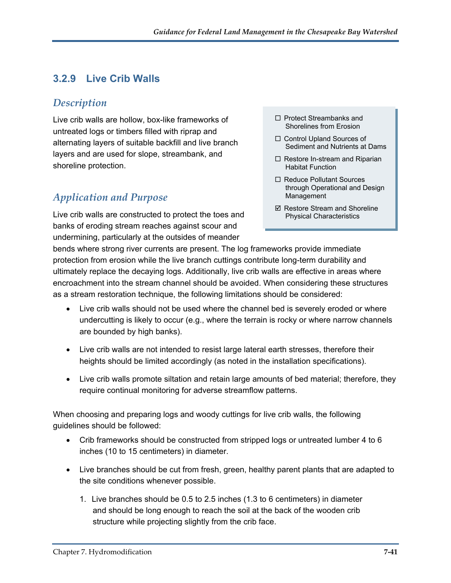# **3.2.9 Live Crib Walls**

### *Description*

Live crib walls are hollow, box-like frameworks of untreated logs or timbers filled with riprap and alternating layers of suitable backfill and live branch layers and are used for slope, streambank, and shoreline protection.

# *Application and Purpose*

Live crib walls are constructed to protect the toes and banks of eroding stream reaches against scour and undermining, particularly at the outsides of meander

- $\Box$  Protect Streambanks and Shorelines from Erosion
- □ Control Upland Sources of Sediment and Nutrients at Dams
- $\Box$  Restore In-stream and Riparian Habitat Function
- □ Reduce Pollutant Sources through Operational and Design Management
- $\boxtimes$  Restore Stream and Shoreline Physical Characteristics

bends where strong river currents are present. The log frameworks provide immediate protection from erosion while the live branch cuttings contribute long-term durability and ultimately replace the decaying logs. Additionally, live crib walls are effective in areas where encroachment into the stream channel should be avoided. When considering these structures as a stream restoration technique, the following limitations should be considered:

- Live crib walls should not be used where the channel bed is severely eroded or where undercutting is likely to occur (e.g., where the terrain is rocky or where narrow channels are bounded by high banks).
- Live crib walls are not intended to resist large lateral earth stresses, therefore their heights should be limited accordingly (as noted in the installation specifications).
- Live crib walls promote siltation and retain large amounts of bed material; therefore, they require continual monitoring for adverse streamflow patterns.

When choosing and preparing logs and woody cuttings for live crib walls, the following guidelines should be followed:

- Crib frameworks should be constructed from stripped logs or untreated lumber 4 to 6 inches (10 to 15 centimeters) in diameter.
- Live branches should be cut from fresh, green, healthy parent plants that are adapted to the site conditions whenever possible.
	- 1. Live branches should be 0.5 to 2.5 inches (1.3 to 6 centimeters) in diameter and should be long enough to reach the soil at the back of the wooden crib structure while projecting slightly from the crib face.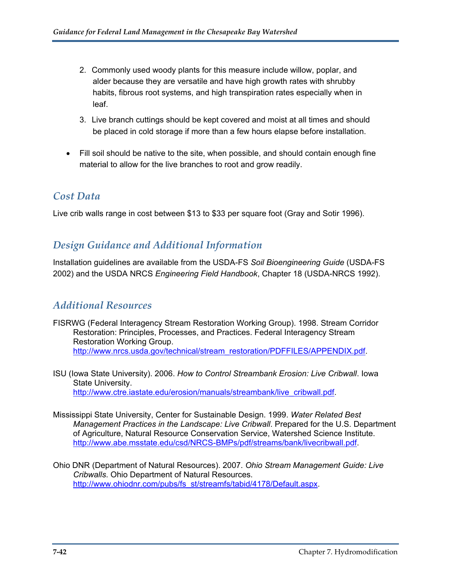- 2. Commonly used woody plants for this measure include willow, poplar, and alder because they are versatile and have high growth rates with shrubby habits, fibrous root systems, and high transpiration rates especially when in leaf.
- 3. Live branch cuttings should be kept covered and moist at all times and should be placed in cold storage if more than a few hours elapse before installation.
- Fill soil should be native to the site, when possible, and should contain enough fine material to allow for the live branches to root and grow readily.

#### *Cost Data*

Live crib walls range in cost between \$13 to \$33 per square foot (Gray and Sotir 1996).

### *Design Guidance and Additional Information*

Installation guidelines are available from the USDA-FS *Soil Bioengineering Guide* (USDA-FS 2002) and the USDA NRCS *Engineering Field Handbook*, Chapter 18 (USDA-NRCS 1992).

### *Additional Resources*

- FISRWG (Federal Interagency Stream Restoration Working Group). 1998. Stream Corridor Restoration: Principles, Processes, and Practices. Federal Interagency Stream Restoration Working Group. [http://www.nrcs.usda.gov/technical/stream\\_restoration/PDFFILES/APPENDIX.pdf](http://www.nrcs.usda.gov/technical/stream_restoration/PDFFILES/APPENDIX.pdf).
- ISU (Iowa State University). 2006. *How to Control Streambank Erosion: Live Cribwall*. Iowa State University. [http://www.ctre.iastate.edu/erosion/manuals/streambank/live\\_cribwall.pdf.](http://www.ctre.iastate.edu/erosion/manuals/streambank/live_cribwall.pdf)
- Mississippi State University, Center for Sustainable Design. 1999. *Water Related Best Management Practices in the Landscape: Live Cribwall*. Prepared for the U.S. Department of Agriculture, Natural Resource Conservation Service, Watershed Science Institute. [http://www.abe.msstate.edu/csd/NRCS-BMPs/pdf/streams/bank/livecribwall.pdf.](http://www.abe.msstate.edu/csd/NRCS-BMPs/pdf/streams/bank/livecribwall.pdf)
- Ohio DNR (Department of Natural Resources). 2007. *Ohio Stream Management Guide: Live Cribwalls*. Ohio Department of Natural Resources. [http://www.ohiodnr.com/pubs/fs\\_st/streamfs/tabid/4178/Default.aspx](http://www.ohiodnr.com/pubs/fs_st/streamfs/tabid/4178/Default.aspx).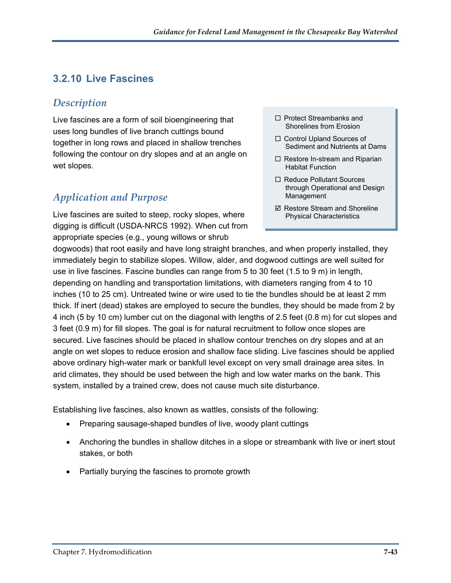# **3.2.10 Live Fascines**

### *Description*

Live fascines are a form of soil bioengineering that uses long bundles of live branch cuttings bound together in long rows and placed in shallow trenches following the contour on dry slopes and at an angle on wet slopes.

# *Application and Purpose*

Live fascines are suited to steep, rocky slopes, where digging is difficult (USDA-NRCS 1992). When cut from appropriate species (e.g., young willows or shrub

- $\Box$  Protect Streambanks and Shorelines from Erosion
- □ Control Upland Sources of Sediment and Nutrients at Dams
- $\Box$  Restore In-stream and Riparian Habitat Function
- □ Reduce Pollutant Sources through Operational and Design Management
- $\boxtimes$  Restore Stream and Shoreline Physical Characteristics

dogwoods) that root easily and have long straight branches, and when properly installed, they immediately begin to stabilize slopes. Willow, alder, and dogwood cuttings are well suited for use in live fascines. Fascine bundles can range from 5 to 30 feet (1.5 to 9 m) in length, depending on handling and transportation limitations, with diameters ranging from 4 to 10 inches (10 to 25 cm). Untreated twine or wire used to tie the bundles should be at least 2 mm thick. If inert (dead) stakes are employed to secure the bundles, they should be made from 2 by 4 inch (5 by 10 cm) lumber cut on the diagonal with lengths of 2.5 feet (0.8 m) for cut slopes and 3 feet (0.9 m) for fill slopes. The goal is for natural recruitment to follow once slopes are secured. Live fascines should be placed in shallow contour trenches on dry slopes and at an angle on wet slopes to reduce erosion and shallow face sliding. Live fascines should be applied above ordinary high-water mark or bankfull level except on very small drainage area sites. In arid climates, they should be used between the high and low water marks on the bank. This system, installed by a trained crew, does not cause much site disturbance.

Establishing live fascines, also known as wattles, consists of the following:

- Preparing sausage-shaped bundles of live, woody plant cuttings
- Anchoring the bundles in shallow ditches in a slope or streambank with live or inert stout stakes, or both
- Partially burying the fascines to promote growth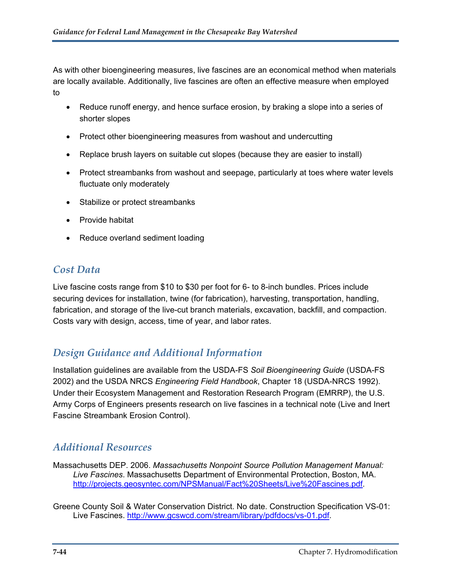As with other bioengineering measures, live fascines are an economical method when materials are locally available. Additionally, live fascines are often an effective measure when employed to

- Reduce runoff energy, and hence surface erosion, by braking a slope into a series of shorter slopes
- Protect other bioengineering measures from washout and undercutting
- Replace brush layers on suitable cut slopes (because they are easier to install)
- Protect streambanks from washout and seepage, particularly at toes where water levels fluctuate only moderately
- Stabilize or protect streambanks
- Provide habitat
- Reduce overland sediment loading

# *Cost Data*

Live fascine costs range from \$10 to \$30 per foot for 6- to 8-inch bundles. Prices include securing devices for installation, twine (for fabrication), harvesting, transportation, handling, fabrication, and storage of the live-cut branch materials, excavation, backfill, and compaction. Costs vary with design, access, time of year, and labor rates.

# *Design Guidance and Additional Information*

Installation guidelines are available from the USDA-FS *Soil Bioengineering Guide* (USDA-FS 2002) and the USDA NRCS *Engineering Field Handbook*, Chapter 18 (USDA-NRCS 1992). Under their Ecosystem Management and Restoration Research Program (EMRRP), the U.S. Army Corps of Engineers presents research on live fascines in a technical note (Live and Inert Fascine Streambank Erosion Control).

### *Additional Resources*

Massachusetts DEP. 2006. *Massachusetts Nonpoint Source Pollution Management Manual: Live Fascines*. Massachusetts Department of Environmental Protection, Boston, MA. [http://projects.geosyntec.com/NPSManual/Fact%20Sheets/Live%20Fascines.pdf.](http://projects.geosyntec.com/NPSManual/Fact%20Sheets/Live%20Fascines.pdf)

Greene County Soil & Water Conservation District. No date. Construction Specification VS-01: Live Fascines. <http://www.gcswcd.com/stream/library/pdfdocs/vs-01.pdf>.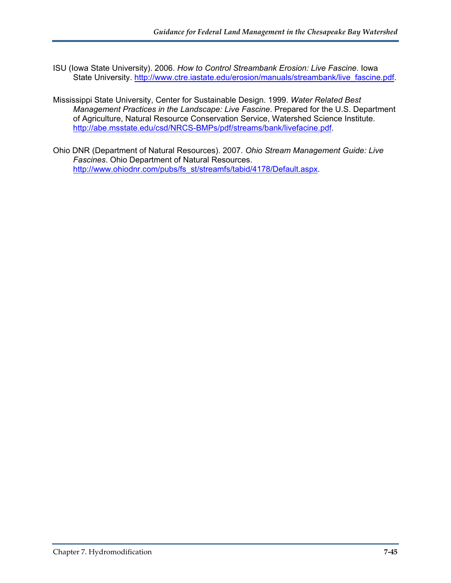- ISU (Iowa State University). 2006. *How to Control Streambank Erosion: Live Fascine*. Iowa State University. [http://www.ctre.iastate.edu/erosion/manuals/streambank/live\\_fascine.pdf](http://www.ctre.iastate.edu/erosion/manuals/streambank/live_fascine.pdf).
- Mississippi State University, Center for Sustainable Design. 1999. *Water Related Best Management Practices in the Landscape: Live Fascine*. Prepared for the U.S. Department of Agriculture, Natural Resource Conservation Service, Watershed Science Institute. <http://abe.msstate.edu/csd/NRCS-BMPs/pdf/streams/bank/livefacine.pdf>.
- Ohio DNR (Department of Natural Resources). 2007. *Ohio Stream Management Guide: Live Fascines*. Ohio Department of Natural Resources. [http://www.ohiodnr.com/pubs/fs\\_st/streamfs/tabid/4178/Default.aspx](http://www.ohiodnr.com/pubs/fs_st/streamfs/tabid/4178/Default.aspx).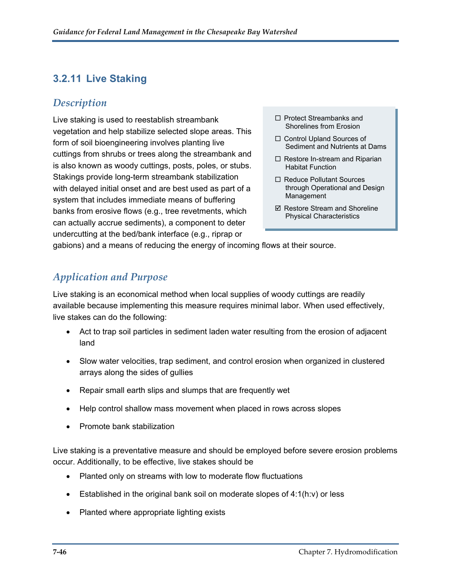# **3.2.11 Live Staking**

### *Description*

Live staking is used to reestablish streambank vegetation and help stabilize selected slope areas. This form of soil bioengineering involves planting live cuttings from shrubs or trees along the streambank and is also known as woody cuttings, posts, poles, or stubs. Stakings provide long-term streambank stabilization with delayed initial onset and are best used as part of a system that includes immediate means of buffering banks from erosive flows (e.g., tree revetments, which can actually accrue sediments), a component to deter undercutting at the bed/bank interface (e.g., riprap or

- $\Box$  Protect Streambanks and Shorelines from Erosion
- □ Control Upland Sources of Sediment and Nutrients at Dams
- $\Box$  Restore In-stream and Riparian Habitat Function
- □ Reduce Pollutant Sources through Operational and Design Management
- $\boxtimes$  Restore Stream and Shoreline Physical Characteristics

gabions) and a means of reducing the energy of incoming flows at their source.

# *Application and Purpose*

Live staking is an economical method when local supplies of woody cuttings are readily available because implementing this measure requires minimal labor. When used effectively, live stakes can do the following:

- Act to trap soil particles in sediment laden water resulting from the erosion of adjacent land
- Slow water velocities, trap sediment, and control erosion when organized in clustered arrays along the sides of gullies
- Repair small earth slips and slumps that are frequently wet
- Help control shallow mass movement when placed in rows across slopes
- Promote bank stabilization

Live staking is a preventative measure and should be employed before severe erosion problems occur. Additionally, to be effective, live stakes should be

- Planted only on streams with low to moderate flow fluctuations
- Established in the original bank soil on moderate slopes of 4:1(h:v) or less
- Planted where appropriate lighting exists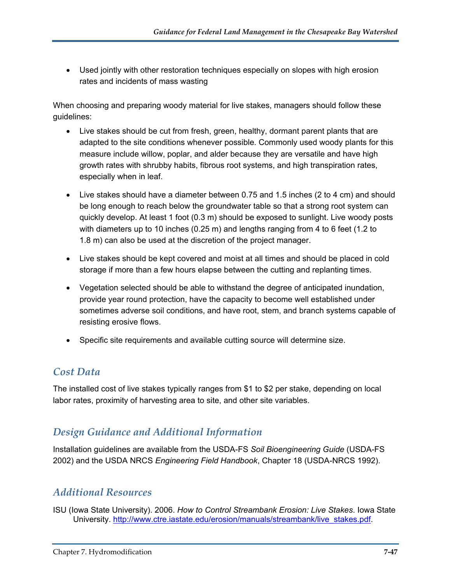Used jointly with other restoration techniques especially on slopes with high erosion rates and incidents of mass wasting

When choosing and preparing woody material for live stakes, managers should follow these guidelines:

- Live stakes should be cut from fresh, green, healthy, dormant parent plants that are adapted to the site conditions whenever possible. Commonly used woody plants for this measure include willow, poplar, and alder because they are versatile and have high growth rates with shrubby habits, fibrous root systems, and high transpiration rates, especially when in leaf.
- Live stakes should have a diameter between 0.75 and 1.5 inches (2 to 4 cm) and should be long enough to reach below the groundwater table so that a strong root system can quickly develop. At least 1 foot (0.3 m) should be exposed to sunlight. Live woody posts with diameters up to 10 inches (0.25 m) and lengths ranging from 4 to 6 feet (1.2 to 1.8 m) can also be used at the discretion of the project manager.
- Live stakes should be kept covered and moist at all times and should be placed in cold storage if more than a few hours elapse between the cutting and replanting times.
- Vegetation selected should be able to withstand the degree of anticipated inundation, provide year round protection, have the capacity to become well established under sometimes adverse soil conditions, and have root, stem, and branch systems capable of resisting erosive flows.
- Specific site requirements and available cutting source will determine size.

### *Cost Data*

The installed cost of live stakes typically ranges from \$1 to \$2 per stake, depending on local labor rates, proximity of harvesting area to site, and other site variables.

# *Design Guidance and Additional Information*

Installation guidelines are available from the USDA-FS *Soil Bioengineering Guide* (USDA-FS 2002) and the USDA NRCS *Engineering Field Handbook*, Chapter 18 (USDA-NRCS 1992).

# *Additional Resources*

ISU (Iowa State University). 2006. *How to Control Streambank Erosion: Live Stakes*. Iowa State University. [http://www.ctre.iastate.edu/erosion/manuals/streambank/live\\_stakes.pdf.](http://www.ctre.iastate.edu/erosion/manuals/streambank/live_stakes.pdf)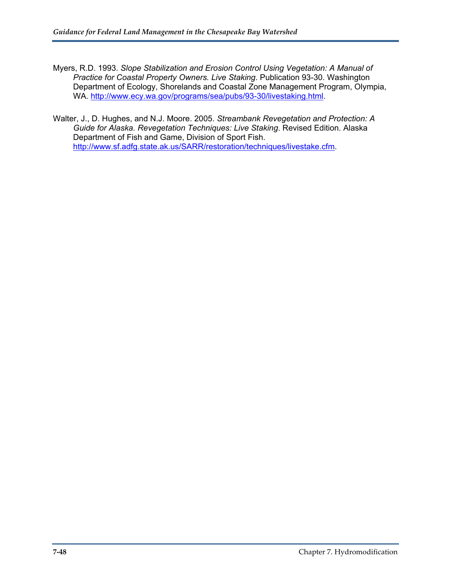- Myers, R.D. 1993. *Slope Stabilization and Erosion Control Using Vegetation: A Manual of Practice for Coastal Property Owners. Live Staking*. Publication 93-30. Washington Department of Ecology, Shorelands and Coastal Zone Management Program, Olympia, WA.<http://www.ecy.wa.gov/programs/sea/pubs/93-30/livestaking.html>.
- Walter, J., D. Hughes, and N.J. Moore. 2005. *Streambank Revegetation and Protection: A Guide for Alaska. Revegetation Techniques: Live Staking*. Revised Edition. Alaska Department of Fish and Game, Division of Sport Fish. [http://www.sf.adfg.state.ak.us/SARR/restoration/techniques/livestake.cfm.](http://www.sf.adfg.state.ak.us/SARR/restoration/techniques/livestake.cfm)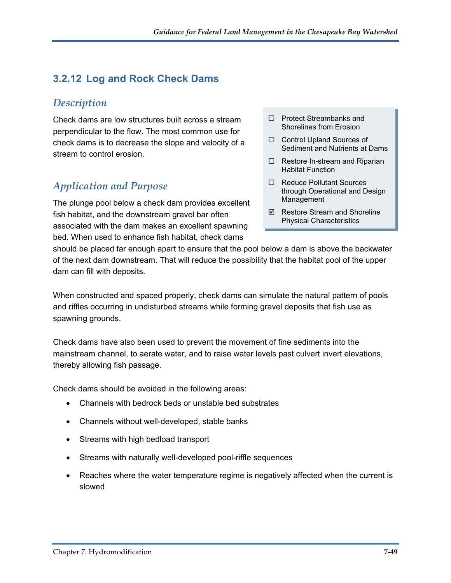# **3.2.12 Log and Rock Check Dams**

### *Description*

Check dams are low structures built across a stream perpendicular to the flow. The most common use for check dams is to decrease the slope and velocity of a stream to control erosion.

### *Application and Purpose*

The plunge pool below a check dam provides excellent fish habitat, and the downstream gravel bar often associated with the dam makes an excellent spawning bed. When used to enhance fish habitat, check dams

- □ Protect Streambanks and Shorelines from Erosion
- □ Control Upland Sources of Sediment and Nutrients at Dams
- $\Box$  Restore In-stream and Riparian Habitat Function
- □ Reduce Pollutant Sources through Operational and Design Management
- $\boxtimes$  Restore Stream and Shoreline Physical Characteristics

should be placed far enough apart to ensure that the pool below a dam is above the backwater of the next dam downstream. That will reduce the possibility that the habitat pool of the upper dam can fill with deposits.

When constructed and spaced properly, check dams can simulate the natural pattern of pools and riffles occurring in undisturbed streams while forming gravel deposits that fish use as spawning grounds.

Check dams have also been used to prevent the movement of fine sediments into the mainstream channel, to aerate water, and to raise water levels past culvert invert elevations, thereby allowing fish passage.

Check dams should be avoided in the following areas:

- Channels with bedrock beds or unstable bed substrates
- Channels without well-developed, stable banks
- Streams with high bedload transport
- Streams with naturally well-developed pool-riffle sequences
- Reaches where the water temperature regime is negatively affected when the current is slowed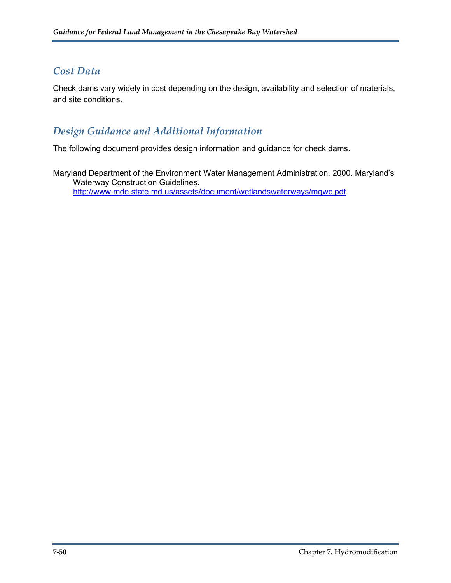### *Cost Data*

Check dams vary widely in cost depending on the design, availability and selection of materials, and site conditions.

# *Design Guidance and Additional Information*

The following document provides design information and guidance for check dams.

Maryland Department of the Environment Water Management Administration. 2000. Maryland's Waterway Construction Guidelines. [http://www.mde.state.md.us/assets/document/wetlandswaterways/mgwc.pdf.](http://www.mde.state.md.us/assets/document/wetlandswaterways/mgwc.pdf)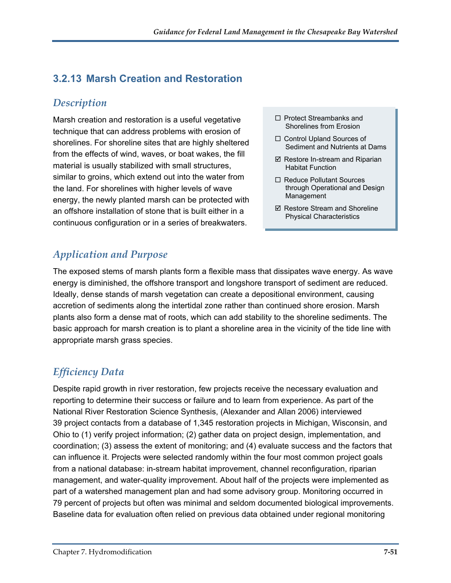# **3.2.13 Marsh Creation and Restoration**

### *Description*

Marsh creation and restoration is a useful vegetative  $\square$  Protect Streambanks and technique that can address problems with erosion of shorelines. For shoreline sites that are highly sheltered from the effects of wind, waves, or boat wakes, the fill material is usually stabilized with small structures, similar to groins, which extend out into the water from the land. For shorelines with higher levels of wave energy, the newly planted marsh can be protected with an offshore installation of stone that is built either in a continuous configuration or in a series of breakwaters.

- □ Protect Streambanks and
- □ Control Upland Sources of Sediment and Nutrients at Dams
- $\boxtimes$  Restore In-stream and Riparian Habitat Function
- □ Reduce Pollutant Sources through Operational and Design Management
- $\boxtimes$  Restore Stream and Shoreline Physical Characteristics

# *Application and Purpose*

The exposed stems of marsh plants form a flexible mass that dissipates wave energy. As wave energy is diminished, the offshore transport and longshore transport of sediment are reduced. Ideally, dense stands of marsh vegetation can create a depositional environment, causing accretion of sediments along the intertidal zone rather than continued shore erosion. Marsh plants also form a dense mat of roots, which can add stability to the shoreline sediments. The basic approach for marsh creation is to plant a shoreline area in the vicinity of the tide line with appropriate marsh grass species.

# *Efficiency Data*

Despite rapid growth in river restoration, few projects receive the necessary evaluation and reporting to determine their success or failure and to learn from experience. As part of the National River Restoration Science Synthesis, (Alexander and Allan 2006) interviewed 39 project contacts from a database of 1,345 restoration projects in Michigan, Wisconsin, and Ohio to (1) verify project information; (2) gather data on project design, implementation, and coordination; (3) assess the extent of monitoring; and (4) evaluate success and the factors that can influence it. Projects were selected randomly within the four most common project goals from a national database: in-stream habitat improvement, channel reconfiguration, riparian management, and water-quality improvement. About half of the projects were implemented as part of a watershed management plan and had some advisory group. Monitoring occurred in 79 percent of projects but often was minimal and seldom documented biological improvements. Baseline data for evaluation often relied on previous data obtained under regional monitoring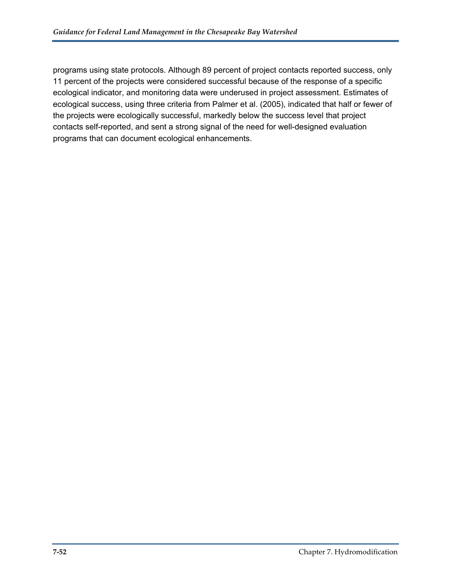programs using state protocols. Although 89 percent of project contacts reported success, only 11 percent of the projects were considered successful because of the response of a specific ecological indicator, and monitoring data were underused in project assessment. Estimates of ecological success, using three criteria from Palmer et al. (2005), indicated that half or fewer of the projects were ecologically successful, markedly below the success level that project contacts self-reported, and sent a strong signal of the need for well-designed evaluation programs that can document ecological enhancements.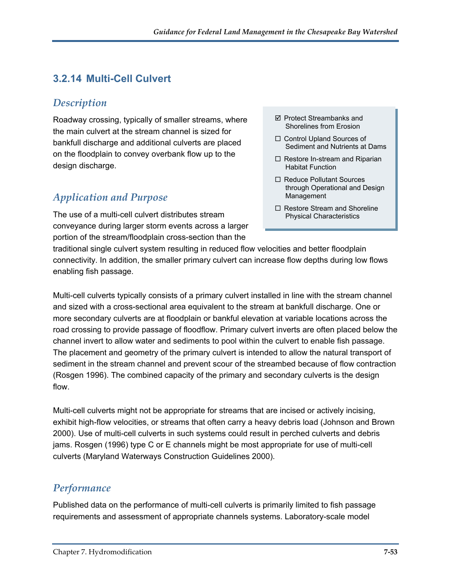# **3.2.14 Multi-Cell Culvert**

### *Description*

Roadway crossing, typically of smaller streams, where the main culvert at the stream channel is sized for bankfull discharge and additional culverts are placed on the floodplain to convey overbank flow up to the design discharge.

# *Application and Purpose*

The use of a multi-cell culvert distributes stream conveyance during larger storm events across a larger portion of the stream/floodplain cross-section than the

- $\boxtimes$  Protect Streambanks and Shorelines from Erosion
- □ Control Upland Sources of Sediment and Nutrients at Dams
- $\Box$  Restore In-stream and Riparian Habitat Function
- □ Reduce Pollutant Sources through Operational and Design Management
- $\Box$  Restore Stream and Shoreline Physical Characteristics

traditional single culvert system resulting in reduced flow velocities and better floodplain connectivity. In addition, the smaller primary culvert can increase flow depths during low flows enabling fish passage.

Multi-cell culverts typically consists of a primary culvert installed in line with the stream channel and sized with a cross-sectional area equivalent to the stream at bankfull discharge. One or more secondary culverts are at floodplain or bankful elevation at variable locations across the road crossing to provide passage of floodflow. Primary culvert inverts are often placed below the channel invert to allow water and sediments to pool within the culvert to enable fish passage. The placement and geometry of the primary culvert is intended to allow the natural transport of sediment in the stream channel and prevent scour of the streambed because of flow contraction (Rosgen 1996). The combined capacity of the primary and secondary culverts is the design flow.

Multi-cell culverts might not be appropriate for streams that are incised or actively incising, exhibit high-flow velocities, or streams that often carry a heavy debris load (Johnson and Brown 2000). Use of multi-cell culverts in such systems could result in perched culverts and debris jams. Rosgen (1996) type C or E channels might be most appropriate for use of multi-cell culverts (Maryland Waterways Construction Guidelines 2000).

### *Performance*

Published data on the performance of multi-cell culverts is primarily limited to fish passage requirements and assessment of appropriate channels systems. Laboratory-scale model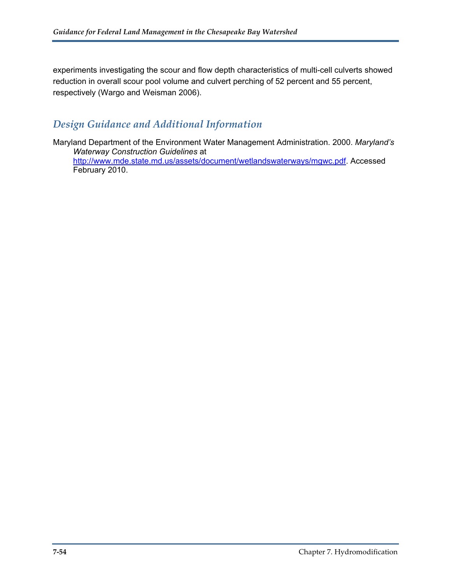experiments investigating the scour and flow depth characteristics of multi-cell culverts showed reduction in overall scour pool volume and culvert perching of 52 percent and 55 percent, respectively (Wargo and Weisman 2006).

### *Design Guidance and Additional Information*

Maryland Department of the Environment Water Management Administration. 2000. *Maryland's Waterway Construction Guidelines* at [http://www.mde.state.md.us/assets/document/wetlandswaterways/mgwc.pdf.](http://www.mde.state.md.us/assets/document/wetlandswaterways/mgwc.pdf) Accessed February 2010.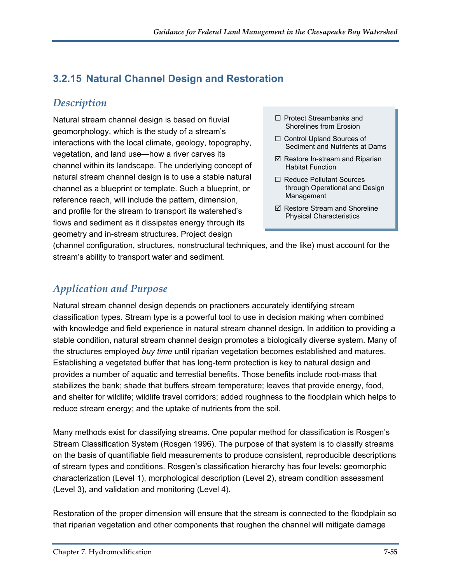# **3.2.15 Natural Channel Design and Restoration**

### *Description*

Natural stream channel design is based on fluvial geomorphology, which is the study of a stream's interactions with the local climate, geology, topography, vegetation, and land use—how a river carves its channel within its landscape. The underlying concept of natural stream channel design is to use a stable natural channel as a blueprint or template. Such a blueprint, or reference reach, will include the pattern, dimension, and profile for the stream to transport its watershed's flows and sediment as it dissipates energy through its geometry and in-stream structures. Project design

- $\Box$  Protect Streambanks and Shorelines from Erosion
- □ Control Upland Sources of Sediment and Nutrients at Dams
- $\boxtimes$  Restore In-stream and Riparian Habitat Function
- □ Reduce Pollutant Sources through Operational and Design Management
- $\boxtimes$  Restore Stream and Shoreline Physical Characteristics

(channel configuration, structures, nonstructural techniques, and the like) must account for the stream's ability to transport water and sediment.

# *Application and Purpose*

Natural stream channel design depends on practioners accurately identifying stream classification types. Stream type is a powerful tool to use in decision making when combined with knowledge and field experience in natural stream channel design. In addition to providing a stable condition, natural stream channel design promotes a biologically diverse system. Many of the structures employed *buy time* until riparian vegetation becomes established and matures. Establishing a vegetated buffer that has long-term protection is key to natural design and provides a number of aquatic and terrestial benefits. Those benefits include root-mass that stabilizes the bank; shade that buffers stream temperature; leaves that provide energy, food, and shelter for wildlife; wildlife travel corridors; added roughness to the floodplain which helps to reduce stream energy; and the uptake of nutrients from the soil.

Many methods exist for classifying streams. One popular method for classification is Rosgen's Stream Classification System (Rosgen 1996). The purpose of that system is to classify streams on the basis of quantifiable field measurements to produce consistent, reproducible descriptions of stream types and conditions. Rosgen's classification hierarchy has four levels: geomorphic characterization (Level 1), morphological description (Level 2), stream condition assessment (Level 3), and validation and monitoring (Level 4).

Restoration of the proper dimension will ensure that the stream is connected to the floodplain so that riparian vegetation and other components that roughen the channel will mitigate damage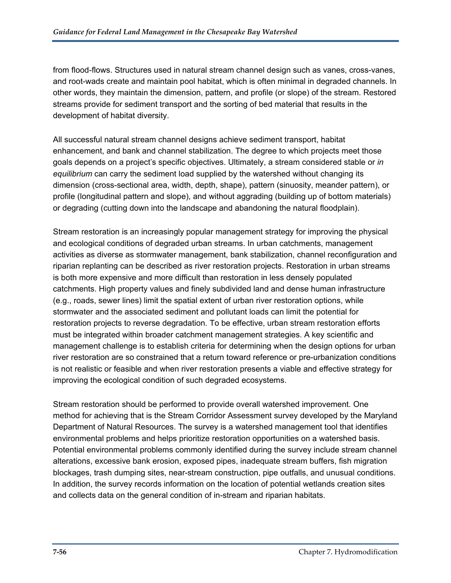from flood-flows. Structures used in natural stream channel design such as vanes, cross-vanes, and root-wads create and maintain pool habitat, which is often minimal in degraded channels. In other words, they maintain the dimension, pattern, and profile (or slope) of the stream. Restored streams provide for sediment transport and the sorting of bed material that results in the development of habitat diversity.

All successful natural stream channel designs achieve sediment transport, habitat enhancement, and bank and channel stabilization. The degree to which projects meet those goals depends on a project's specific objectives. Ultimately, a stream considered stable or *in equilibrium* can carry the sediment load supplied by the watershed without changing its dimension (cross-sectional area, width, depth, shape), pattern (sinuosity, meander pattern), or profile (longitudinal pattern and slope), and without aggrading (building up of bottom materials) or degrading (cutting down into the landscape and abandoning the natural floodplain).

Stream restoration is an increasingly popular management strategy for improving the physical and ecological conditions of degraded urban streams. In urban catchments, management activities as diverse as stormwater management, bank stabilization, channel reconfiguration and riparian replanting can be described as river restoration projects. Restoration in urban streams is both more expensive and more difficult than restoration in less densely populated catchments. High property values and finely subdivided land and dense human infrastructure (e.g., roads, sewer lines) limit the spatial extent of urban river restoration options, while stormwater and the associated sediment and pollutant loads can limit the potential for restoration projects to reverse degradation. To be effective, urban stream restoration efforts must be integrated within broader catchment management strategies. A key scientific and management challenge is to establish criteria for determining when the design options for urban river restoration are so constrained that a return toward reference or pre-urbanization conditions is not realistic or feasible and when river restoration presents a viable and effective strategy for improving the ecological condition of such degraded ecosystems.

Stream restoration should be performed to provide overall watershed improvement. One method for achieving that is the Stream Corridor Assessment survey developed by the Maryland Department of Natural Resources. The survey is a watershed management tool that identifies environmental problems and helps prioritize restoration opportunities on a watershed basis. Potential environmental problems commonly identified during the survey include stream channel alterations, excessive bank erosion, exposed pipes, inadequate stream buffers, fish migration blockages, trash dumping sites, near-stream construction, pipe outfalls, and unusual conditions. In addition, the survey records information on the location of potential wetlands creation sites and collects data on the general condition of in-stream and riparian habitats.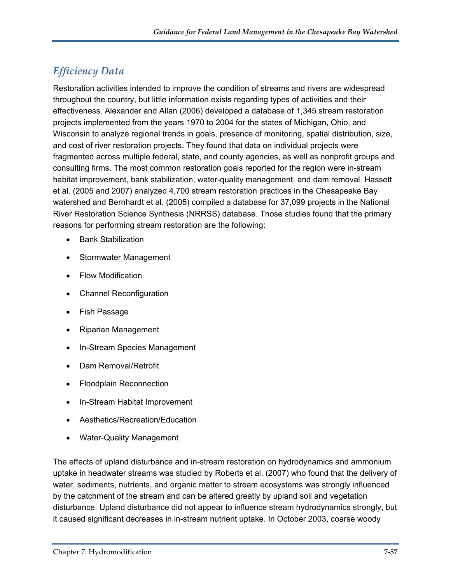# *Efficiency Data*

Restoration activities intended to improve the condition of streams and rivers are widespread throughout the country, but little information exists regarding types of activities and their effectiveness. Alexander and Allan (2006) developed a database of 1,345 stream restoration projects implemented from the years 1970 to 2004 for the states of Michigan, Ohio, and Wisconsin to analyze regional trends in goals, presence of monitoring, spatial distribution, size, and cost of river restoration projects. They found that data on individual projects were fragmented across multiple federal, state, and county agencies, as well as nonprofit groups and consulting firms. The most common restoration goals reported for the region were in-stream habitat improvement, bank stabilization, water-quality management, and dam removal. Hassett et al. (2005 and 2007) analyzed 4,700 stream restoration practices in the Chesapeake Bay watershed and Bernhardt et al. (2005) compiled a database for 37,099 projects in the National River Restoration Science Synthesis (NRRSS) database. Those studies found that the primary reasons for performing stream restoration are the following:

- Bank Stabilization
- Stormwater Management
- Flow Modification
- Channel Reconfiguration
- Fish Passage
- Riparian Management
- In-Stream Species Management
- Dam Removal/Retrofit
- Floodplain Reconnection
- In-Stream Habitat Improvement
- Aesthetics/Recreation/Education
- Water-Quality Management

The effects of upland disturbance and in-stream restoration on hydrodynamics and ammonium uptake in headwater streams was studied by Roberts et al. (2007) who found that the delivery of water, sediments, nutrients, and organic matter to stream ecosystems was strongly influenced by the catchment of the stream and can be altered greatly by upland soil and vegetation disturbance. Upland disturbance did not appear to influence stream hydrodynamics strongly, but it caused significant decreases in in-stream nutrient uptake. In October 2003, coarse woody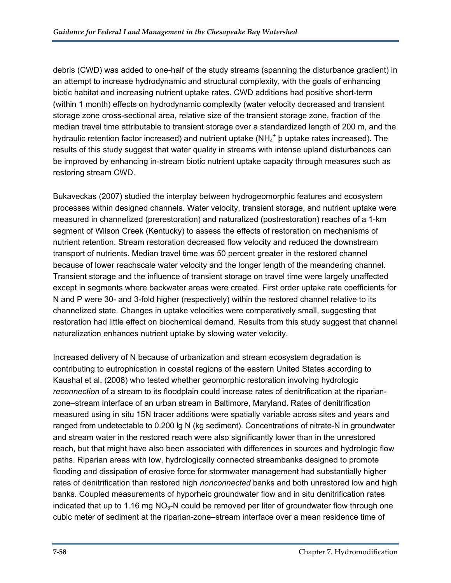debris (CWD) was added to one-half of the study streams (spanning the disturbance gradient) in an attempt to increase hydrodynamic and structural complexity, with the goals of enhancing biotic habitat and increasing nutrient uptake rates. CWD additions had positive short-term (within 1 month) effects on hydrodynamic complexity (water velocity decreased and transient storage zone cross-sectional area, relative size of the transient storage zone, fraction of the median travel time attributable to transient storage over a standardized length of 200 m, and the hydraulic retention factor increased) and nutrient uptake (NH<sub>4</sub><sup>+</sup>  $p$  uptake rates increased). The results of this study suggest that water quality in streams with intense upland disturbances can be improved by enhancing in-stream biotic nutrient uptake capacity through measures such as restoring stream CWD.

Bukaveckas (2007) studied the interplay between hydrogeomorphic features and ecosystem processes within designed channels. Water velocity, transient storage, and nutrient uptake were measured in channelized (prerestoration) and naturalized (postrestoration) reaches of a 1-km segment of Wilson Creek (Kentucky) to assess the effects of restoration on mechanisms of nutrient retention. Stream restoration decreased flow velocity and reduced the downstream transport of nutrients. Median travel time was 50 percent greater in the restored channel because of lower reachscale water velocity and the longer length of the meandering channel. Transient storage and the influence of transient storage on travel time were largely unaffected except in segments where backwater areas were created. First order uptake rate coefficients for N and P were 30- and 3-fold higher (respectively) within the restored channel relative to its channelized state. Changes in uptake velocities were comparatively small, suggesting that restoration had little effect on biochemical demand. Results from this study suggest that channel naturalization enhances nutrient uptake by slowing water velocity.

Increased delivery of N because of urbanization and stream ecosystem degradation is contributing to eutrophication in coastal regions of the eastern United States according to Kaushal et al. (2008) who tested whether geomorphic restoration involving hydrologic *reconnection* of a stream to its floodplain could increase rates of denitrification at the riparianzone–stream interface of an urban stream in Baltimore, Maryland. Rates of denitrification measured using in situ 15N tracer additions were spatially variable across sites and years and ranged from undetectable to 0.200 lg N (kg sediment). Concentrations of nitrate-N in groundwater and stream water in the restored reach were also significantly lower than in the unrestored reach, but that might have also been associated with differences in sources and hydrologic flow paths. Riparian areas with low, hydrologically connected streambanks designed to promote flooding and dissipation of erosive force for stormwater management had substantially higher rates of denitrification than restored high *nonconnected* banks and both unrestored low and high banks. Coupled measurements of hyporheic groundwater flow and in situ denitrification rates indicated that up to 1.16 mg  $NO<sub>3</sub>-N$  could be removed per liter of groundwater flow through one cubic meter of sediment at the riparian-zone–stream interface over a mean residence time of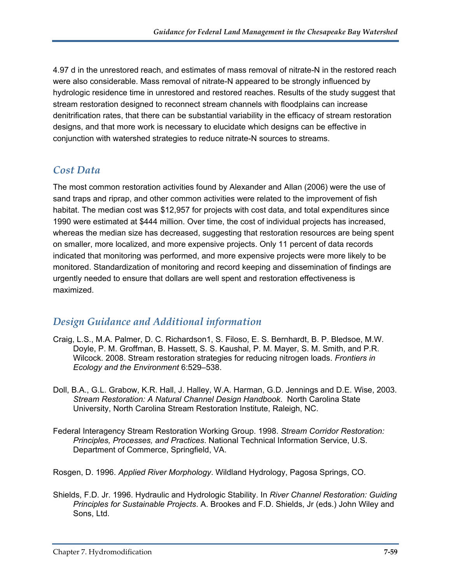4.97 d in the unrestored reach, and estimates of mass removal of nitrate-N in the restored reach were also considerable. Mass removal of nitrate-N appeared to be strongly influenced by hydrologic residence time in unrestored and restored reaches. Results of the study suggest that stream restoration designed to reconnect stream channels with floodplains can increase denitrification rates, that there can be substantial variability in the efficacy of stream restoration designs, and that more work is necessary to elucidate which designs can be effective in conjunction with watershed strategies to reduce nitrate-N sources to streams.

# *Cost Data*

The most common restoration activities found by Alexander and Allan (2006) were the use of sand traps and riprap, and other common activities were related to the improvement of fish habitat. The median cost was \$12,957 for projects with cost data, and total expenditures since 1990 were estimated at \$444 million. Over time, the cost of individual projects has increased, whereas the median size has decreased, suggesting that restoration resources are being spent on smaller, more localized, and more expensive projects. Only 11 percent of data records indicated that monitoring was performed, and more expensive projects were more likely to be monitored. Standardization of monitoring and record keeping and dissemination of findings are urgently needed to ensure that dollars are well spent and restoration effectiveness is maximized.

# *Design Guidance and Additional information*

- Craig, L.S., M.A. Palmer, D. C. Richardson1, S. Filoso, E. S. Bernhardt, B. P. Bledsoe, M.W. Doyle, P. M. Groffman, B. Hassett, S. S. Kaushal, P. M. Mayer, S. M. Smith, and P.R. Wilcock. 2008. Stream restoration strategies for reducing nitrogen loads. *Frontiers in Ecology and the Environment* 6:529–538.
- Doll, B.A., G.L. Grabow, K.R. Hall, J. Halley, W.A. Harman, G.D. Jennings and D.E. Wise, 2003. *Stream Restoration: A Natural Channel Design Handbook*. North Carolina State University, North Carolina Stream Restoration Institute, Raleigh, NC.
- Federal Interagency Stream Restoration Working Group. 1998. *Stream Corridor Restoration: Principles, Processes, and Practices*. National Technical Information Service, U.S. Department of Commerce, Springfield, VA.
- Rosgen, D. 1996. *Applied River Morphology*. Wildland Hydrology, Pagosa Springs, CO.
- Shields, F.D. Jr. 1996. Hydraulic and Hydrologic Stability. In *River Channel Restoration: Guiding Principles for Sustainable Projects*. A. Brookes and F.D. Shields, Jr (eds.) John Wiley and Sons, Ltd.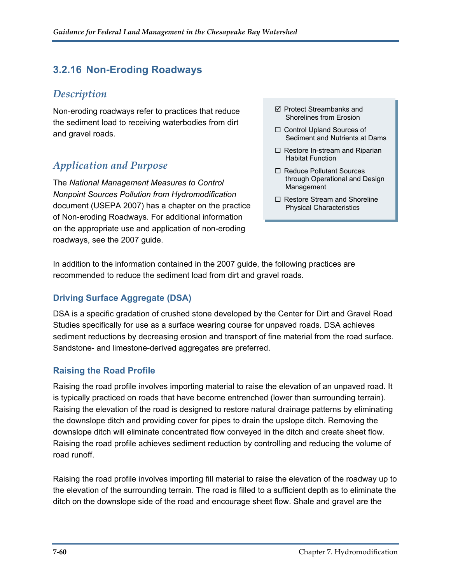# **3.2.16 Non-Eroding Roadways**

### *Description*

Non-eroding roadways refer to practices that reduce  $\Box$  Protect Streambanks and Shorelines from Erosion the sediment load to receiving waterbodies from dirt and gravel roads.

# *Application and Purpose*

The *National Management Measures to Control Nonpoint Sources Pollution from Hydromodification* document (USEPA 2007) has a chapter on the practice of Non-eroding Roadways. For additional information on the appropriate use and application of non-eroding roadways, see the 2007 guide.

- Protect Streambanks and
- □ Control Upland Sources of Sediment and Nutrients at Dams
- $\Box$  Restore In-stream and Riparian Habitat Function
- □ Reduce Pollutant Sources through Operational and Design Management
- $\Box$  Restore Stream and Shoreline Physical Characteristics

In addition to the information contained in the 2007 guide, the following practices are recommended to reduce the sediment load from dirt and gravel roads.

#### **Driving Surface Aggregate (DSA)**

DSA is a specific gradation of crushed stone developed by the Center for Dirt and Gravel Road Studies specifically for use as a surface wearing course for unpaved roads. DSA achieves sediment reductions by decreasing erosion and transport of fine material from the road surface. Sandstone- and limestone-derived aggregates are preferred.

#### **Raising the Road Profile**

Raising the road profile involves importing material to raise the elevation of an unpaved road. It is typically practiced on roads that have become entrenched (lower than surrounding terrain). Raising the elevation of the road is designed to restore natural drainage patterns by eliminating the downslope ditch and providing cover for pipes to drain the upslope ditch. Removing the downslope ditch will eliminate concentrated flow conveyed in the ditch and create sheet flow. Raising the road profile achieves sediment reduction by controlling and reducing the volume of road runoff.

Raising the road profile involves importing fill material to raise the elevation of the roadway up to the elevation of the surrounding terrain. The road is filled to a sufficient depth as to eliminate the ditch on the downslope side of the road and encourage sheet flow. Shale and gravel are the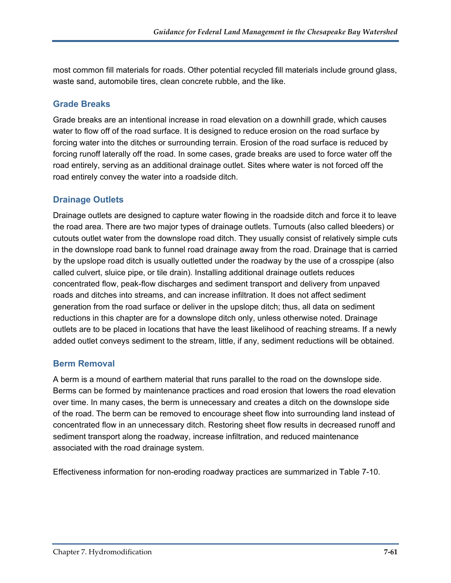most common fill materials for roads. Other potential recycled fill materials include ground glass, waste sand, automobile tires, clean concrete rubble, and the like.

#### **Grade Breaks**

Grade breaks are an intentional increase in road elevation on a downhill grade, which causes water to flow off of the road surface. It is designed to reduce erosion on the road surface by forcing water into the ditches or surrounding terrain. Erosion of the road surface is reduced by forcing runoff laterally off the road. In some cases, grade breaks are used to force water off the road entirely, serving as an additional drainage outlet. Sites where water is not forced off the road entirely convey the water into a roadside ditch.

#### **Drainage Outlets**

Drainage outlets are designed to capture water flowing in the roadside ditch and force it to leave the road area. There are two major types of drainage outlets. Turnouts (also called bleeders) or cutouts outlet water from the downslope road ditch. They usually consist of relatively simple cuts in the downslope road bank to funnel road drainage away from the road. Drainage that is carried by the upslope road ditch is usually outletted under the roadway by the use of a crosspipe (also called culvert, sluice pipe, or tile drain). Installing additional drainage outlets reduces concentrated flow, peak-flow discharges and sediment transport and delivery from unpaved roads and ditches into streams, and can increase infiltration. It does not affect sediment generation from the road surface or deliver in the upslope ditch; thus, all data on sediment reductions in this chapter are for a downslope ditch only, unless otherwise noted. Drainage outlets are to be placed in locations that have the least likelihood of reaching streams. If a newly added outlet conveys sediment to the stream, little, if any, sediment reductions will be obtained.

#### **Berm Removal**

A berm is a mound of earthern material that runs parallel to the road on the downslope side. Berms can be formed by maintenance practices and road erosion that lowers the road elevation over time. In many cases, the berm is unnecessary and creates a ditch on the downslope side of the road. The berm can be removed to encourage sheet flow into surrounding land instead of concentrated flow in an unnecessary ditch. Restoring sheet flow results in decreased runoff and sediment transport along the roadway, increase infiltration, and reduced maintenance associated with the road drainage system.

Effectiveness information for non-eroding roadway practices are summarized in Table 7-10.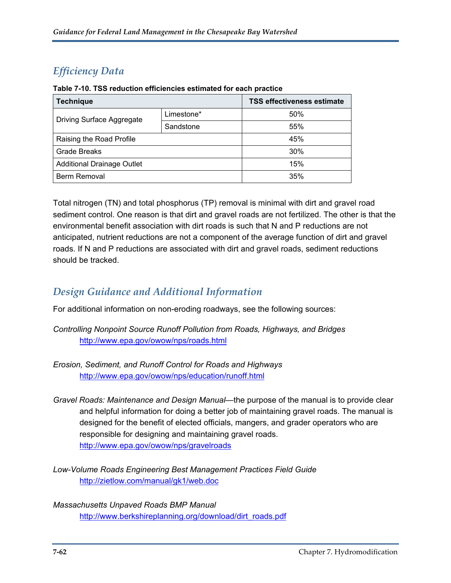# *Efficiency Data*

| <b>Technique</b>                  |            | <b>TSS effectiveness estimate</b> |
|-----------------------------------|------------|-----------------------------------|
| <b>Driving Surface Aggregate</b>  | Limestone* | 50%                               |
|                                   | Sandstone  | 55%                               |
| Raising the Road Profile          |            | 45%                               |
| <b>Grade Breaks</b>               |            | 30%                               |
| <b>Additional Drainage Outlet</b> |            | 15%                               |
| <b>Berm Removal</b>               |            | 35%                               |

Total nitrogen (TN) and total phosphorus (TP) removal is minimal with dirt and gravel road sediment control. One reason is that dirt and gravel roads are not fertilized. The other is that the environmental benefit association with dirt roads is such that N and P reductions are not anticipated, nutrient reductions are not a component of the average function of dirt and gravel roads. If N and P reductions are associated with dirt and gravel roads, sediment reductions should be tracked.

### *Design Guidance and Additional Information*

For additional information on non-eroding roadways, see the following sources:

*Controlling Nonpoint Source Runoff Pollution from Roads, Highways, and Bridges* <http://www.epa.gov/owow/nps/roads.html>

*Erosion, Sediment, and Runoff Control for Roads and Highways* <http://www.epa.gov/owow/nps/education/runoff.html>

*Gravel Roads: Maintenance and Design Manual*—the purpose of the manual is to provide clear and helpful information for doing a better job of maintaining gravel roads. The manual is designed for the benefit of elected officials, mangers, and grader operators who are responsible for designing and maintaining gravel roads. <http://www.epa.gov/owow/nps/gravelroads>

*Low-Volume Roads Engineering Best Management Practices Field Guide* <http://zietlow.com/manual/gk1/web.doc>

*Massachusetts Unpaved Roads BMP Manual* [http://www.berkshireplanning.org/download/dirt\\_roads.pdf](http://www.berkshireplanning.org/download/dirt_roads.pdf)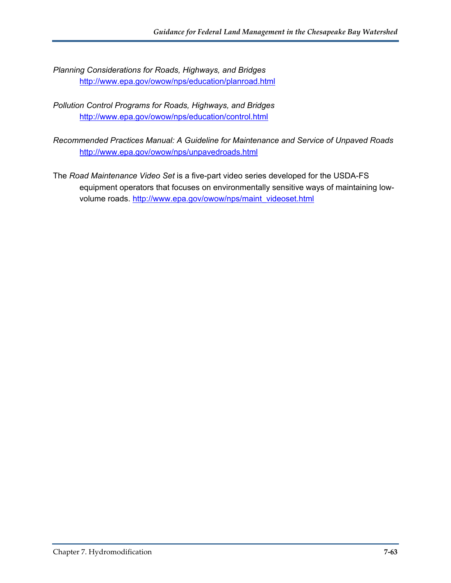*Planning Considerations for Roads, Highways, and Bridges* <http://www.epa.gov/owow/nps/education/planroad.html>

*Pollution Control Programs for Roads, Highways, and Bridges* <http://www.epa.gov/owow/nps/education/control.html>

*Recommended Practices Manual: A Guideline for Maintenance and Service of Unpaved Roads* <http://www.epa.gov/owow/nps/unpavedroads.html>

The *Road Maintenance Video Set* is a five-part video series developed for the USDA-FS equipment operators that focuses on environmentally sensitive ways of maintaining lowvolume roads. [http://www.epa.gov/owow/nps/maint\\_videoset.html](http://www.epa.gov/owow/nps/maint_videoset.html)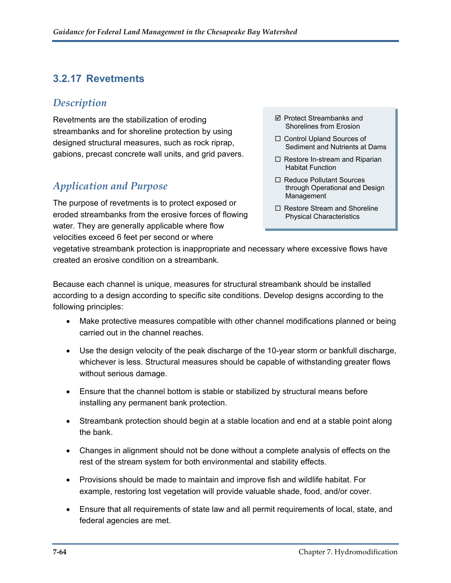# **3.2.17 Revetments**

### *Description*

Revetments are the stabilization of eroding streambanks and for shoreline protection by using designed structural measures, such as rock riprap, gabions, precast concrete wall units, and grid pavers.

# *Application and Purpose*

The purpose of revetments is to protect exposed or eroded streambanks from the erosive forces of flowing water. They are generally applicable where flow velocities exceed 6 feet per second or where

- Protect Streambanks and Shorelines from Erosion
- □ Control Upland Sources of Sediment and Nutrients at Dams
- $\Box$  Restore In-stream and Riparian Habitat Function
- □ Reduce Pollutant Sources through Operational and Design Management
- $\Box$  Restore Stream and Shoreline Physical Characteristics

vegetative streambank protection is inappropriate and necessary where excessive flows have created an erosive condition on a streambank.

Because each channel is unique, measures for structural streambank should be installed according to a design according to specific site conditions. Develop designs according to the following principles:

- Make protective measures compatible with other channel modifications planned or being carried out in the channel reaches.
- Use the design velocity of the peak discharge of the 10-year storm or bankfull discharge, whichever is less. Structural measures should be capable of withstanding greater flows without serious damage.
- Ensure that the channel bottom is stable or stabilized by structural means before installing any permanent bank protection.
- Streambank protection should begin at a stable location and end at a stable point along the bank.
- Changes in alignment should not be done without a complete analysis of effects on the rest of the stream system for both environmental and stability effects.
- Provisions should be made to maintain and improve fish and wildlife habitat. For example, restoring lost vegetation will provide valuable shade, food, and/or cover.
- Ensure that all requirements of state law and all permit requirements of local, state, and federal agencies are met.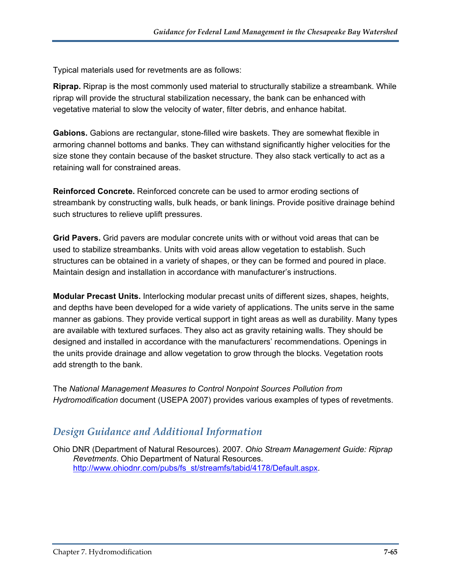Typical materials used for revetments are as follows:

**Riprap.** Riprap is the most commonly used material to structurally stabilize a streambank. While riprap will provide the structural stabilization necessary, the bank can be enhanced with vegetative material to slow the velocity of water, filter debris, and enhance habitat.

**Gabions.** Gabions are rectangular, stone-filled wire baskets. They are somewhat flexible in armoring channel bottoms and banks. They can withstand significantly higher velocities for the size stone they contain because of the basket structure. They also stack vertically to act as a retaining wall for constrained areas.

**Reinforced Concrete.** Reinforced concrete can be used to armor eroding sections of streambank by constructing walls, bulk heads, or bank linings. Provide positive drainage behind such structures to relieve uplift pressures.

**Grid Pavers.** Grid pavers are modular concrete units with or without void areas that can be used to stabilize streambanks. Units with void areas allow vegetation to establish. Such structures can be obtained in a variety of shapes, or they can be formed and poured in place. Maintain design and installation in accordance with manufacturer's instructions.

**Modular Precast Units.** Interlocking modular precast units of different sizes, shapes, heights, and depths have been developed for a wide variety of applications. The units serve in the same manner as gabions. They provide vertical support in tight areas as well as durability. Many types are available with textured surfaces. They also act as gravity retaining walls. They should be designed and installed in accordance with the manufacturers' recommendations. Openings in the units provide drainage and allow vegetation to grow through the blocks. Vegetation roots add strength to the bank.

The *National Management Measures to Control Nonpoint Sources Pollution from Hydromodification* document (USEPA 2007) provides various examples of types of revetments.

### *Design Guidance and Additional Information*

Ohio DNR (Department of Natural Resources). 2007. *Ohio Stream Management Guide: Riprap Revetments*. Ohio Department of Natural Resources. [http://www.ohiodnr.com/pubs/fs\\_st/streamfs/tabid/4178/Default.aspx](http://www.ohiodnr.com/pubs/fs_st/streamfs/tabid/4178/Default.aspx).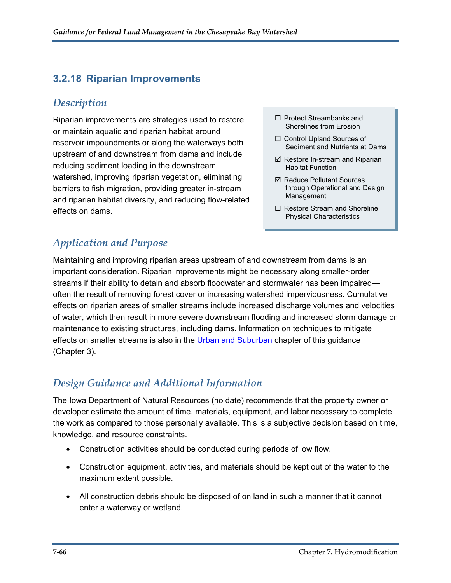# **3.2.18 Riparian Improvements**

### *Description*

Riparian improvements are strategies used to restore  $\square$  Protect Streambanks and  $\square$ or maintain aquatic and riparian habitat around reservoir impoundments or along the waterways both upstream of and downstream from dams and include reducing sediment loading in the downstream watershed, improving riparian vegetation, eliminating barriers to fish migration, providing greater in-stream and riparian habitat diversity, and reducing flow-related effects on dams.

- $\Box$  Protect Streambanks and
- □ Control Upland Sources of Sediment and Nutrients at Dams
- $\boxtimes$  Restore In-stream and Riparian Habitat Function
- **Ø Reduce Pollutant Sources** through Operational and Design Management
- $\Box$  Restore Stream and Shoreline Physical Characteristics

# *Application and Purpose*

Maintaining and improving riparian areas upstream of and downstream from dams is an important consideration. Riparian improvements might be necessary along smaller-order streams if their ability to detain and absorb floodwater and stormwater has been impaired often the result of removing forest cover or increasing watershed imperviousness. Cumulative effects on riparian areas of smaller streams include increased discharge volumes and velocities of water, which then result in more severe downstream flooding and increased storm damage or maintenance to existing structures, including dams. Information on techniques to mitigate effects on smaller streams is also in the [Urban and Suburban](http://www.epa.gov/owow/nps/chesbay502/pdf/chesbay_chap03.pdf) chapter of this guidance (Chapter 3).

# *Design Guidance and Additional Information*

The Iowa Department of Natural Resources (no date) recommends that the property owner or developer estimate the amount of time, materials, equipment, and labor necessary to complete the work as compared to those personally available. This is a subjective decision based on time, knowledge, and resource constraints.

- Construction activities should be conducted during periods of low flow.
- Construction equipment, activities, and materials should be kept out of the water to the maximum extent possible.
- All construction debris should be disposed of on land in such a manner that it cannot enter a waterway or wetland.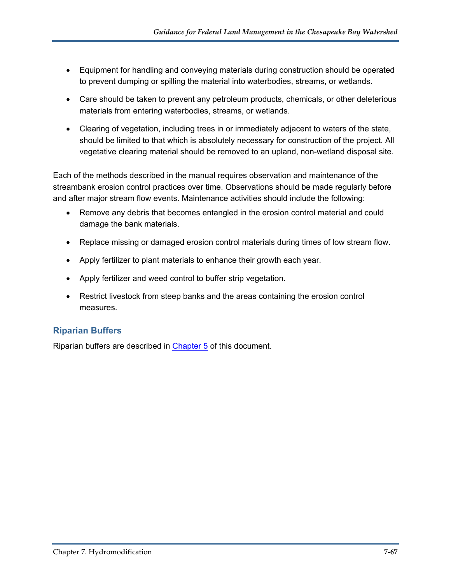- Equipment for handling and conveying materials during construction should be operated to prevent dumping or spilling the material into waterbodies, streams, or wetlands.
- Care should be taken to prevent any petroleum products, chemicals, or other deleterious materials from entering waterbodies, streams, or wetlands.
- Clearing of vegetation, including trees in or immediately adjacent to waters of the state, should be limited to that which is absolutely necessary for construction of the project. All vegetative clearing material should be removed to an upland, non-wetland disposal site.

Each of the methods described in the manual requires observation and maintenance of the streambank erosion control practices over time. Observations should be made regularly before and after major stream flow events. Maintenance activities should include the following:

- Remove any debris that becomes entangled in the erosion control material and could damage the bank materials.
- Replace missing or damaged erosion control materials during times of low stream flow.
- Apply fertilizer to plant materials to enhance their growth each year.
- Apply fertilizer and weed control to buffer strip vegetation.
- Restrict livestock from steep banks and the areas containing the erosion control measures.

#### **Riparian Buffers**

Riparian buffers are described in [Chapter 5](http://www.epa.gov/owow/nps/chesbay502/pdf/chesbay_chap05.pdf) of this document.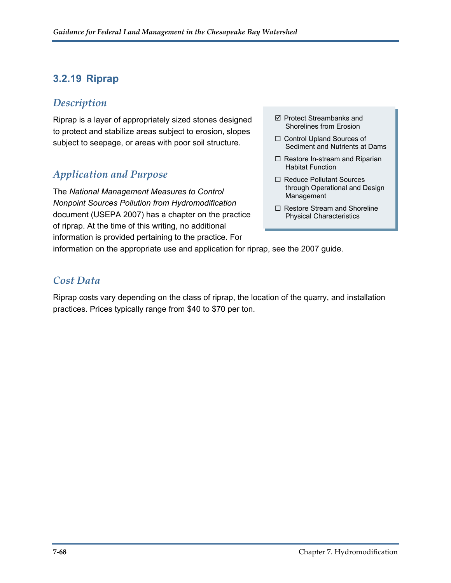# **3.2.19 Riprap**

#### *Description*

Riprap is a layer of appropriately sized stones designed to protect and stabilize areas subject to erosion, slopes subject to seepage, or areas with poor soil structure.

### *Application and Purpose*

The *National Management Measures to Control Nonpoint Sources Pollution from Hydromodification* document (USEPA 2007) has a chapter on the practice of riprap. At the time of this writing, no additional information is provided pertaining to the practice. For

- $\boxtimes$  Protect Streambanks and Shorelines from Erosion
- □ Control Upland Sources of Sediment and Nutrients at Dams
- $\Box$  Restore In-stream and Riparian Habitat Function
- □ Reduce Pollutant Sources through Operational and Design Management
- □ Restore Stream and Shoreline Physical Characteristics

information on the appropriate use and application for riprap, see the 2007 guide.

#### *Cost Data*

Riprap costs vary depending on the class of riprap, the location of the quarry, and installation practices. Prices typically range from \$40 to \$70 per ton.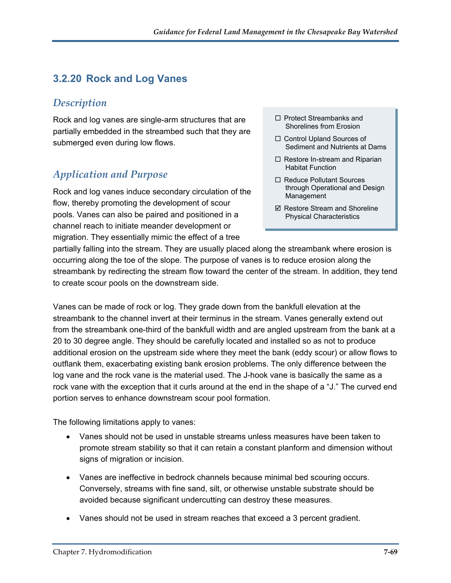# **3.2.20 Rock and Log Vanes**

### *Description*

Rock and log vanes are single-arm structures that are partially embedded in the streambed such that they are submerged even during low flows.

### *Application and Purpose*

Rock and log vanes induce secondary circulation of the flow, thereby promoting the development of scour pools. Vanes can also be paired and positioned in a channel reach to initiate meander development or migration. They essentially mimic the effect of a tree

- $\Box$  Protect Streambanks and Shorelines from Erosion
- □ Control Upland Sources of Sediment and Nutrients at Dams
- $\Box$  Restore In-stream and Riparian Habitat Function
- □ Reduce Pollutant Sources through Operational and Design Management
- $\boxtimes$  Restore Stream and Shoreline Physical Characteristics

partially falling into the stream. They are usually placed along the streambank where erosion is occurring along the toe of the slope. The purpose of vanes is to reduce erosion along the streambank by redirecting the stream flow toward the center of the stream. In addition, they tend to create scour pools on the downstream side.

Vanes can be made of rock or log. They grade down from the bankfull elevation at the streambank to the channel invert at their terminus in the stream. Vanes generally extend out from the streambank one-third of the bankfull width and are angled upstream from the bank at a 20 to 30 degree angle. They should be carefully located and installed so as not to produce additional erosion on the upstream side where they meet the bank (eddy scour) or allow flows to outflank them, exacerbating existing bank erosion problems. The only difference between the log vane and the rock vane is the material used. The J-hook vane is basically the same as a rock vane with the exception that it curls around at the end in the shape of a "J." The curved end portion serves to enhance downstream scour pool formation.

The following limitations apply to vanes:

- Vanes should not be used in unstable streams unless measures have been taken to promote stream stability so that it can retain a constant planform and dimension without signs of migration or incision.
- Vanes are ineffective in bedrock channels because minimal bed scouring occurs. Conversely, streams with fine sand, silt, or otherwise unstable substrate should be avoided because significant undercutting can destroy these measures.
- Vanes should not be used in stream reaches that exceed a 3 percent gradient.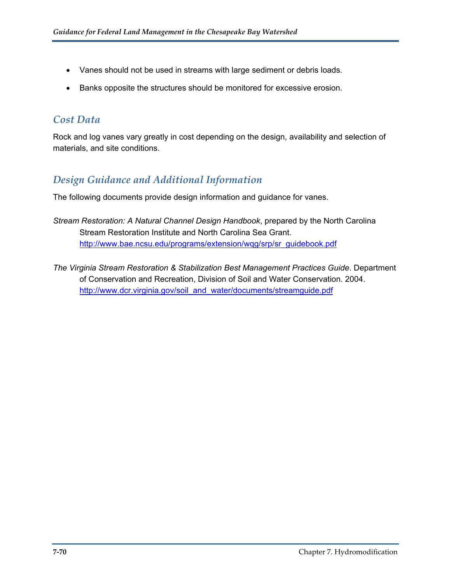- Vanes should not be used in streams with large sediment or debris loads.
- Banks opposite the structures should be monitored for excessive erosion.

### *Cost Data*

Rock and log vanes vary greatly in cost depending on the design, availability and selection of materials, and site conditions.

### *Design Guidance and Additional Information*

The following documents provide design information and guidance for vanes.

- *Stream Restoration: A Natural Channel Design Handbook*, prepared by the North Carolina Stream Restoration Institute and North Carolina Sea Grant. http://www.bae.ncsu.edu/programs/extension/wgg/srp/sr\_guidebook.pdf
- *The Virginia Stream Restoration & Stabilization Best Management Practices Guide*. Department of Conservation and Recreation, Division of Soil and Water Conservation. 2004. [http://www.dcr.virginia.gov/soil\\_and\\_water/documents/streamguide.pdf](http://www.dcr.virginia.gov/soil_and_water/documents/streamguide.pdf)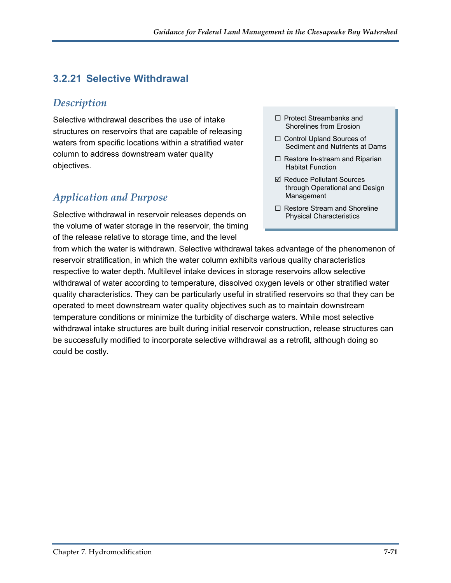# **3.2.21 Selective Withdrawal**

### *Description*

Selective withdrawal describes the use of intake structures on reservoirs that are capable of releasing waters from specific locations within a stratified water column to address downstream water quality objectives.

# *Application and Purpose*

Selective withdrawal in reservoir releases depends on the volume of water storage in the reservoir, the timing of the release relative to storage time, and the level

- $\Box$  Protect Streambanks and Shorelines from Erosion
- □ Control Upland Sources of Sediment and Nutrients at Dams
- $\Box$  Restore In-stream and Riparian Habitat Function
- **Ø Reduce Pollutant Sources** through Operational and Design Management
- $\Box$  Restore Stream and Shoreline Physical Characteristics

from which the water is withdrawn. Selective withdrawal takes advantage of the phenomenon of reservoir stratification, in which the water column exhibits various quality characteristics respective to water depth. Multilevel intake devices in storage reservoirs allow selective withdrawal of water according to temperature, dissolved oxygen levels or other stratified water quality characteristics. They can be particularly useful in stratified reservoirs so that they can be operated to meet downstream water quality objectives such as to maintain downstream temperature conditions or minimize the turbidity of discharge waters. While most selective withdrawal intake structures are built during initial reservoir construction, release structures can be successfully modified to incorporate selective withdrawal as a retrofit, although doing so could be costly.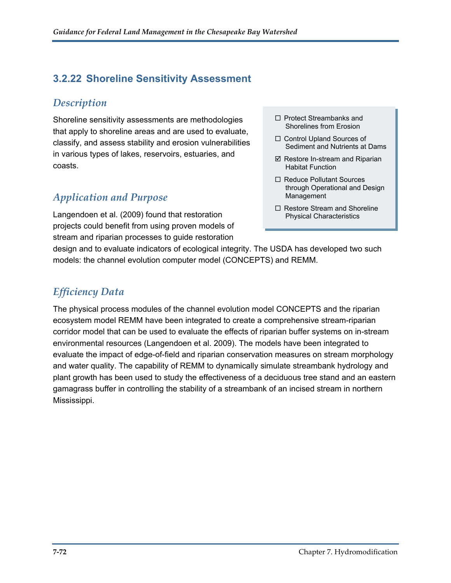#### **3.2.22 Shoreline Sensitivity Assessment**

#### *Description*

Shoreline sensitivity assessments are methodologies that apply to shoreline areas and are used to evaluate, classify, and assess stability and erosion vulnerabilities in various types of lakes, reservoirs, estuaries, and coasts.

### *Application and Purpose*

Langendoen et al. (2009) found that restoration projects could benefit from using proven models of stream and riparian processes to guide restoration

- $\Box$  Protect Streambanks and Shorelines from Erosion
- □ Control Upland Sources of Sediment and Nutrients at Dams
- $\boxtimes$  Restore In-stream and Riparian Habitat Function
- □ Reduce Pollutant Sources through Operational and Design Management
- $\Box$  Restore Stream and Shoreline Physical Characteristics

design and to evaluate indicators of ecological integrity. The USDA has developed two such models: the channel evolution computer model (CONCEPTS) and REMM.

#### *Efficiency Data*

The physical process modules of the channel evolution model CONCEPTS and the riparian ecosystem model REMM have been integrated to create a comprehensive stream-riparian corridor model that can be used to evaluate the effects of riparian buffer systems on in-stream environmental resources (Langendoen et al. 2009). The models have been integrated to evaluate the impact of edge-of-field and riparian conservation measures on stream morphology and water quality. The capability of REMM to dynamically simulate streambank hydrology and plant growth has been used to study the effectiveness of a deciduous tree stand and an eastern gamagrass buffer in controlling the stability of a streambank of an incised stream in northern Mississippi.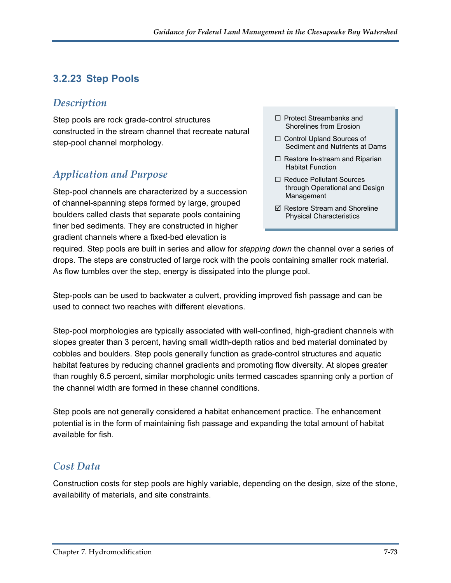### **3.2.23 Step Pools**

#### *Description*

Step pools are rock grade-control structures constructed in the stream channel that recreate natural step-pool channel morphology.

#### *Application and Purpose*

Step-pool channels are characterized by a succession of channel-spanning steps formed by large, grouped boulders called clasts that separate pools containing finer bed sediments. They are constructed in higher gradient channels where a fixed-bed elevation is

- $\Box$  Protect Streambanks and Shorelines from Erosion
- □ Control Upland Sources of Sediment and Nutrients at Dams
- $\Box$  Restore In-stream and Riparian Habitat Function
- □ Reduce Pollutant Sources through Operational and Design Management
- $\boxtimes$  Restore Stream and Shoreline Physical Characteristics

required. Step pools are built in series and allow for *stepping down* the channel over a series of drops. The steps are constructed of large rock with the pools containing smaller rock material. As flow tumbles over the step, energy is dissipated into the plunge pool.

Step-pools can be used to backwater a culvert, providing improved fish passage and can be used to connect two reaches with different elevations.

Step-pool morphologies are typically associated with well-confined, high-gradient channels with slopes greater than 3 percent, having small width-depth ratios and bed material dominated by cobbles and boulders. Step pools generally function as grade-control structures and aquatic habitat features by reducing channel gradients and promoting flow diversity. At slopes greater than roughly 6.5 percent, similar morphologic units termed cascades spanning only a portion of the channel width are formed in these channel conditions.

Step pools are not generally considered a habitat enhancement practice. The enhancement potential is in the form of maintaining fish passage and expanding the total amount of habitat available for fish.

#### *Cost Data*

Construction costs for step pools are highly variable, depending on the design, size of the stone, availability of materials, and site constraints.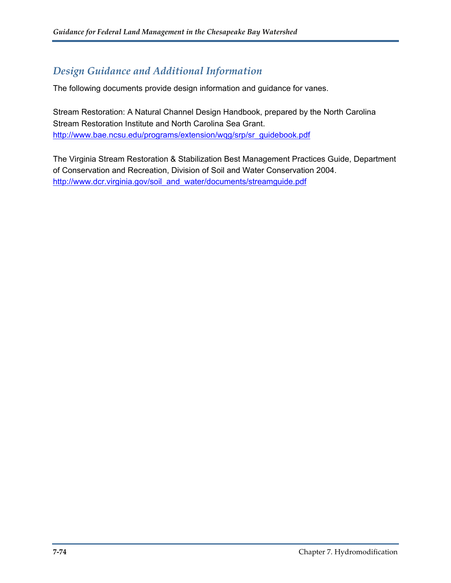#### *Design Guidance and Additional Information*

The following documents provide design information and guidance for vanes.

Stream Restoration: A Natural Channel Design Handbook, prepared by the North Carolina Stream Restoration Institute and North Carolina Sea Grant. [http://www.bae.ncsu.edu/programs/extension/wqg/srp/sr\\_guidebook.pdf](http://www.bae.ncsu.edu/programs/extension/wqg/srp/sr_guidebook.pdf)

The Virginia Stream Restoration & Stabilization Best Management Practices Guide, Department of Conservation and Recreation, Division of Soil and Water Conservation 2004. [http://www.dcr.virginia.gov/soil\\_and\\_water/documents/streamguide.pdf](http://www.dcr.virginia.gov/soil_and_water/documents/streamguide.pdf)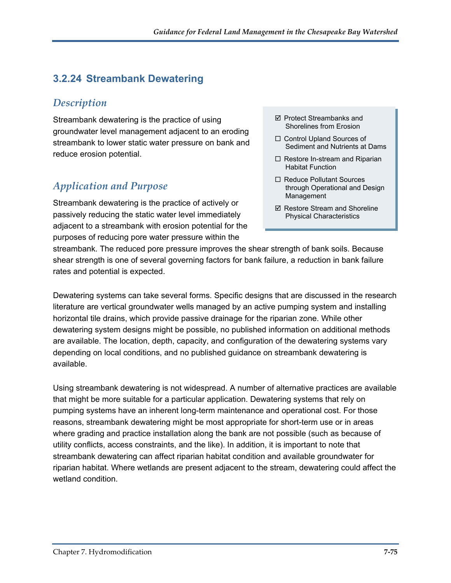### **3.2.24 Streambank Dewatering**

#### *Description*

Streambank dewatering is the practice of using groundwater level management adjacent to an eroding streambank to lower static water pressure on bank and reduce erosion potential.

#### *Application and Purpose*

Streambank dewatering is the practice of actively or passively reducing the static water level immediately adjacent to a streambank with erosion potential for the purposes of reducing pore water pressure within the

- $\boxtimes$  Protect Streambanks and Shorelines from Erosion
- □ Control Upland Sources of Sediment and Nutrients at Dams
- $\Box$  Restore In-stream and Riparian Habitat Function
- □ Reduce Pollutant Sources through Operational and Design Management
- $\boxtimes$  Restore Stream and Shoreline Physical Characteristics

streambank. The reduced pore pressure improves the shear strength of bank soils. Because shear strength is one of several governing factors for bank failure, a reduction in bank failure rates and potential is expected.

Dewatering systems can take several forms. Specific designs that are discussed in the research literature are vertical groundwater wells managed by an active pumping system and installing horizontal tile drains, which provide passive drainage for the riparian zone. While other dewatering system designs might be possible, no published information on additional methods are available. The location, depth, capacity, and configuration of the dewatering systems vary depending on local conditions, and no published guidance on streambank dewatering is available.

Using streambank dewatering is not widespread. A number of alternative practices are available that might be more suitable for a particular application. Dewatering systems that rely on pumping systems have an inherent long-term maintenance and operational cost. For those reasons, streambank dewatering might be most appropriate for short-term use or in areas where grading and practice installation along the bank are not possible (such as because of utility conflicts, access constraints, and the like). In addition, it is important to note that streambank dewatering can affect riparian habitat condition and available groundwater for riparian habitat. Where wetlands are present adjacent to the stream, dewatering could affect the wetland condition.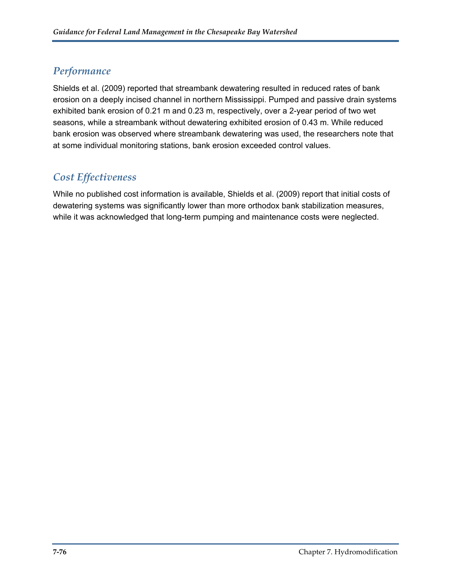#### *Performance*

Shields et al. (2009) reported that streambank dewatering resulted in reduced rates of bank erosion on a deeply incised channel in northern Mississippi. Pumped and passive drain systems exhibited bank erosion of 0.21 m and 0.23 m, respectively, over a 2-year period of two wet seasons, while a streambank without dewatering exhibited erosion of 0.43 m. While reduced bank erosion was observed where streambank dewatering was used, the researchers note that at some individual monitoring stations, bank erosion exceeded control values.

### *Cost Effectiveness*

While no published cost information is available, Shields et al. (2009) report that initial costs of dewatering systems was significantly lower than more orthodox bank stabilization measures, while it was acknowledged that long-term pumping and maintenance costs were neglected.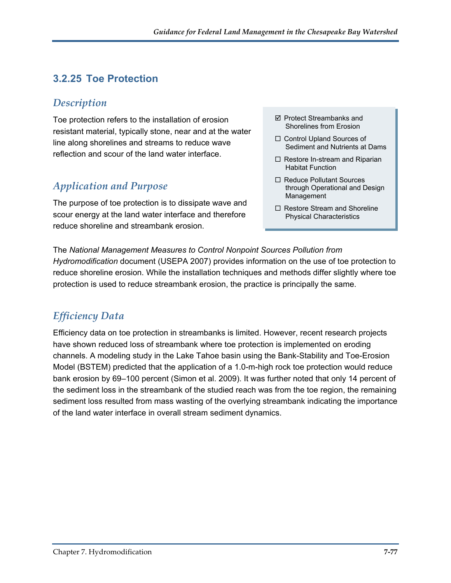### **3.2.25 Toe Protection**

#### *Description*

Toe protection refers to the installation of erosion  $\Box$  Protect Streambanks and Shorelines from Erosion resistant material, typically stone, near and at the water line along shorelines and streams to reduce wave reflection and scour of the land water interface.

### *Application and Purpose*

The purpose of toe protection is to dissipate wave and scour energy at the land water interface and therefore reduce shoreline and streambank erosion.

- $\boxtimes$  Protect Streambanks and
- □ Control Upland Sources of Sediment and Nutrients at Dams
- $\Box$  Restore In-stream and Riparian Habitat Function
- □ Reduce Pollutant Sources through Operational and Design Management
- $\Box$  Restore Stream and Shoreline Physical Characteristics

The *National Management Measures to Control Nonpoint Sources Pollution from Hydromodification* document (USEPA 2007) provides information on the use of toe protection to reduce shoreline erosion. While the installation techniques and methods differ slightly where toe protection is used to reduce streambank erosion, the practice is principally the same.

### *Efficiency Data*

Efficiency data on toe protection in streambanks is limited. However, recent research projects have shown reduced loss of streambank where toe protection is implemented on eroding channels. A modeling study in the Lake Tahoe basin using the Bank-Stability and Toe-Erosion Model (BSTEM) predicted that the application of a 1.0-m-high rock toe protection would reduce bank erosion by 69–100 percent (Simon et al. 2009). It was further noted that only 14 percent of the sediment loss in the streambank of the studied reach was from the toe region, the remaining sediment loss resulted from mass wasting of the overlying streambank indicating the importance of the land water interface in overall stream sediment dynamics.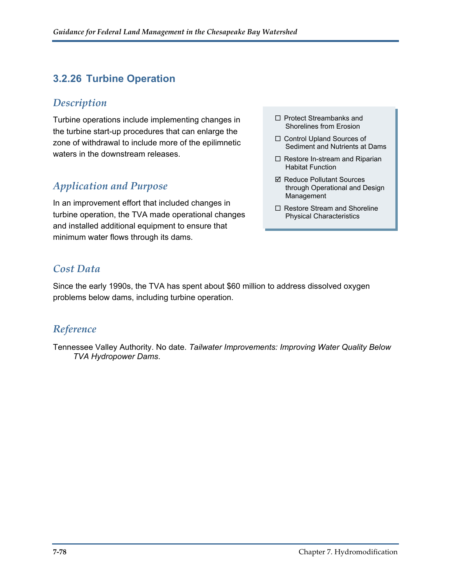### **3.2.26 Turbine Operation**

#### *Description*

Turbine operations include implementing changes in  $\square$  Protect Streambanks and  $\square$ the turbine start-up procedures that can enlarge the zone of withdrawal to include more of the epilimnetic waters in the downstream releases.

### *Application and Purpose*

In an improvement effort that included changes in turbine operation, the TVA made operational changes and installed additional equipment to ensure that minimum water flows through its dams.

#### *Cost Data*

Since the early 1990s, the TVA has spent about \$60 million to address dissolved oxygen problems below dams, including turbine operation.

#### *Reference*

Tennessee Valley Authority. No date. *Tailwater Improvements: Improving Water Quality Below TVA Hydropower Dams*.

- $\Box$  Protect Streambanks and
- □ Control Upland Sources of Sediment and Nutrients at Dams
- $\Box$  Restore In-stream and Riparian Habitat Function
- **Ø Reduce Pollutant Sources** through Operational and Design Management
- $\Box$  Restore Stream and Shoreline Physical Characteristics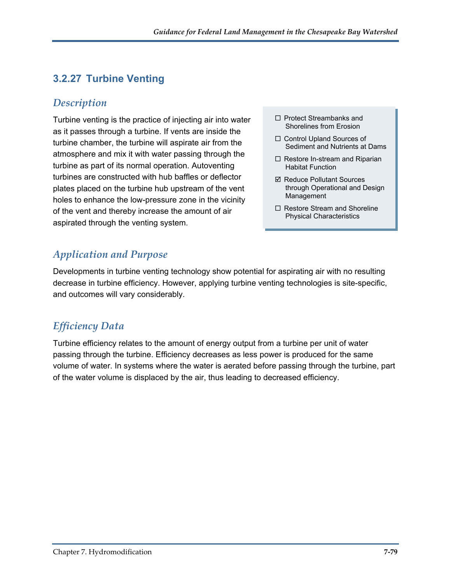### **3.2.27 Turbine Venting**

#### *Description*

Turbine venting is the practice of injecting air into water  $\Box$  Protect Streambanks and as it passes through a turbine. If vents are inside the turbine chamber, the turbine will aspirate air from the atmosphere and mix it with water passing through the turbine as part of its normal operation. Autoventing turbines are constructed with hub baffles or deflector plates placed on the turbine hub upstream of the vent holes to enhance the low-pressure zone in the vicinity of the vent and thereby increase the amount of air aspirated through the venting system.

- $\Box$  Protect Streambanks and
- □ Control Upland Sources of Sediment and Nutrients at Dams
- $\Box$  Restore In-stream and Riparian Habitat Function
- **Ø Reduce Pollutant Sources** through Operational and Design Management
- $\Box$  Restore Stream and Shoreline Physical Characteristics

### *Application and Purpose*

Developments in turbine venting technology show potential for aspirating air with no resulting decrease in turbine efficiency. However, applying turbine venting technologies is site-specific, and outcomes will vary considerably.

### *Efficiency Data*

Turbine efficiency relates to the amount of energy output from a turbine per unit of water passing through the turbine. Efficiency decreases as less power is produced for the same volume of water. In systems where the water is aerated before passing through the turbine, part of the water volume is displaced by the air, thus leading to decreased efficiency.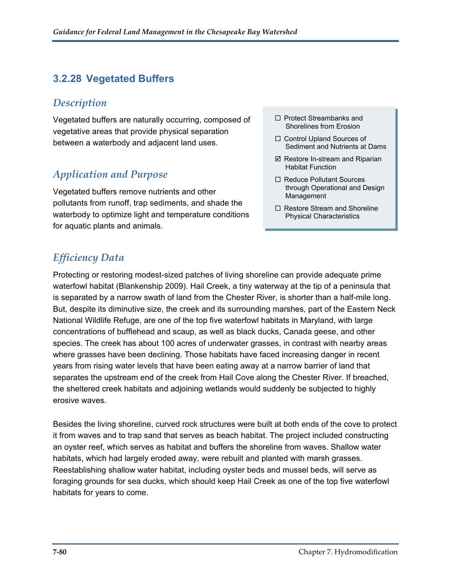### **3.2.28 Vegetated Buffers**

#### *Description*

Vegetated buffers are naturally occurring, composed of  $\Box$  Protect Streambanks and Shorelines from Erosion vegetative areas that provide physical separation between a waterbody and adjacent land uses.

#### *Application and Purpose*

Vegetated buffers remove nutrients and other pollutants from runoff, trap sediments, and shade the waterbody to optimize light and temperature conditions for aquatic plants and animals.

## *Efficiency Data*

Protecting or restoring modest-sized patches of living shoreline can provide adequate prime waterfowl habitat (Blankenship 2009). Hail Creek, a tiny waterway at the tip of a peninsula that is separated by a narrow swath of land from the Chester River, is shorter than a half-mile long. But, despite its diminutive size, the creek and its surrounding marshes, part of the Eastern Neck National Wildlife Refuge, are one of the top five waterfowl habitats in Maryland, with large concentrations of bufflehead and scaup, as well as black ducks, Canada geese, and other species. The creek has about 100 acres of underwater grasses, in contrast with nearby areas where grasses have been declining. Those habitats have faced increasing danger in recent years from rising water levels that have been eating away at a narrow barrier of land that separates the upstream end of the creek from Hail Cove along the Chester River. If breached, the sheltered creek habitats and adjoining wetlands would suddenly be subjected to highly erosive waves.

Besides the living shoreline, curved rock structures were built at both ends of the cove to protect it from waves and to trap sand that serves as beach habitat. The project included constructing an oyster reef, which serves as habitat and buffers the shoreline from waves. Shallow water habitats, which had largely eroded away, were rebuilt and planted with marsh grasses. Reestablishing shallow water habitat, including oyster beds and mussel beds, will serve as foraging grounds for sea ducks, which should keep Hail Creek as one of the top five waterfowl habitats for years to come.

- $\Box$  Protect Streambanks and
- □ Control Upland Sources of Sediment and Nutrients at Dams
- $\boxtimes$  Restore In-stream and Riparian Habitat Function
- □ Reduce Pollutant Sources through Operational and Design Management
- $\Box$  Restore Stream and Shoreline Physical Characteristics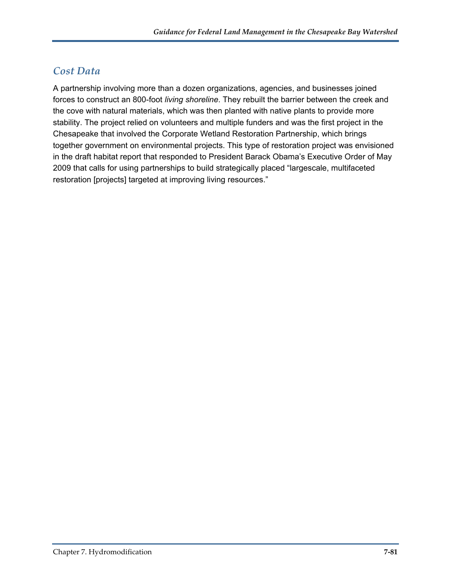### *Cost Data*

A partnership involving more than a dozen organizations, agencies, and businesses joined forces to construct an 800-foot *living shoreline*. They rebuilt the barrier between the creek and the cove with natural materials, which was then planted with native plants to provide more stability. The project relied on volunteers and multiple funders and was the first project in the Chesapeake that involved the Corporate Wetland Restoration Partnership, which brings together government on environmental projects. This type of restoration project was envisioned in the draft habitat report that responded to President Barack Obama's Executive Order of May 2009 that calls for using partnerships to build strategically placed "largescale, multifaceted restoration [projects] targeted at improving living resources."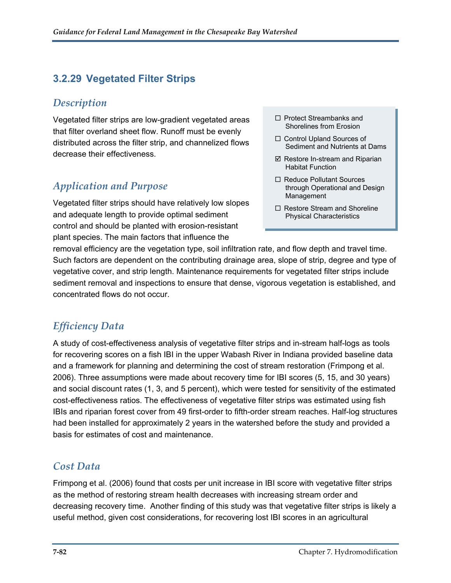### **3.2.29 Vegetated Filter Strips**

#### *Description*

Vegetated filter strips are low-gradient vegetated areas that filter overland sheet flow. Runoff must be evenly distributed across the filter strip, and channelized flows decrease their effectiveness.

#### *Application and Purpose*

Vegetated filter strips should have relatively low slopes and adequate length to provide optimal sediment control and should be planted with erosion-resistant plant species. The main factors that influence the

- $\Box$  Protect Streambanks and Shorelines from Erosion
- □ Control Upland Sources of Sediment and Nutrients at Dams
- $\boxtimes$  Restore In-stream and Riparian Habitat Function
- □ Reduce Pollutant Sources through Operational and Design Management
- $\Box$  Restore Stream and Shoreline Physical Characteristics

removal efficiency are the vegetation type, soil infiltration rate, and flow depth and travel time. Such factors are dependent on the contributing drainage area, slope of strip, degree and type of vegetative cover, and strip length. Maintenance requirements for vegetated filter strips include sediment removal and inspections to ensure that dense, vigorous vegetation is established, and concentrated flows do not occur.

### *Efficiency Data*

A study of cost-effectiveness analysis of vegetative filter strips and in-stream half-logs as tools for recovering scores on a fish IBI in the upper Wabash River in Indiana provided baseline data and a framework for planning and determining the cost of stream restoration (Frimpong et al. 2006). Three assumptions were made about recovery time for IBI scores (5, 15, and 30 years) and social discount rates (1, 3, and 5 percent), which were tested for sensitivity of the estimated cost-effectiveness ratios. The effectiveness of vegetative filter strips was estimated using fish IBIs and riparian forest cover from 49 first-order to fifth-order stream reaches. Half-log structures had been installed for approximately 2 years in the watershed before the study and provided a basis for estimates of cost and maintenance.

#### *Cost Data*

Frimpong et al. (2006) found that costs per unit increase in IBI score with vegetative filter strips as the method of restoring stream health decreases with increasing stream order and decreasing recovery time. Another finding of this study was that vegetative filter strips is likely a useful method, given cost considerations, for recovering lost IBI scores in an agricultural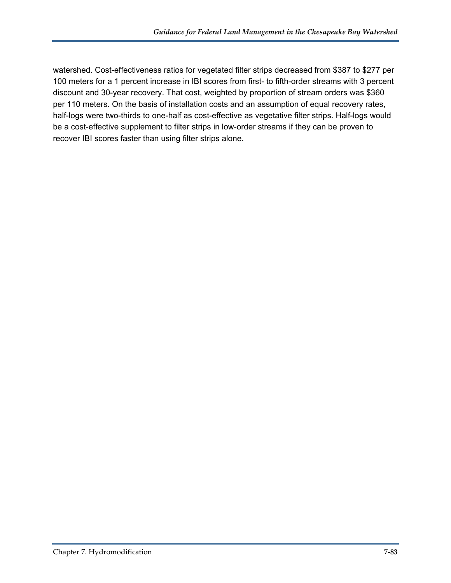watershed. Cost-effectiveness ratios for vegetated filter strips decreased from \$387 to \$277 per 100 meters for a 1 percent increase in IBI scores from first- to fifth-order streams with 3 percent discount and 30-year recovery. That cost, weighted by proportion of stream orders was \$360 per 110 meters. On the basis of installation costs and an assumption of equal recovery rates, half-logs were two-thirds to one-half as cost-effective as vegetative filter strips. Half-logs would be a cost-effective supplement to filter strips in low-order streams if they can be proven to recover IBI scores faster than using filter strips alone.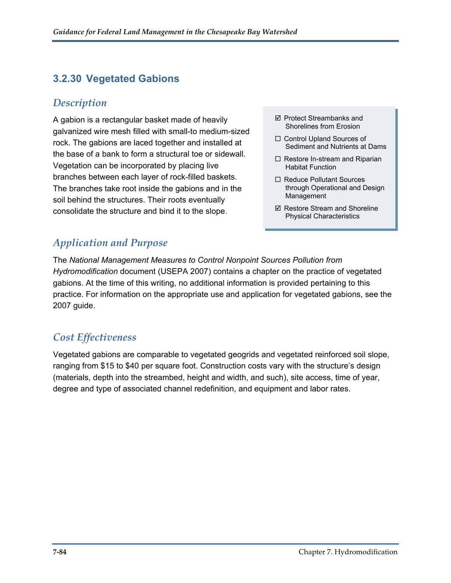### **3.2.30 Vegetated Gabions**

#### *Description*

A gabion is a rectangular basket made of heavily galvanized wire mesh filled with small-to medium-sized rock. The gabions are laced together and installed at the base of a bank to form a structural toe or sidewall. Vegetation can be incorporated by placing live branches between each layer of rock-filled baskets. The branches take root inside the gabions and in the soil behind the structures. Their roots eventually consolidate the structure and bind it to the slope.

- $\boxtimes$  Protect Streambanks and Shorelines from Erosion
- □ Control Upland Sources of Sediment and Nutrients at Dams
- $\Box$  Restore In-stream and Riparian Habitat Function
- □ Reduce Pollutant Sources through Operational and Design Management
- $\boxtimes$  Restore Stream and Shoreline Physical Characteristics

### *Application and Purpose*

The *National Management Measures to Control Nonpoint Sources Pollution from Hydromodification* document (USEPA 2007) contains a chapter on the practice of vegetated gabions. At the time of this writing, no additional information is provided pertaining to this practice. For information on the appropriate use and application for vegetated gabions, see the 2007 guide.

### *Cost Effectiveness*

Vegetated gabions are comparable to vegetated geogrids and vegetated reinforced soil slope, ranging from \$15 to \$40 per square foot. Construction costs vary with the structure's design (materials, depth into the streambed, height and width, and such), site access, time of year, degree and type of associated channel redefinition, and equipment and labor rates.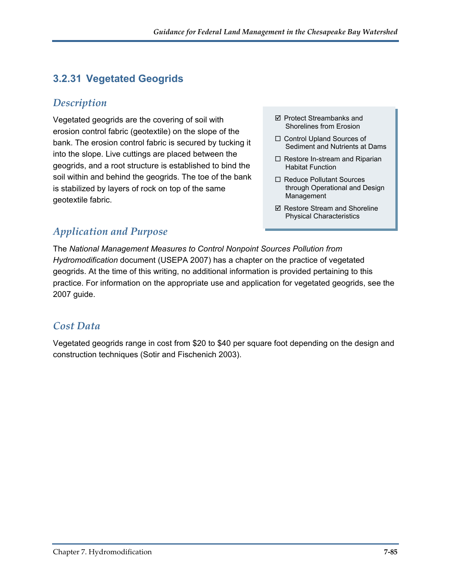### **3.2.31 Vegetated Geogrids**

#### *Description*

Vegetated geogrids are the covering of soil with  $\Box$  Protect Streambanks and Shorelines from Erosion erosion control fabric (geotextile) on the slope of the bank. The erosion control fabric is secured by tucking it into the slope. Live cuttings are placed between the geogrids, and a root structure is established to bind the soil within and behind the geogrids. The toe of the bank is stabilized by layers of rock on top of the same geotextile fabric.

- $\boxtimes$  Protect Streambanks and
- □ Control Upland Sources of Sediment and Nutrients at Dams
- $\Box$  Restore In-stream and Riparian Habitat Function
- □ Reduce Pollutant Sources through Operational and Design Management
- $\boxtimes$  Restore Stream and Shoreline Physical Characteristics

### *Application and Purpose*

The *National Management Measures to Control Nonpoint Sources Pollution from Hydromodification* document (USEPA 2007) has a chapter on the practice of vegetated geogrids. At the time of this writing, no additional information is provided pertaining to this practice. For information on the appropriate use and application for vegetated geogrids, see the 2007 guide.

#### *Cost Data*

Vegetated geogrids range in cost from \$20 to \$40 per square foot depending on the design and construction techniques (Sotir and Fischenich 2003).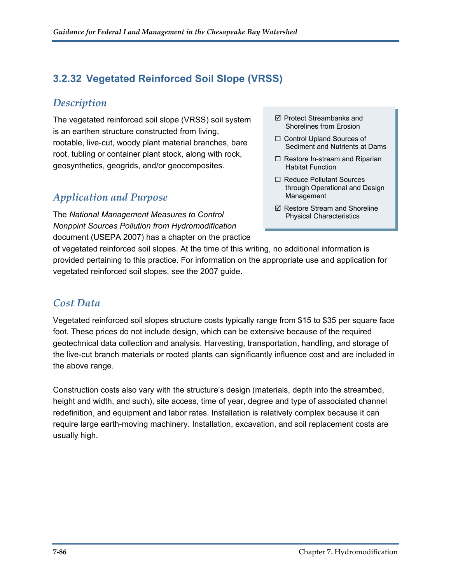### **3.2.32 Vegetated Reinforced Soil Slope (VRSS)**

#### *Description*

The vegetated reinforced soil slope (VRSS) soil system is an earthen structure constructed from living, rootable, live-cut, woody plant material branches, bare root, tubling or container plant stock, along with rock, geosynthetics, geogrids, and/or geocomposites.

### *Application and Purpose*

The *National Management Measures to Control Nonpoint Sources Pollution from Hydromodification* document (USEPA 2007) has a chapter on the practice

- Protect Streambanks and Shorelines from Erosion
- □ Control Upland Sources of Sediment and Nutrients at Dams
- $\Box$  Restore In-stream and Riparian Habitat Function
- □ Reduce Pollutant Sources through Operational and Design Management
- $\boxtimes$  Restore Stream and Shoreline Physical Characteristics

of vegetated reinforced soil slopes. At the time of this writing, no additional information is provided pertaining to this practice. For information on the appropriate use and application for vegetated reinforced soil slopes, see the 2007 guide.

#### *Cost Data*

Vegetated reinforced soil slopes structure costs typically range from \$15 to \$35 per square face foot. These prices do not include design, which can be extensive because of the required geotechnical data collection and analysis. Harvesting, transportation, handling, and storage of the live-cut branch materials or rooted plants can significantly influence cost and are included in the above range.

Construction costs also vary with the structure's design (materials, depth into the streambed, height and width, and such), site access, time of year, degree and type of associated channel redefinition, and equipment and labor rates. Installation is relatively complex because it can require large earth-moving machinery. Installation, excavation, and soil replacement costs are usually high.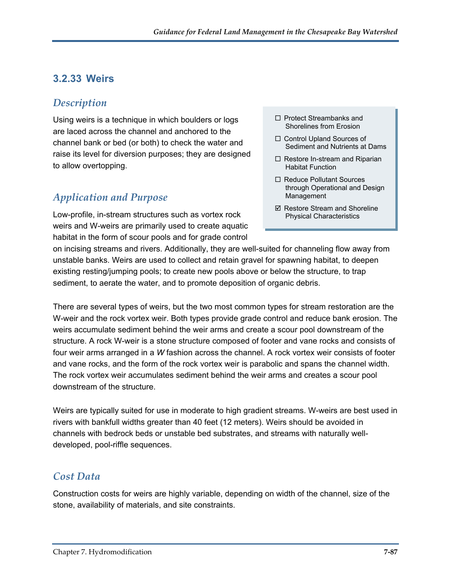#### **3.2.33 Weirs**

#### *Description*

Using weirs is a technique in which boulders or logs are laced across the channel and anchored to the channel bank or bed (or both) to check the water and raise its level for diversion purposes; they are designed to allow overtopping.

### *Application and Purpose*

Low-profile, in-stream structures such as vortex rock weirs and W-weirs are primarily used to create aquatic habitat in the form of scour pools and for grade control

- $\Box$  Protect Streambanks and Shorelines from Erosion
- □ Control Upland Sources of Sediment and Nutrients at Dams
- $\Box$  Restore In-stream and Riparian Habitat Function
- □ Reduce Pollutant Sources through Operational and Design Management
- $\boxtimes$  Restore Stream and Shoreline Physical Characteristics

on incising streams and rivers. Additionally, they are well-suited for channeling flow away from unstable banks. Weirs are used to collect and retain gravel for spawning habitat, to deepen existing resting/jumping pools; to create new pools above or below the structure, to trap sediment, to aerate the water, and to promote deposition of organic debris.

There are several types of weirs, but the two most common types for stream restoration are the W-weir and the rock vortex weir. Both types provide grade control and reduce bank erosion. The weirs accumulate sediment behind the weir arms and create a scour pool downstream of the structure. A rock W-weir is a stone structure composed of footer and vane rocks and consists of four weir arms arranged in a *W* fashion across the channel. A rock vortex weir consists of footer and vane rocks, and the form of the rock vortex weir is parabolic and spans the channel width. The rock vortex weir accumulates sediment behind the weir arms and creates a scour pool downstream of the structure.

Weirs are typically suited for use in moderate to high gradient streams. W-weirs are best used in rivers with bankfull widths greater than 40 feet (12 meters). Weirs should be avoided in channels with bedrock beds or unstable bed substrates, and streams with naturally welldeveloped, pool-riffle sequences.

#### *Cost Data*

Construction costs for weirs are highly variable, depending on width of the channel, size of the stone, availability of materials, and site constraints.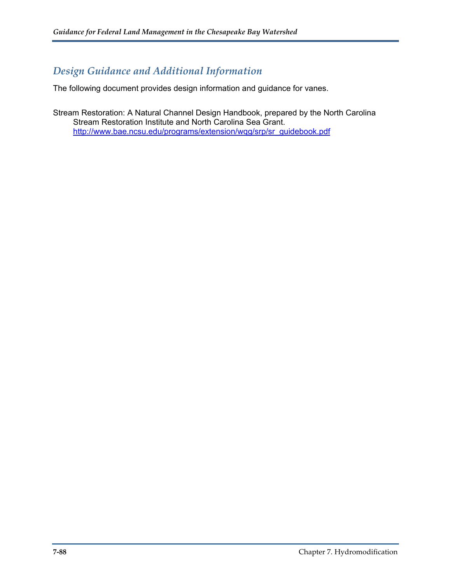#### *Design Guidance and Additional Information*

The following document provides design information and guidance for vanes.

Stream Restoration: A Natural Channel Design Handbook, prepared by the North Carolina Stream Restoration Institute and North Carolina Sea Grant. [http://www.bae.ncsu.edu/programs/extension/wqg/srp/sr\\_guidebook.pdf](http://www.bae.ncsu.edu/programs/extension/wqg/srp/sr_guidebook.pdf)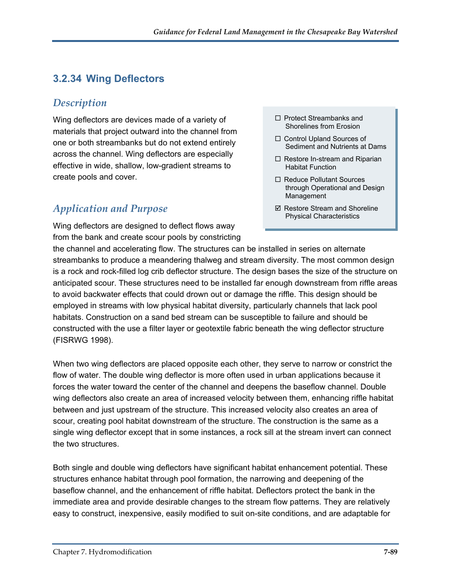### **3.2.34 Wing Deflectors**

#### *Description*

Wing deflectors are devices made of a variety of materials that project outward into the channel from one or both streambanks but do not extend entirely across the channel. Wing deflectors are especially effective in wide, shallow, low-gradient streams to create pools and cover.

### *Application and Purpose*

Wing deflectors are designed to deflect flows away from the bank and create scour pools by constricting

- $\Box$  Protect Streambanks and Shorelines from Erosion
- □ Control Upland Sources of Sediment and Nutrients at Dams
- $\Box$  Restore In-stream and Riparian Habitat Function
- □ Reduce Pollutant Sources through Operational and Design Management
- $\boxtimes$  Restore Stream and Shoreline Physical Characteristics

the channel and accelerating flow. The structures can be installed in series on alternate streambanks to produce a meandering thalweg and stream diversity. The most common design is a rock and rock-filled log crib deflector structure. The design bases the size of the structure on anticipated scour. These structures need to be installed far enough downstream from riffle areas to avoid backwater effects that could drown out or damage the riffle. This design should be employed in streams with low physical habitat diversity, particularly channels that lack pool habitats. Construction on a sand bed stream can be susceptible to failure and should be constructed with the use a filter layer or geotextile fabric beneath the wing deflector structure (FISRWG 1998).

When two wing deflectors are placed opposite each other, they serve to narrow or constrict the flow of water. The double wing deflector is more often used in urban applications because it forces the water toward the center of the channel and deepens the baseflow channel. Double wing deflectors also create an area of increased velocity between them, enhancing riffle habitat between and just upstream of the structure. This increased velocity also creates an area of scour, creating pool habitat downstream of the structure. The construction is the same as a single wing deflector except that in some instances, a rock sill at the stream invert can connect the two structures.

Both single and double wing deflectors have significant habitat enhancement potential. These structures enhance habitat through pool formation, the narrowing and deepening of the baseflow channel, and the enhancement of riffle habitat. Deflectors protect the bank in the immediate area and provide desirable changes to the stream flow patterns. They are relatively easy to construct, inexpensive, easily modified to suit on-site conditions, and are adaptable for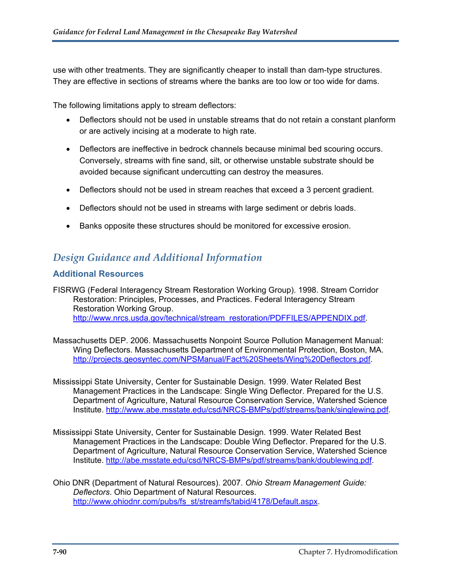use with other treatments. They are significantly cheaper to install than dam-type structures. They are effective in sections of streams where the banks are too low or too wide for dams.

The following limitations apply to stream deflectors:

- Deflectors should not be used in unstable streams that do not retain a constant planform or are actively incising at a moderate to high rate.
- Deflectors are ineffective in bedrock channels because minimal bed scouring occurs. Conversely, streams with fine sand, silt, or otherwise unstable substrate should be avoided because significant undercutting can destroy the measures.
- Deflectors should not be used in stream reaches that exceed a 3 percent gradient.
- Deflectors should not be used in streams with large sediment or debris loads.
- Banks opposite these structures should be monitored for excessive erosion.

#### *Design Guidance and Additional Information*

#### **Additional Resources**

FISRWG (Federal Interagency Stream Restoration Working Group). 1998. Stream Corridor Restoration: Principles, Processes, and Practices. Federal Interagency Stream Restoration Working Group. [http://www.nrcs.usda.gov/technical/stream\\_restoration/PDFFILES/APPENDIX.pdf](http://www.nrcs.usda.gov/technical/stream_restoration/PDFFILES/APPENDIX.pdf).

- Massachusetts DEP. 2006. Massachusetts Nonpoint Source Pollution Management Manual: Wing Deflectors. Massachusetts Department of Environmental Protection, Boston, MA. [http://projects.geosyntec.com/NPSManual/Fact%20Sheets/Wing%20Deflectors.pdf.](http://projects.geosyntec.com/NPSManual/Fact%20Sheets/Wing%20Deflectors.pdf)
- Mississippi State University, Center for Sustainable Design. 1999. Water Related Best Management Practices in the Landscape: Single Wing Deflector. Prepared for the U.S. Department of Agriculture, Natural Resource Conservation Service, Watershed Science Institute.<http://www.abe.msstate.edu/csd/NRCS-BMPs/pdf/streams/bank/singlewing.pdf>.
- Mississippi State University, Center for Sustainable Design. 1999. Water Related Best Management Practices in the Landscape: Double Wing Deflector. Prepared for the U.S. Department of Agriculture, Natural Resource Conservation Service, Watershed Science Institute. [http://abe.msstate.edu/csd/NRCS-BMPs/pdf/streams/bank/doublewing.pdf.](http://abe.msstate.edu/csd/NRCS-BMPs/pdf/streams/bank/doublewing.pdf)
- Ohio DNR (Department of Natural Resources). 2007. *Ohio Stream Management Guide: Deflectors*. Ohio Department of Natural Resources. [http://www.ohiodnr.com/pubs/fs\\_st/streamfs/tabid/4178/Default.aspx](http://www.ohiodnr.com/pubs/fs_st/streamfs/tabid/4178/Default.aspx).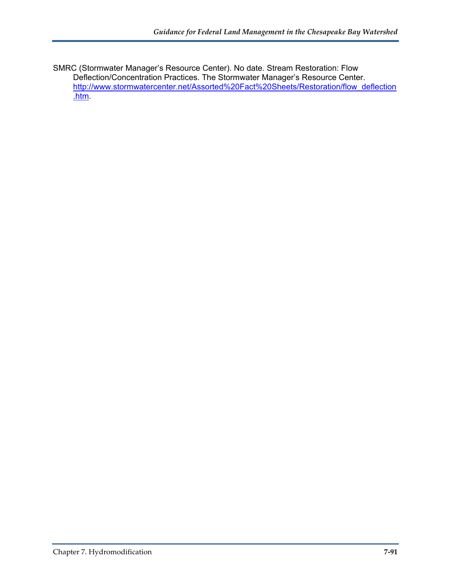SMRC (Stormwater Manager's Resource Center). No date. Stream Restoration: Flow Deflection/Concentration Practices. The Stormwater Manager's Resource Center. [http://www.stormwatercenter.net/Assorted%20Fact%20Sheets/Restoration/flow\\_deflection](http://www.stormwatercenter.net/Assorted%20Fact%20Sheets/Restoration/flow_deflection.htm) [.htm.](http://www.stormwatercenter.net/Assorted%20Fact%20Sheets/Restoration/flow_deflection.htm)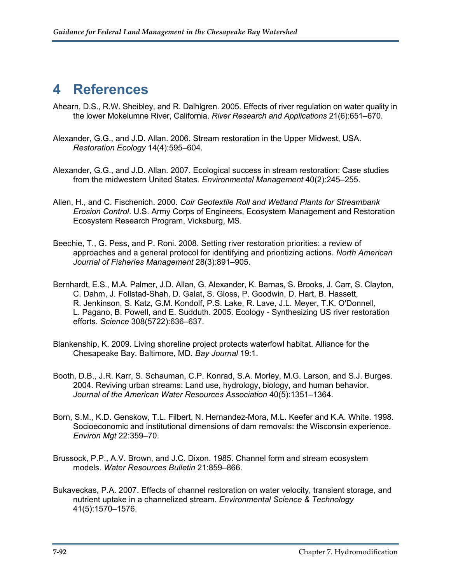# **4 References**

- Ahearn, D.S., R.W. Sheibley, and R. Dalhlgren. 2005. Effects of river regulation on water quality in the lower Mokelumne River, California. *River Research and Applications* 21(6):651–670.
- Alexander, G.G., and J.D. Allan. 2006. Stream restoration in the Upper Midwest, USA. *Restoration Ecology* 14(4):595–604.
- Alexander, G.G., and J.D. Allan. 2007. Ecological success in stream restoration: Case studies from the midwestern United States. *Environmental Management* 40(2):245–255.
- Allen, H., and C. Fischenich. 2000. *Coir Geotextile Roll and Wetland Plants for Streambank Erosion Control*. U.S. Army Corps of Engineers, Ecosystem Management and Restoration Ecosystem Research Program, Vicksburg, MS.
- Beechie, T., G. Pess, and P. Roni. 2008. Setting river restoration priorities: a review of approaches and a general protocol for identifying and prioritizing actions. *North American Journal of Fisheries Management* 28(3):891–905.
- Bernhardt, E.S., M.A. Palmer, J.D. Allan, G. Alexander, K. Barnas, S. Brooks, J. Carr, S. Clayton, C. Dahm, J. Follstad-Shah, D. Galat, S. Gloss, P. Goodwin, D. Hart, B. Hassett, R. Jenkinson, S. Katz, G.M. Kondolf, P.S. Lake, R. Lave, J.L. Meyer, T.K. O'Donnell, L. Pagano, B. Powell, and E. Sudduth. 2005. Ecology - Synthesizing US river restoration efforts. *Science* 308(5722):636–637.
- Blankenship, K. 2009. Living shoreline project protects waterfowl habitat. Alliance for the Chesapeake Bay. Baltimore, MD. *Bay Journal* 19:1.
- Booth, D.B., J.R. Karr, S. Schauman, C.P. Konrad, S.A. Morley, M.G. Larson, and S.J. Burges. 2004. Reviving urban streams: Land use, hydrology, biology, and human behavior. *Journal of the American Water Resources Association* 40(5):1351–1364.
- Born, S.M., K.D. Genskow, T.L. Filbert, N. Hernandez-Mora, M.L. Keefer and K.A. White. 1998. Socioeconomic and institutional dimensions of dam removals: the Wisconsin experience. *Environ Mgt* 22:359–70.
- Brussock, P.P., A.V. Brown, and J.C. Dixon. 1985. Channel form and stream ecosystem models. *Water Resources Bulletin* 21:859–866.
- Bukaveckas, P.A. 2007. Effects of channel restoration on water velocity, transient storage, and nutrient uptake in a channelized stream. *Environmental Science & Technology* 41(5):1570–1576.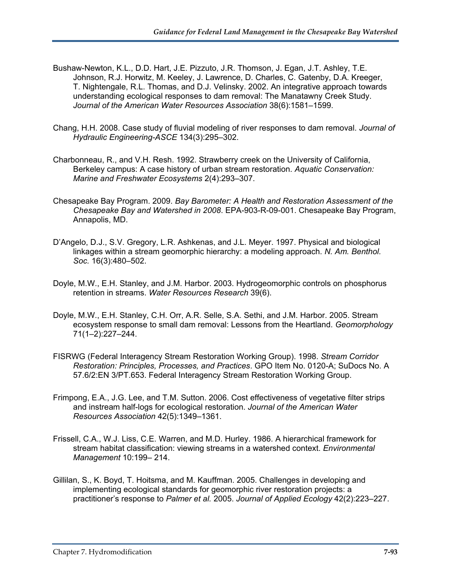- Bushaw-Newton, K.L., D.D. Hart, J.E. Pizzuto, J.R. Thomson, J. Egan, J.T. Ashley, T.E. Johnson, R.J. Horwitz, M. Keeley, J. Lawrence, D. Charles, C. Gatenby, D.A. Kreeger, T. Nightengale, R.L. Thomas, and D.J. Velinsky. 2002. An integrative approach towards understanding ecological responses to dam removal: The Manatawny Creek Study. *Journal of the American Water Resources Association* 38(6):1581–1599.
- Chang, H.H. 2008. Case study of fluvial modeling of river responses to dam removal. *Journal of Hydraulic Engineering-ASCE* 134(3):295–302.
- Charbonneau, R., and V.H. Resh. 1992. Strawberry creek on the University of California, Berkeley campus: A case history of urban stream restoration. *Aquatic Conservation: Marine and Freshwater Ecosystems* 2(4):293–307.
- Chesapeake Bay Program. 2009. *Bay Barometer: A Health and Restoration Assessment of the Chesapeake Bay and Watershed in 2008*. EPA-903-R-09-001. Chesapeake Bay Program, Annapolis, MD.
- D'Angelo, D.J., S.V. Gregory, L.R. Ashkenas, and J.L. Meyer. 1997. Physical and biological linkages within a stream geomorphic hierarchy: a modeling approach. *N. Am. Benthol. Soc.* 16(3):480–502.
- Doyle, M.W., E.H. Stanley, and J.M. Harbor. 2003. Hydrogeomorphic controls on phosphorus retention in streams. *Water Resources Research* 39(6).
- Doyle, M.W., E.H. Stanley, C.H. Orr, A.R. Selle, S.A. Sethi, and J.M. Harbor. 2005. Stream ecosystem response to small dam removal: Lessons from the Heartland. *Geomorphology* 71(1–2):227–244.
- FISRWG (Federal Interagency Stream Restoration Working Group). 1998. *Stream Corridor Restoration: Principles, Processes, and Practices*. GPO Item No. 0120-A; SuDocs No. A 57.6/2:EN 3/PT.653. Federal Interagency Stream Restoration Working Group.
- Frimpong, E.A., J.G. Lee, and T.M. Sutton. 2006. Cost effectiveness of vegetative filter strips and instream half-logs for ecological restoration. *Journal of the American Water Resources Association* 42(5):1349–1361.
- Frissell, C.A., W.J. Liss, C.E. Warren, and M.D. Hurley. 1986. A hierarchical framework for stream habitat classification: viewing streams in a watershed context. *Environmental Management* 10:199– 214.
- Gillilan, S., K. Boyd, T. Hoitsma, and M. Kauffman. 2005. Challenges in developing and implementing ecological standards for geomorphic river restoration projects: a practitioner's response to *Palmer et al.* 2005. *Journal of Applied Ecology* 42(2):223–227.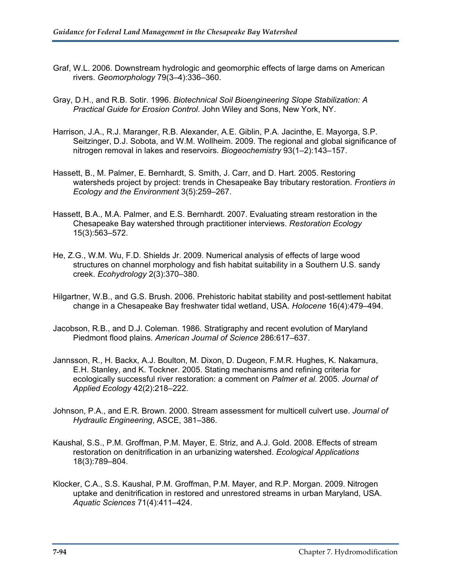- Graf, W.L. 2006. Downstream hydrologic and geomorphic effects of large dams on American rivers. *Geomorphology* 79(3–4):336–360.
- Gray, D.H., and R.B. Sotir. 1996. *Biotechnical Soil Bioengineering Slope Stabilization: A Practical Guide for Erosion Control*. John Wiley and Sons, New York, NY.
- Harrison, J.A., R.J. Maranger, R.B. Alexander, A.E. Giblin, P.A. Jacinthe, E. Mayorga, S.P. Seitzinger, D.J. Sobota, and W.M. Wollheim. 2009. The regional and global significance of nitrogen removal in lakes and reservoirs. *Biogeochemistry* 93(1–2):143–157.
- Hassett, B., M. Palmer, E. Bernhardt, S. Smith, J. Carr, and D. Hart. 2005. Restoring watersheds project by project: trends in Chesapeake Bay tributary restoration. *Frontiers in Ecology and the Environment* 3(5):259–267.
- Hassett, B.A., M.A. Palmer, and E.S. Bernhardt. 2007. Evaluating stream restoration in the Chesapeake Bay watershed through practitioner interviews. *Restoration Ecology* 15(3):563–572.
- He, Z.G., W.M. Wu, F.D. Shields Jr. 2009. Numerical analysis of effects of large wood structures on channel morphology and fish habitat suitability in a Southern U.S. sandy creek. *Ecohydrology* 2(3):370–380.
- Hilgartner, W.B., and G.S. Brush. 2006. Prehistoric habitat stability and post-settlement habitat change in a Chesapeake Bay freshwater tidal wetland, USA. *Holocene* 16(4):479–494.
- Jacobson, R.B., and D.J. Coleman. 1986. Stratigraphy and recent evolution of Maryland Piedmont flood plains. *American Journal of Science* 286:617–637.
- Jannsson, R., H. Backx, A.J. Boulton, M. Dixon, D. Dugeon, F.M.R. Hughes, K. Nakamura, E.H. Stanley, and K. Tockner. 2005. Stating mechanisms and refining criteria for ecologically successful river restoration: a comment on *Palmer et al.* 2005. *Journal of Applied Ecology* 42(2):218–222.
- Johnson, P.A., and E.R. Brown. 2000. Stream assessment for multicell culvert use. *Journal of Hydraulic Engineering*, ASCE, 381–386.
- Kaushal, S.S., P.M. Groffman, P.M. Mayer, E. Striz, and A.J. Gold. 2008. Effects of stream restoration on denitrification in an urbanizing watershed. *Ecological Applications* 18(3):789–804.
- Klocker, C.A., S.S. Kaushal, P.M. Groffman, P.M. Mayer, and R.P. Morgan. 2009. Nitrogen uptake and denitrification in restored and unrestored streams in urban Maryland, USA. *Aquatic Sciences* 71(4):411–424.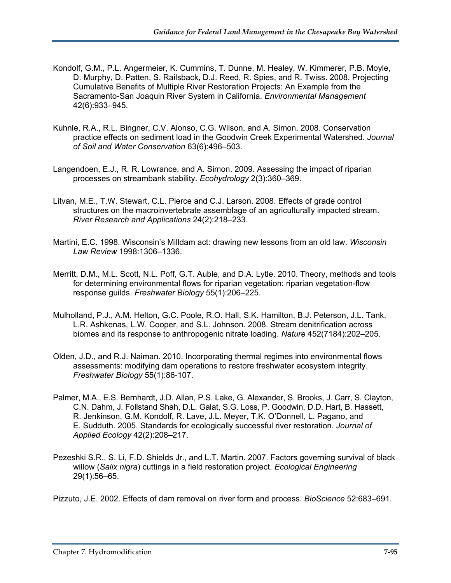- Kondolf, G.M., P.L. Angermeier, K. Cummins, T. Dunne, M. Healey, W. Kimmerer, P.B. Moyle, D. Murphy, D. Patten, S. Railsback, D.J. Reed, R. Spies, and R. Twiss. 2008. Projecting Cumulative Benefits of Multiple River Restoration Projects: An Example from the Sacramento-San Joaquin River System in California. *Environmental Management* 42(6):933–945.
- Kuhnle, R.A., R.L. Bingner, C.V. Alonso, C.G. Wilson, and A. Simon. 2008. Conservation practice effects on sediment load in the Goodwin Creek Experimental Watershed. *Journal of Soil and Water Conservation* 63(6):496–503.
- Langendoen, E.J., R. R. Lowrance, and A. Simon. 2009. Assessing the impact of riparian processes on streambank stability. *Ecohydrology* 2(3):360–369.
- Litvan, M.E., T.W. Stewart, C.L. Pierce and C.J. Larson. 2008. Effects of grade control structures on the macroinvertebrate assemblage of an agriculturally impacted stream. *River Research and Applications* 24(2):218–233.
- Martini, E.C. 1998. Wisconsin's Milldam act: drawing new lessons from an old law. *Wisconsin Law Review* 1998:1306–1336.
- Merritt, D.M., M.L. Scott, N.L. Poff, G.T. Auble, and D.A. Lytle. 2010. Theory, methods and tools for determining environmental flows for riparian vegetation: riparian vegetation-flow response guilds. *Freshwater Biology* 55(1):206–225.
- Mulholland, P.J., A.M. Helton, G.C. Poole, R.O. Hall, S.K. Hamilton, B.J. Peterson, J.L. Tank, L.R. Ashkenas, L.W. Cooper, and S.L. Johnson. 2008. Stream denitrification across biomes and its response to anthropogenic nitrate loading. *Nature* 452(7184):202–205.
- Olden, J.D., and R.J. Naiman. 2010. Incorporating thermal regimes into environmental flows assessments: modifying dam operations to restore freshwater ecosystem integrity. *Freshwater Biology* 55(1):86-107.
- Palmer, M.A., E.S. Bernhardt, J.D. Allan, P.S. Lake, G. Alexander, S. Brooks, J. Carr, S. Clayton, C.N. Dahm, J. Follstand Shah, D.L. Galat, S.G. Loss, P. Goodwin, D.D. Hart, B. Hassett, R. Jenkinson, G.M. Kondolf, R. Lave, J.L. Meyer, T.K. O'Donnell, L. Pagano, and E. Sudduth. 2005. Standards for ecologically successful river restoration. *Journal of Applied Ecology* 42(2):208–217.
- Pezeshki S.R., S. Li, F.D. Shields Jr., and L.T. Martin. 2007. Factors governing survival of black willow (*Salix nigra*) cuttings in a field restoration project. *Ecological Engineering*  29(1):56–65.

Pizzuto, J.E. 2002. Effects of dam removal on river form and process. *BioScience* 52:683–691.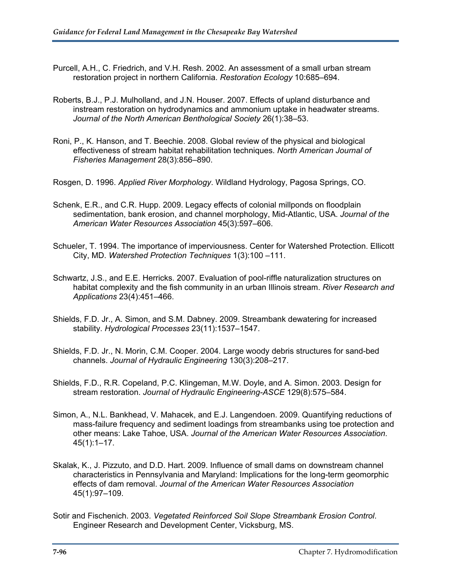- Purcell, A.H., C. Friedrich, and V.H. Resh. 2002. An assessment of a small urban stream restoration project in northern California. *Restoration Ecology* 10:685–694.
- Roberts, B.J., P.J. Mulholland, and J.N. Houser. 2007. Effects of upland disturbance and instream restoration on hydrodynamics and ammonium uptake in headwater streams. *Journal of the North American Benthological Society* 26(1):38–53.
- Roni, P., K. Hanson, and T. Beechie. 2008. Global review of the physical and biological effectiveness of stream habitat rehabilitation techniques. *North American Journal of Fisheries Management* 28(3):856–890.

Rosgen, D. 1996. *Applied River Morphology*. Wildland Hydrology, Pagosa Springs, CO.

- Schenk, E.R., and C.R. Hupp. 2009. Legacy effects of colonial millponds on floodplain sedimentation, bank erosion, and channel morphology, Mid-Atlantic, USA. *Journal of the American Water Resources Association* 45(3):597–606.
- Schueler, T. 1994. The importance of imperviousness. Center for Watershed Protection. Ellicott City, MD. *Watershed Protection Techniques* 1(3):100 –111.
- Schwartz, J.S., and E.E. Herricks. 2007. Evaluation of pool-riffle naturalization structures on habitat complexity and the fish community in an urban Illinois stream. *River Research and Applications* 23(4):451–466.
- Shields, F.D. Jr., A. Simon, and S.M. Dabney. 2009. Streambank dewatering for increased stability. *Hydrological Processes* 23(11):1537–1547.
- Shields, F.D. Jr., N. Morin, C.M. Cooper. 2004. Large woody debris structures for sand-bed channels. *Journal of Hydraulic Engineering* 130(3):208–217.
- Shields, F.D., R.R. Copeland, P.C. Klingeman, M.W. Doyle, and A. Simon. 2003. Design for stream restoration. *Journal of Hydraulic Engineering-ASCE* 129(8):575–584.
- Simon, A., N.L. Bankhead, V. Mahacek, and E.J. Langendoen. 2009. Quantifying reductions of mass-failure frequency and sediment loadings from streambanks using toe protection and other means: Lake Tahoe, USA. *Journal of the American Water Resources Association*. 45(1):1–17.
- Skalak, K., J. Pizzuto, and D.D. Hart. 2009. Influence of small dams on downstream channel characteristics in Pennsylvania and Maryland: Implications for the long-term geomorphic effects of dam removal. *Journal of the American Water Resources Association* 45(1):97–109.
- Sotir and Fischenich. 2003. *Vegetated Reinforced Soil Slope Streambank Erosion Control*. Engineer Research and Development Center, Vicksburg, MS.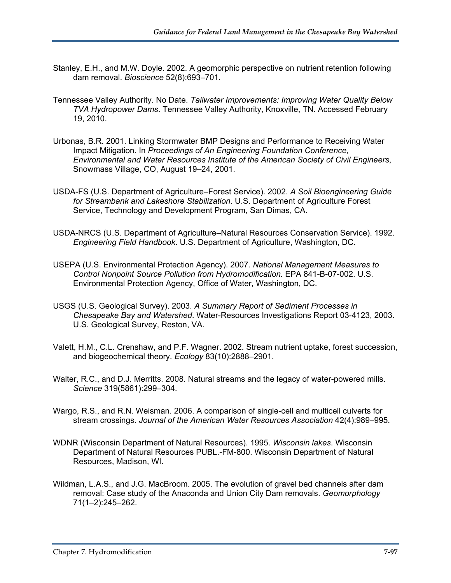- Stanley, E.H., and M.W. Doyle. 2002. A geomorphic perspective on nutrient retention following dam removal. *Bioscience* 52(8):693–701.
- Tennessee Valley Authority. No Date. *Tailwater Improvements: Improving Water Quality Below TVA Hydropower Dams*. Tennessee Valley Authority, Knoxville, TN. Accessed February 19, 2010.
- Urbonas, B.R. 2001. Linking Stormwater BMP Designs and Performance to Receiving Water Impact Mitigation. In *Proceedings of An Engineering Foundation Conference, Environmental and Water Resources Institute of the American Society of Civil Engineers*, Snowmass Village, CO, August 19–24, 2001.
- USDA-FS (U.S. Department of Agriculture–Forest Service). 2002. *A Soil Bioengineering Guide for Streambank and Lakeshore Stabilization*. U.S. Department of Agriculture Forest Service, Technology and Development Program, San Dimas, CA.
- USDA-NRCS (U.S. Department of Agriculture–Natural Resources Conservation Service). 1992. *Engineering Field Handbook*. U.S. Department of Agriculture, Washington, DC.
- USEPA (U.S. Environmental Protection Agency). 2007. *National Management Measures to Control Nonpoint Source Pollution from Hydromodification.* EPA 841-B-07-002. U.S. Environmental Protection Agency, Office of Water, Washington, DC.
- USGS (U.S. Geological Survey). 2003. *A Summary Report of Sediment Processes in Chesapeake Bay and Watershed*. Water-Resources Investigations Report 03-4123, 2003. U.S. Geological Survey, Reston, VA.
- Valett, H.M., C.L. Crenshaw, and P.F. Wagner. 2002. Stream nutrient uptake, forest succession, and biogeochemical theory. *Ecology* 83(10):2888–2901.
- Walter, R.C., and D.J. Merritts. 2008. Natural streams and the legacy of water-powered mills. *Science* 319(5861):299–304.
- Wargo, R.S., and R.N. Weisman. 2006. A comparison of single-cell and multicell culverts for stream crossings. *Journal of the American Water Resources Association* 42(4):989–995.
- WDNR (Wisconsin Department of Natural Resources). 1995. *Wisconsin lakes*. Wisconsin Department of Natural Resources PUBL.-FM-800. Wisconsin Department of Natural Resources, Madison, WI.
- Wildman, L.A.S., and J.G. MacBroom. 2005. The evolution of gravel bed channels after dam removal: Case study of the Anaconda and Union City Dam removals. *Geomorphology* 71(1–2):245–262.